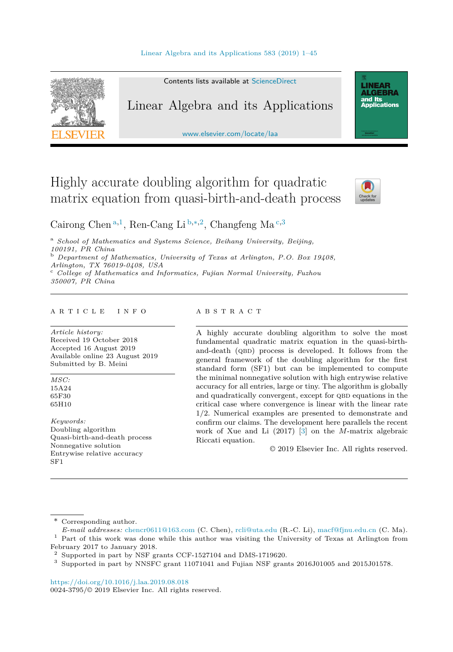

Contents lists available at [ScienceDirect](http://www.ScienceDirect.com/)

# Linear Algebra and its Applications

[www.elsevier.com/locate/laa](http://www.elsevier.com/locate/laa)

# Highly accurate doubling algorithm for quadratic matrix equation from quasi-birth-and-death process



**LINEAR<br>ALGEBRA** and Its ana na<br>Applications

Cairong Chen <sup>a</sup>*,*<sup>1</sup>, Ren-Cang Li <sup>b</sup>*,*∗*,*<sup>2</sup>, Changfeng Ma <sup>c</sup>*,*<sup>3</sup>

<sup>a</sup> *School of Mathematics and Systems Science, Beihang University, Beijing, 100191, PR China* <sup>b</sup> *Department of Mathematics, University of Texas at Arlington, P.O. Box 19408,*

*Arlington, TX 76019-0408, USA* <sup>c</sup> *Col lege of Mathematics and Informatics, Fujian Normal University, Fuzhou 350007, PR China*

#### A R T I C L E I N F O A B S T R A C T

*Article history:* Received 19 October 2018 Accepted 16 August 2019 Available online 23 August 2019 Submitted by B. Meini

*MSC:* 15A24 65F30 65H10

*Keywords:* Doubling algorithm Quasi-birth-and-death process Nonnegative solution Entrywise relative accuracy SF1

A highly accurate doubling algorithm to solve the most fundamental quadratic matrix equation in the quasi-birthand-death (QBD) process is developed. It follows from the general framework of the doubling algorithm for the first standard form (SF1) but can be implemented to compute the minimal nonnegative solution with high entrywise relative accuracy for all entries, large or tiny. The algorithm is globally and quadratically convergent, except for QBD equations in the critical case where convergence is linear with the linear rate 1*/*2. Numerical examples are presented to demonstrate and confirm our claims. The development here parallels the recent work of Xue and Li (2017) [\[3\]](#page-43-0) on the *M*-matrix algebraic Riccati equation.

© 2019 Elsevier Inc. All rights reserved.

\* Corresponding author.

<https://doi.org/10.1016/j.laa.2019.08.018> 0024-3795/© 2019 Elsevier Inc. All rights reserved.

*E-mail addresses:* [chencr0611@163.com](mailto:chencr0611@163.com) (C. Chen), [rcli@uta.edu](mailto:rcli@uta.edu) (R.-C. Li), [macf@fjnu.edu.cn](mailto:macf@fjnu.edu.cn) (C. Ma). <sup>1</sup> Part of this work was done while this author was visiting the University of Texas at Arlington from February 2017 to January 2018.

 $^2\,$  Supported in part by NSF grants CCF-1527104 and DMS-1719620.

<sup>3</sup> Supported in part by NNSFC grant 11071041 and Fujian NSF grants 2016J01005 and 2015J01578.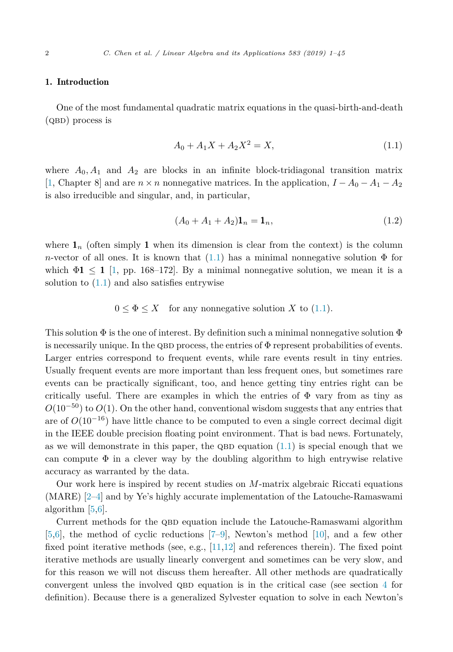## <span id="page-1-0"></span>1. Introduction

One of the most fundamental quadratic matrix equations in the quasi-birth-and-death  $(QBD)$  process is

$$
A_0 + A_1 X + A_2 X^2 = X,\t\t(1.1)
$$

where  $A_0$ ,  $A_1$  and  $A_2$  are blocks in an infinite block-tridiagonal transition matrix [\[1,](#page-43-0) Chapter 8] and are  $n \times n$  nonnegative matrices. In the application,  $I - A_0 - A_1 - A_2$ is also irreducible and singular, and, in particular,

$$
(A_0 + A_1 + A_2) \mathbf{1}_n = \mathbf{1}_n,\tag{1.2}
$$

where  $\mathbf{1}_n$  (often simply 1 when its dimension is clear from the context) is the column *n*-vector of all ones. It is known that  $(1.1)$  has a minimal nonnegative solution  $\Phi$  for which  $\Phi_1 \leq 1$  [\[1,](#page-43-0) pp. 168–172]. By a minimal nonnegative solution, we mean it is a solution to  $(1.1)$  and also satisfies entrywise

$$
0 \le \Phi \le X
$$
 for any nonnegative solution X to (1.1).

This solution  $\Phi$  is the one of interest. By definition such a minimal nonnegative solution  $\Phi$ is necessarily unique. In the QBD process, the entries of  $\Phi$  represent probabilities of events. Larger entries correspond to frequent events, while rare events result in tiny entries. Usually frequent events are more important than less frequent ones, but sometimes rare events can be practically significant, too, and hence getting tiny entries right can be critically useful. There are examples in which the entries of  $\Phi$  vary from as tiny as  $O(10^{-50})$  to  $O(1)$ . On the other hand, conventional wisdom suggests that any entries that are of  $O(10^{-16})$  have little chance to be computed to even a single correct decimal digit in the IEEE double precision floating point environment. That is bad news. Fortunately, as we will demonstrate in this paper, the QBD equation  $(1.1)$  is special enough that we can compute  $\Phi$  in a clever way by the doubling algorithm to high entrywise relative accuracy as warranted by the data.

Our work here is inspired by recent studies on *M*-matrix algebraic Riccati equations (MARE) [\[2–4\]](#page-43-0) and by Ye's highly accurate implementation of the Latouche-Ramaswami algorithm [\[5,6\]](#page-43-0).

Current methods for the QBD equation include the Latouche-Ramaswami algorithm [\[5,6\]](#page-43-0), the method of cyclic reductions [\[7–9\]](#page-43-0), Newton's method [\[10\]](#page-43-0), and a few other fixed point iterative methods (see, e.g.,  $[11,12]$  and references therein). The fixed point iterative methods are usually linearly convergent and sometimes can be very slow, and for this reason we will not discuss them hereafter. All other methods are quadratically convergent unless the involved QBD equation is in the critical case (see section [4](#page-9-0) for definition). Because there is a generalized Sylvester equation to solve in each Newton's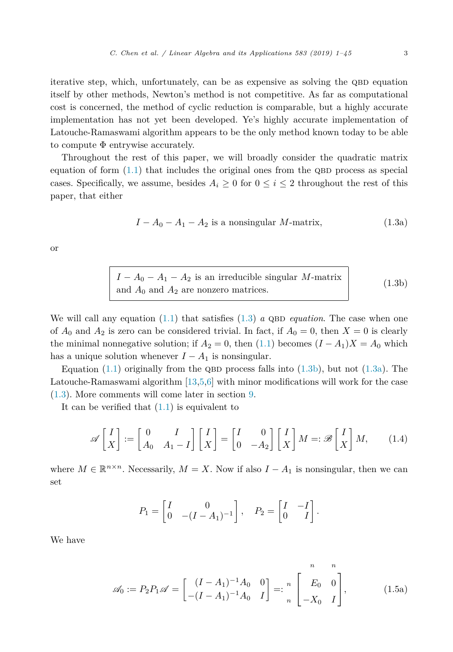<span id="page-2-0"></span>iterative step, which, unfortunately, can be as expensive as solving the QBD equation itself by other methods, Newton's method is not competitive. As far as computational cost is concerned, the method of cyclic reduction is comparable, but a highly accurate implementation has not yet been developed. Ye's highly accurate implementation of Latouche-Ramaswami algorithm appears to be the only method known today to be able to compute  $\Phi$  entrywise accurately.

Throughout the rest of this paper, we will broadly consider the quadratic matrix equation of form  $(1.1)$  that includes the original ones from the QBD process as special cases. Specifically, we assume, besides  $A_i \geq 0$  for  $0 \leq i \leq 2$  throughout the rest of this paper, that either

$$
I - A_0 - A_1 - A_2
$$
 is a nonsingular M-matrix, (1.3a)

or

| $I - A_0 - A_1 - A_2$ is an irreducible singular M-matrix | (1.3b) |
|-----------------------------------------------------------|--------|
| and $A_0$ and $A_2$ are nonzero matrices.                 |        |

We will call any equation  $(1.1)$  that satisfies  $(1.3)$  *a* QBD *equation*. The case when one of  $A_0$  and  $A_2$  is zero can be considered trivial. In fact, if  $A_0 = 0$ , then  $X = 0$  is clearly the minimal nonnegative solution; if  $A_2 = 0$ , then [\(1.1\)](#page-1-0) becomes  $(I - A_1)X = A_0$  which has a unique solution whenever  $I - A_1$  is nonsingular.

Equation [\(1.1\)](#page-1-0) originally from the QBD process falls into (1.3b), but not (1.3a). The Latouche-Ramaswami algorithm [\[13,5,6\]](#page-43-0) with minor modifications will work for the case (1.3). More comments will come later in section [9.](#page-32-0)

It can be verified that [\(1.1\)](#page-1-0) is equivalent to

$$
\mathscr{A}\begin{bmatrix} I \\ X \end{bmatrix} := \begin{bmatrix} 0 & I \\ A_0 & A_1 - I \end{bmatrix} \begin{bmatrix} I \\ X \end{bmatrix} = \begin{bmatrix} I & 0 \\ 0 & -A_2 \end{bmatrix} \begin{bmatrix} I \\ X \end{bmatrix} M =: \mathscr{B}\begin{bmatrix} I \\ X \end{bmatrix} M, \qquad (1.4)
$$

where  $M \in \mathbb{R}^{n \times n}$ . Necessarily,  $M = X$ . Now if also  $I - A_1$  is nonsingular, then we can set

$$
P_1 = \begin{bmatrix} I & 0 \\ 0 & -(I - A_1)^{-1} \end{bmatrix}, \quad P_2 = \begin{bmatrix} I & -I \\ 0 & I \end{bmatrix}.
$$

We have

$$
\mathscr{A}_0 := P_2 P_1 \mathscr{A} = \begin{bmatrix} (I - A_1)^{-1} A_0 & 0 \\ -(I - A_1)^{-1} A_0 & I \end{bmatrix} =: \begin{bmatrix} n & n \\ E_0 & 0 \\ -X_0 & I \end{bmatrix},
$$
(1.5a)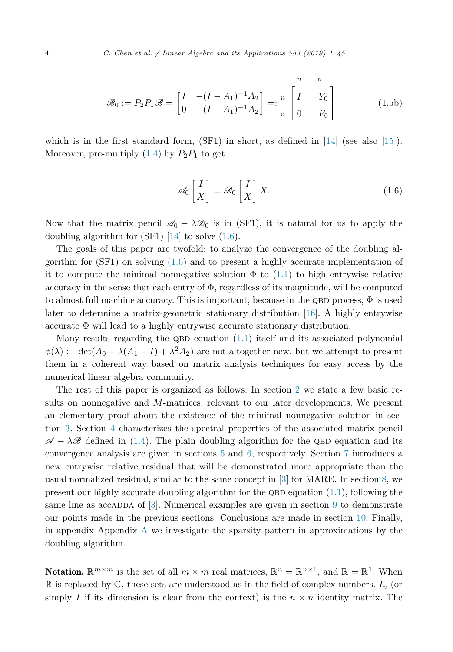<span id="page-3-0"></span>
$$
\mathcal{B}_0 := P_2 P_1 \mathcal{B} = \begin{bmatrix} I & -(I - A_1)^{-1} A_2 \\ 0 & (I - A_1)^{-1} A_2 \end{bmatrix} =: \begin{bmatrix} n & n \\ I & -Y_0 \\ 0 & F_0 \end{bmatrix}
$$
(1.5b)

which is in the first standard form,  $(SF1)$  in short, as defined in  $[14]$  (see also  $[15]$ ). Moreover, pre-multiply  $(1.4)$  by  $P_2P_1$  to get

$$
\mathscr{A}_0 \begin{bmatrix} I \\ X \end{bmatrix} = \mathscr{B}_0 \begin{bmatrix} I \\ X \end{bmatrix} X. \tag{1.6}
$$

Now that the matrix pencil  $\mathscr{A}_0 - \lambda \mathscr{B}_0$  is in (SF1), it is natural for us to apply the doubling algorithm for  $(SF1)$  [\[14\]](#page-43-0) to solve  $(1.6)$ .

The goals of this paper are twofold: to analyze the convergence of the doubling algorithm for (SF1) on solving (1.6) and to present a highly accurate implementation of it to compute the minimal nonnegative solution  $\Phi$  to [\(1.1\)](#page-1-0) to high entrywise relative accuracy in the sense that each entry of  $\Phi$ , regardless of its magnitude, will be computed to almost full machine accuracy. This is important, because in the QBD process,  $\Phi$  is used later to determine a matrix-geometric stationary distribution [\[16\]](#page-43-0). A highly entrywise accurate Φ will lead to a highly entrywise accurate stationary distribution.

Many results regarding the QBD equation  $(1.1)$  itself and its associated polynomial  $\phi(\lambda) := \det(A_0 + \lambda(A_1 - I) + \lambda^2 A_2)$  are not altogether new, but we attempt to present them in a coherent way based on matrix analysis techniques for easy access by the numerical linear algebra community.

The rest of this paper is organized as follows. In section [2](#page-4-0) we state a few basic results on nonnegative and *M*-matrices, relevant to our later developments. We present an elementary proof about the existence of the minimal nonnegative solution in section [3.](#page-6-0) Section [4](#page-9-0) characterizes the spectral properties of the associated matrix pencil  $\mathscr{A} - \lambda \mathscr{B}$  defined in [\(1.4\)](#page-2-0). The plain doubling algorithm for the QBD equation and its convergence analysis are given in sections [5](#page-19-0) and [6,](#page-20-0) respectively. Section [7](#page-25-0) introduces a new entrywise relative residual that will be demonstrated more appropriate than the usual normalized residual, similar to the same concept in [\[3\]](#page-43-0) for MARE. In section [8,](#page-29-0) we present our highly accurate doubling algorithm for the QBD equation  $(1.1)$ , following the same line as accaded of  $[3]$ . Numerical examples are given in section [9](#page-32-0) to demonstrate our points made in the previous sections. Conclusions are made in section [10.](#page-39-0) Finally, in appendix Appendix [A](#page-39-0) we investigate the sparsity pattern in approximations by the doubling algorithm.

**Notation.**  $\mathbb{R}^{m \times m}$  is the set of all  $m \times m$  real matrices,  $\mathbb{R}^n = \mathbb{R}^{n \times 1}$ , and  $\mathbb{R} = \mathbb{R}^1$ . When R is replaced by  $\mathbb{C}$ , these sets are understood as in the field of complex numbers.  $I_n$  (or simply *I* if its dimension is clear from the context) is the  $n \times n$  identity matrix. The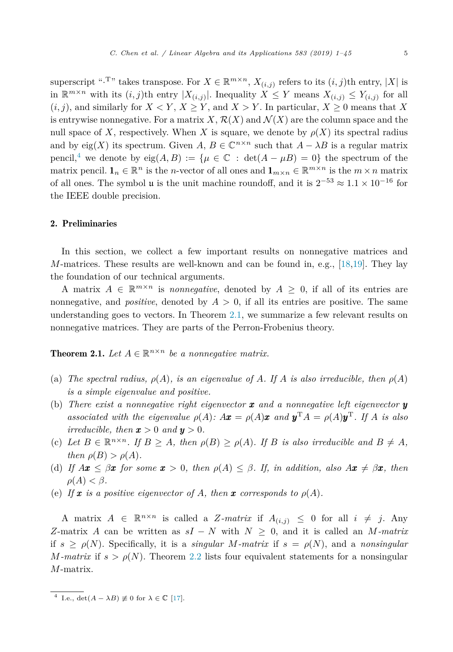<span id="page-4-0"></span>superscript "<sup>T</sup>" takes transpose. For  $X \in \mathbb{R}^{m \times n}$ ,  $X_{(i,j)}$  refers to its  $(i,j)$ th entry, |X| is in  $\mathbb{R}^{m \times n}$  with its  $(i, j)$ th entry  $|X_{(i,j)}|$ . Inequality  $X \leq Y$  means  $X_{(i,j)} \leq Y_{(i,j)}$  for all  $(i, j)$ , and similarly for  $X \leq Y$ ,  $X \geq Y$ , and  $X > Y$ . In particular,  $X \geq 0$  means that X is entrywise nonnegative. For a matrix X,  $\mathcal{R}(X)$  and  $\mathcal{N}(X)$  are the column space and the null space of *X*, respectively. When *X* is square, we denote by  $\rho(X)$  its spectral radius and by eig(X) its spectrum. Given *A,*  $B \in \mathbb{C}^{n \times n}$  such that  $A - \lambda B$  is a regular matrix pencil,<sup>4</sup> we denote by  $eig(A, B) := \{ \mu \in \mathbb{C} : det(A - \mu B) = 0 \}$  the spectrum of the matrix pencil.  $\mathbf{1}_n \in \mathbb{R}^n$  is the *n*-vector of all ones and  $\mathbf{1}_{m \times n} \in \mathbb{R}^{m \times n}$  is the  $m \times n$  matrix of all ones. The symbol  $\mu$  is the unit machine roundoff, and it is  $2^{-53} \approx 1.1 \times 10^{-16}$  for the IEEE double precision.

# 2. Preliminaries

In this section, we collect a few important results on nonnegative matrices and *M*-matrices. These results are well-known and can be found in, e.g., [\[18,19\]](#page-43-0). They lay the foundation of our technical arguments.

A matrix  $A \in \mathbb{R}^{m \times n}$  is *nonnegative*, denoted by  $A \geq 0$ , if all of its entries are nonnegative, and *positive*, denoted by  $A > 0$ , if all its entries are positive. The same understanding goes to vectors. In Theorem 2.1, we summarize a few relevant results on nonnegative matrices. They are parts of the Perron-Frobenius theory.

**Theorem 2.1.** Let  $A \in \mathbb{R}^{n \times n}$  be a nonnegative matrix.

- (a) The spectral radius,  $\rho(A)$ , is an eigenvalue of A. If A is also irreducible, then  $\rho(A)$ *is a simple eigenvalue and positive.*
- (b) *There exist a nonnegative right eigenvector*  $\boldsymbol{x}$  *and a nonnegative left eigenvector*  $\boldsymbol{y}$ associated with the eigenvalue  $\rho(A)$ :  $A\mathbf{x} = \rho(A)\mathbf{x}$  and  $\mathbf{y}^{\mathrm{T}}A = \rho(A)\mathbf{y}^{\mathrm{T}}$ . If A is also *irreducible, then*  $\mathbf{x} > 0$  *and*  $\mathbf{y} > 0$ *.*
- (c) Let  $B \in \mathbb{R}^{n \times n}$ . If  $B \geq A$ , then  $\rho(B) \geq \rho(A)$ . If B is also irreducible and  $B \neq A$ , *then*  $\rho(B) > \rho(A)$ *.*
- (d) *If*  $A\mathbf{x} \leq \beta \mathbf{x}$  for some  $\mathbf{x} > 0$ , then  $\rho(A) \leq \beta$ . If, in addition, also  $A\mathbf{x} \neq \beta \mathbf{x}$ , then  $\rho(A) < \beta$ .
- (e) If **x** is a positive eigenvector of A, then **x** corresponds to  $\rho(A)$ .

A matrix  $A \in \mathbb{R}^{n \times n}$  is called a *Z*-matrix if  $A_{(i,j)} \leq 0$  for all  $i \neq j$ . Any *Z*-matrix *A* can be written as  $sI - N$  with  $N \geq 0$ , and it is called an *M*-matrix if  $s > \rho(N)$ . Specifically, it is a *singular M-matrix* if  $s = \rho(N)$ , and a *nonsingular M-matrix* if  $s > \rho(N)$ . Theorem [2.2](#page-5-0) lists four equivalent statements for a nonsingular *M*-matrix.

<sup>&</sup>lt;sup>4</sup> I.e.,  $\det(A - \lambda B) \not\equiv 0$  for  $\lambda \in \mathbb{C}$  [\[17\]](#page-43-0).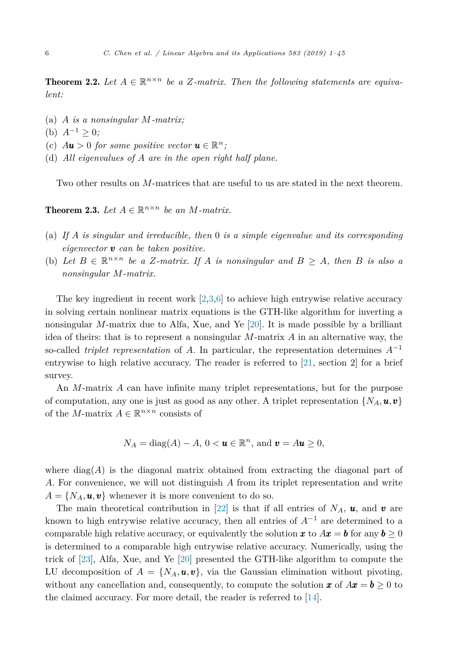<span id="page-5-0"></span>**Theorem 2.2.** Let  $A \in \mathbb{R}^{n \times n}$  be a Z-matrix. Then the following statements are equiva*lent:*

- (a) *A is a nonsingular M-matrix;*
- (b)  $A^{-1} > 0$ ;
- (c)  $A\mathbf{u} > 0$  *for some positive vector*  $\mathbf{u} \in \mathbb{R}^n$ ;
- (d) *All eigenvalues of A are in the open right half plane.*

Two other results on *M*-matrices that are useful to us are stated in the next theorem.

**Theorem 2.3.** Let  $A \in \mathbb{R}^{n \times n}$  be an *M*-matrix.

- (a) *If A is singular and irreducible, then* 0 *is a simple eigenvalue and its corresponding eigenvector v can be taken positive.*
- (b) Let  $B \in \mathbb{R}^{n \times n}$  be a Z-matrix. If A is nonsingular and  $B \geq A$ , then B is also a *nonsingular M-matrix.*

The key ingredient in recent work  $[2,3,6]$  to achieve high entrywise relative accuracy in solving certain nonlinear matrix equations is the GTH-like algorithm for inverting a nonsingular *M*-matrix due to Alfa, Xue, and Ye [\[20\]](#page-43-0). It is made possible by a brilliant idea of theirs: that is to represent a nonsingular *M*-matrix *A* in an alternative way, the so-called *triplet representation* of *A*. In particular, the representation determines *A*−<sup>1</sup> entrywise to high relative accuracy. The reader is referred to [\[21,](#page-43-0) section 2] for a brief survey.

An *M*-matrix *A* can have infinite many triplet representations, but for the purpose of computation, any one is just as good as any other. A triplet representation  $\{N_A, \mathbf{u}, \mathbf{v}\}\$ of the *M*-matrix  $A \in \mathbb{R}^{n \times n}$  consists of

$$
N_A = \text{diag}(A) - A, \, 0 < \mathbf{u} \in \mathbb{R}^n, \, \text{and} \, \mathbf{v} = A\mathbf{u} \ge 0,
$$

where  $\text{diag}(A)$  is the diagonal matrix obtained from extracting the diagonal part of *A*. For convenience, we will not distinguish *A* from its triplet representation and write  $A = \{N_A, \mathbf{u}, \mathbf{v}\}\$  whenever it is more convenient to do so.

The main theoretical contribution in [\[22\]](#page-43-0) is that if all entries of  $N_A$ ,  $u$ , and  $v$  are known to high entrywise relative accuracy, then all entries of  $A^{-1}$  are determined to a comparable high relative accuracy, or equivalently the solution  $x$  to  $Ax = b$  for any  $b \ge 0$ is determined to a comparable high entrywise relative accuracy. Numerically, using the trick of [\[23\]](#page-43-0), Alfa, Xue, and Ye [\[20\]](#page-43-0) presented the GTH-like algorithm to compute the LU decomposition of  $A = \{N_A, \mathbf{u}, \mathbf{v}\}\)$ , via the Gaussian elimination without pivoting, without any cancellation and, consequently, to compute the solution  $\boldsymbol{x}$  of  $A\boldsymbol{x} = \boldsymbol{b} \geq 0$  to the claimed accuracy. For more detail, the reader is referred to [\[14\]](#page-43-0).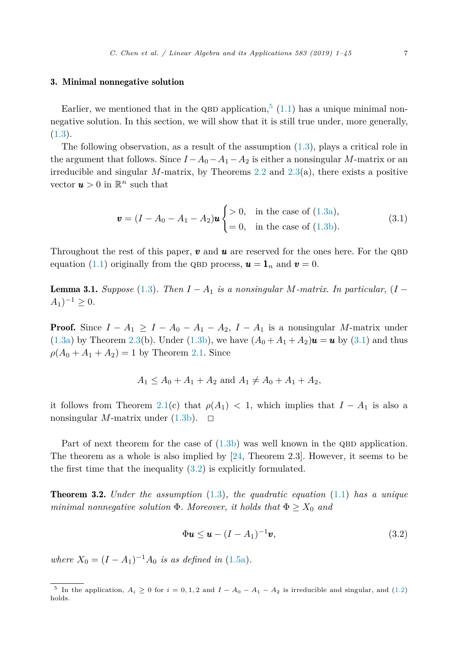### <span id="page-6-0"></span>3. Minimal nonnegative solution

Earlier, we mentioned that in the QBD application,  $(1.1)$  has a unique minimal nonnegative solution. In this section, we will show that it is still true under, more generally,  $(1.3).$  $(1.3).$ 

The following observation, as a result of the assumption [\(1.3\)](#page-2-0), plays a critical role in the argument that follows. Since  $I - A_0 - A_1 - A_2$  is either a nonsingular *M*-matrix or an irreducible and singular *M*-matrix, by Theorems [2.2](#page-5-0) and [2.3\(](#page-5-0)a), there exists a positive vector  $u > 0$  in  $\mathbb{R}^n$  such that

$$
\mathbf{v} = (I - A_0 - A_1 - A_2)\mathbf{u} \begin{cases} > 0, & \text{in the case of (1.3a)}, \\ = 0, & \text{in the case of (1.3b)}. \end{cases}
$$
(3.1)

Throughout the rest of this paper,  $v$  and  $u$  are reserved for the ones here. For the QBD equation [\(1.1\)](#page-1-0) originally from the QBD process,  $\mathbf{u} = \mathbf{1}_n$  and  $\mathbf{v} = 0$ .

**Lemma 3.1.** *Suppose* [\(1.3\)](#page-2-0)*. Then*  $I - A_1$  *is a* nonsingular *M-matrix. In particular,* ( $I - A_1$ )  $A_1$ <sup> $-1$ </sup> ≥ 0*.* 

**Proof.** Since  $I - A_1 \geq I - A_0 - A_1 - A_2$ ,  $I - A_1$  is a nonsingular *M*-matrix under [\(1.3a\)](#page-2-0) by Theorem [2.3\(](#page-5-0)b). Under [\(1.3b\)](#page-2-0), we have  $(A_0 + A_1 + A_2)\mathbf{u} = \mathbf{u}$  by (3.1) and thus  $\rho(A_0 + A_1 + A_2) = 1$  by Theorem [2.1.](#page-4-0) Since

$$
A_1 \le A_0 + A_1 + A_2 \text{ and } A_1 \ne A_0 + A_1 + A_2,
$$

it follows from Theorem [2.1\(](#page-4-0)c) that  $\rho(A_1) < 1$ , which implies that  $I - A_1$  is also a nonsingular *M*-matrix under  $(1.3b)$ .  $\Box$ 

Part of next theorem for the case of  $(1.3b)$  was well known in the QBD application. The theorem as a whole is also implied by [\[24,](#page-43-0) Theorem 2.3]. However, it seems to be the first time that the inequality (3.2) is explicitly formulated.

Theorem 3.2. *Under the assumption* [\(1.3\)](#page-2-0)*, the quadratic equation* [\(1.1\)](#page-1-0) *has a unique minimal nonnegative solution*  $\Phi$ *. Moreover, it holds that*  $\Phi \ge X_0$  *and* 

$$
\Phi \mathbf{u} \le \mathbf{u} - (I - A_1)^{-1} \mathbf{v},\tag{3.2}
$$

*where*  $X_0 = (I - A_1)^{-1}A_0$  *is as defined in* [\(1.5a\)](#page-2-0).

<sup>&</sup>lt;sup>5</sup> In the application,  $A_i \ge 0$  for  $i = 0, 1, 2$  and  $I - A_0 - A_1 - A_2$  is irreducible and singular, and [\(1.2\)](#page-1-0) holds.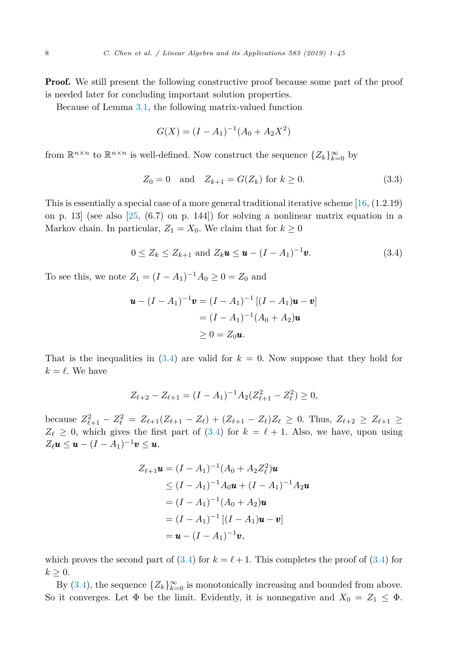<span id="page-7-0"></span>**Proof.** We still present the following constructive proof because some part of the proof is needed later for concluding important solution properties.

Because of Lemma [3.1,](#page-6-0) the following matrix-valued function

$$
G(X) = (I - A_1)^{-1} (A_0 + A_2 X^2)
$$

from  $\mathbb{R}^{n \times n}$  to  $\mathbb{R}^{n \times n}$  is well-defined. Now construct the sequence  $\{Z_k\}_{k=0}^{\infty}$  by

$$
Z_0 = 0
$$
 and  $Z_{k+1} = G(Z_k)$  for  $k \ge 0$ . (3.3)

This is essentially a special case of a more general traditional iterative scheme  $[16, (1.2.19)]$  $[16, (1.2.19)]$ on p. 13 (see also  $[25, (6.7)$  $[25, (6.7)$  on p. 144) for solving a nonlinear matrix equation in a Markov chain. In particular,  $Z_1 = X_0$ . We claim that for  $k \geq 0$ 

$$
0 \le Z_k \le Z_{k+1} \text{ and } Z_k \mathbf{u} \le \mathbf{u} - (I - A_1)^{-1} \mathbf{v}.
$$
 (3.4)

To see this, we note  $Z_1 = (I - A_1)^{-1}A_0 \geq 0 = Z_0$  and

$$
\mathbf{u} - (I - A_1)^{-1}\mathbf{v} = (I - A_1)^{-1} [(I - A_1)\mathbf{u} - \mathbf{v}]
$$
  
=  $(I - A_1)^{-1} (A_0 + A_2)\mathbf{u}$   
 $\ge 0 = Z_0 \mathbf{u}.$ 

That is the inequalities in  $(3.4)$  are valid for  $k = 0$ . Now suppose that they hold for  $k = \ell$ . We have

$$
Z_{\ell+2} - Z_{\ell+1} = (I - A_1)^{-1} A_2 (Z_{\ell+1}^2 - Z_{\ell}^2) \ge 0,
$$

because  $Z_{\ell+1}^2 - Z_{\ell}^2 = Z_{\ell+1}(Z_{\ell+1} - Z_{\ell}) + (Z_{\ell+1} - Z_{\ell})Z_{\ell} \ge 0$ . Thus,  $Z_{\ell+2} \ge Z_{\ell+1}$  ≥  $Z_{\ell} \geq 0$ , which gives the first part of (3.4) for  $k = \ell + 1$ . Also, we have, upon using  $Z_{\ell}$ **u**  $\leq$ **u**  $-I$  $I - A_1$  $\substack{I \rightharpoonup}$ **v**  $\leq$ **u**,

$$
Z_{\ell+1}\mathbf{u} = (I - A_1)^{-1}(A_0 + A_2 Z_{\ell}^2)\mathbf{u}
$$
  
\n
$$
\leq (I - A_1)^{-1}A_0\mathbf{u} + (I - A_1)^{-1}A_2\mathbf{u}
$$
  
\n
$$
= (I - A_1)^{-1}(A_0 + A_2)\mathbf{u}
$$
  
\n
$$
= (I - A_1)^{-1}[(I - A_1)\mathbf{u} - \mathbf{v}]
$$
  
\n
$$
= \mathbf{u} - (I - A_1)^{-1}\mathbf{v},
$$

which proves the second part of  $(3.4)$  for  $k = \ell + 1$ . This completes the proof of  $(3.4)$  for  $k \geq 0$ .

By (3.4), the sequence  $\{Z_k\}_{k=0}^{\infty}$  is monotonically increasing and bounded from above. So it converges. Let  $\Phi$  be the limit. Evidently, it is nonnegative and  $X_0 = Z_1 \leq \Phi$ .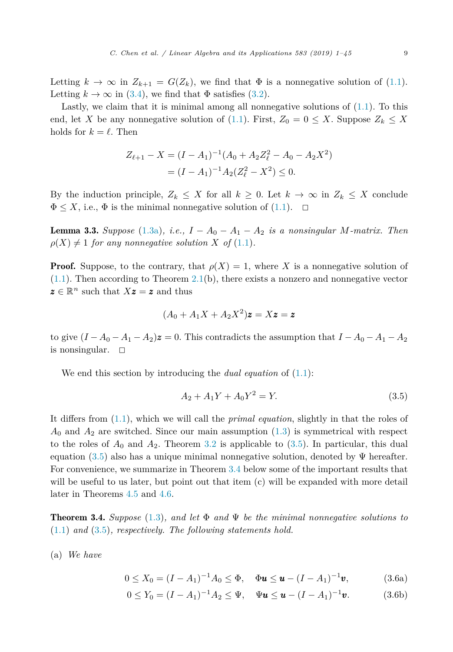<span id="page-8-0"></span>Letting  $k \to \infty$  in  $Z_{k+1} = G(Z_k)$ , we find that  $\Phi$  is a nonnegative solution of [\(1.1\)](#page-1-0). Letting  $k \to \infty$  in [\(3.4\)](#page-7-0), we find that  $\Phi$  satisfies [\(3.2\)](#page-6-0).

Lastly, we claim that it is minimal among all nonnegative solutions of [\(1.1\)](#page-1-0). To this end, let *X* be any nonnegative solution of [\(1.1\)](#page-1-0). First,  $Z_0 = 0 \leq X$ . Suppose  $Z_k \leq X$ holds for  $k = \ell$ . Then

$$
Z_{\ell+1} - X = (I - A_1)^{-1} (A_0 + A_2 Z_{\ell}^2 - A_0 - A_2 X^2)
$$
  
=  $(I - A_1)^{-1} A_2 (Z_{\ell}^2 - X^2) \le 0.$ 

By the induction principle,  $Z_k \leq X$  for all  $k \geq 0$ . Let  $k \to \infty$  in  $Z_k \leq X$  conclude  $\Phi \leq X$ , i.e.,  $\Phi$  is the minimal nonnegative solution of [\(1.1\)](#page-1-0).  $\Box$ 

**Lemma 3.3.** *Suppose* [\(1.3a\)](#page-2-0)*, i.e.,*  $I - A_0 - A_1 - A_2$  *is a nonsingular M-matrix. Then*  $\rho(X) \neq 1$  *for any nonnegative solution X of* [\(1.1\)](#page-1-0)*.* 

**Proof.** Suppose, to the contrary, that  $\rho(X) = 1$ , where X is a nonnegative solution of  $(1.1)$ . Then according to Theorem [2.1\(](#page-4-0)b), there exists a nonzero and nonnegative vector  $z \in \mathbb{R}^n$  such that  $Xz = z$  and thus

$$
(A_0 + A_1X + A_2X^2)\mathbf{z} = X\mathbf{z} = \mathbf{z}
$$

to give  $(I - A_0 - A_1 - A_2)z = 0$ . This contradicts the assumption that  $I - A_0 - A_1 - A_2$ is nonsingular.  $\square$ 

We end this section by introducing the *dual equation* of [\(1.1\)](#page-1-0):

$$
A_2 + A_1 Y + A_0 Y^2 = Y.
$$
\n(3.5)

It differs from [\(1.1\)](#page-1-0), which we will call the *primal equation*, slightly in that the roles of *A*<sup>0</sup> and *A*<sup>2</sup> are switched. Since our main assumption [\(1.3\)](#page-2-0) is symmetrical with respect to the roles of  $A_0$  and  $A_2$ . Theorem [3.2](#page-6-0) is applicable to  $(3.5)$ . In particular, this dual equation (3.5) also has a unique minimal nonnegative solution, denoted by  $\Psi$  hereafter. For convenience, we summarize in Theorem 3.4 below some of the important results that will be useful to us later, but point out that item (c) will be expanded with more detail later in Theorems [4.5](#page-13-0) and [4.6.](#page-15-0)

**Theorem 3.4.** Suppose [\(1.3\)](#page-2-0), and let  $\Phi$  and  $\Psi$  be the minimal nonnegative solutions to [\(1.1\)](#page-1-0) *and* (3.5)*, respectively. The following statements hold.*

(a) *We have*

$$
0 \le X_0 = (I - A_1)^{-1} A_0 \le \Phi, \quad \Phi \mathbf{u} \le \mathbf{u} - (I - A_1)^{-1} \mathbf{v}, \tag{3.6a}
$$

$$
0 \le Y_0 = (I - A_1)^{-1} A_2 \le \Psi, \quad \Psi \mathbf{u} \le \mathbf{u} - (I - A_1)^{-1} \mathbf{v}.
$$
 (3.6b)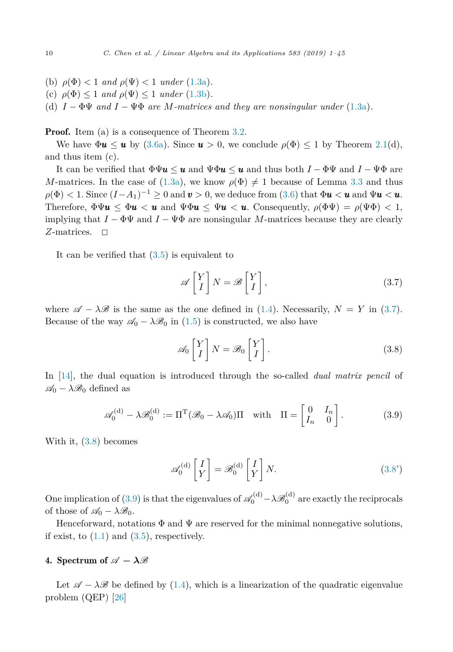- <span id="page-9-0"></span>(b)  $\rho(\Phi) < 1$  *and*  $\rho(\Psi) < 1$  *under* [\(1.3a\)](#page-2-0).
- (c)  $\rho(\Phi) \leq 1$  *and*  $\rho(\Psi) \leq 1$  *under* [\(1.3b\)](#page-2-0).
- (d)  $I \Phi \Psi$  *and*  $I \Psi \Phi$  *are M*-matrices and they are nonsingular under [\(1.3a\)](#page-2-0).

**Proof.** Item (a) is a consequence of Theorem [3.2.](#page-6-0)

We have  $\Phi u \leq u$  by [\(3.6a\)](#page-8-0). Since  $u > 0$ , we conclude  $\rho(\Phi) \leq 1$  by Theorem [2.1\(](#page-4-0)d), and thus item (c).

It can be verified that  $\Phi \Psi u \leq u$  and  $\Psi \Phi u \leq u$  and thus both  $I - \Phi \Psi$  and  $I - \Psi \Phi$  are *M*-matrices. In the case of [\(1.3a\)](#page-2-0), we know  $\rho(\Phi) \neq 1$  because of Lemma [3.3](#page-8-0) and thus  $\rho(\Phi) < 1$ . Since  $(I-A_1)^{-1} \geq 0$  and  $\boldsymbol{v} > 0$ , we deduce from [\(3.6\)](#page-8-0) that  $\Phi \boldsymbol{u} < \boldsymbol{u}$  and  $\Psi \boldsymbol{u} < \boldsymbol{u}$ . Therefore,  $\Phi \Psi \mathbf{u} \leq \Phi \mathbf{u} \leq \mathbf{u}$  and  $\Psi \Phi \mathbf{u} \leq \Psi \mathbf{u} \leq \mathbf{u}$ . Consequently,  $\rho(\Phi \Psi) = \rho(\Psi \Phi) \leq 1$ , implying that  $I - \Phi \Psi$  and  $I - \Psi \Phi$  are nonsingular *M*-matrices because they are clearly *Z*-matrices. □

It can be verified that [\(3.5\)](#page-8-0) is equivalent to

$$
\mathscr{A}\begin{bmatrix} Y \\ I \end{bmatrix} N = \mathscr{B}\begin{bmatrix} Y \\ I \end{bmatrix},\tag{3.7}
$$

where  $\mathscr{A} - \lambda \mathscr{B}$  is the same as the one defined in [\(1.4\)](#page-2-0). Necessarily,  $N = Y$  in (3.7). Because of the way  $\mathscr{A}_0 - \lambda \mathscr{B}_0$  in [\(1.5\)](#page-2-0) is constructed, we also have

$$
\mathscr{A}_0 \begin{bmatrix} Y \\ I \end{bmatrix} N = \mathscr{B}_0 \begin{bmatrix} Y \\ I \end{bmatrix} . \tag{3.8}
$$

In [\[14\]](#page-43-0), the dual equation is introduced through the so-called *dual matrix pencil* of  $\mathscr{A}_0 - \lambda \mathscr{B}_0$  defined as

$$
\mathscr{A}_0^{(d)} - \lambda \mathscr{B}_0^{(d)} := \Pi^{\mathrm{T}} (\mathscr{B}_0 - \lambda \mathscr{A}_0) \Pi \quad \text{with} \quad \Pi = \begin{bmatrix} 0 & I_n \\ I_n & 0 \end{bmatrix} . \tag{3.9}
$$

With it, (3.8) becomes

$$
\mathscr{A}_0^{(d)} \begin{bmatrix} I \\ Y \end{bmatrix} = \mathscr{B}_0^{(d)} \begin{bmatrix} I \\ Y \end{bmatrix} N. \tag{3.8'}
$$

One implication of (3.9) is that the eigenvalues of  $\mathscr{A}_0^{(d)} - \lambda \mathscr{B}_0^{(d)}$  are exactly the reciprocals of those of  $\mathscr{A}_0 - \lambda \mathscr{B}_0$ .

Henceforward, notations  $\Phi$  and  $\Psi$  are reserved for the minimal nonnegative solutions, if exist, to  $(1.1)$  and  $(3.5)$ , respectively.

# 4. Spectrum of  $\mathscr{A} - \lambda \mathscr{B}$

Let  $\mathscr{A} - \lambda \mathscr{B}$  be defined by [\(1.4\)](#page-2-0), which is a linearization of the quadratic eigenvalue problem (QEP) [\[26\]](#page-43-0)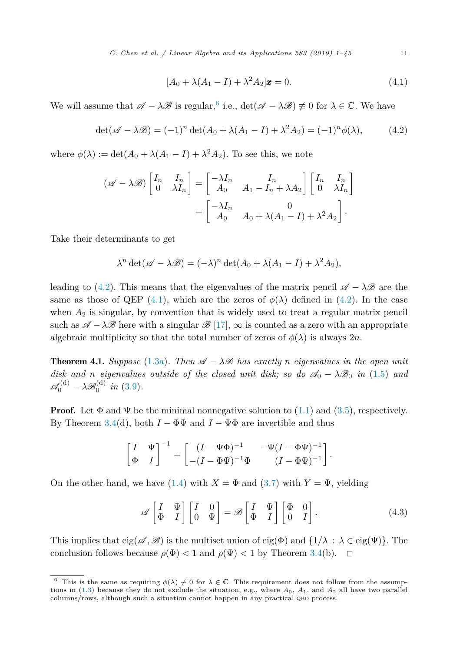*C. Chen et al. / Linear Algebra and its Applications 583 (2019) 1–45* 11

$$
[A_0 + \lambda(A_1 - I) + \lambda^2 A_2] \mathbf{x} = 0.
$$
 (4.1)

<span id="page-10-0"></span>We will assume that  $\mathscr{A} - \lambda \mathscr{B}$  is regular,<sup>6</sup> i.e.,  $\det(\mathscr{A} - \lambda \mathscr{B}) \not\equiv 0$  for  $\lambda \in \mathbb{C}$ . We have

$$
\det(\mathscr{A} - \lambda \mathscr{B}) = (-1)^n \det(A_0 + \lambda(A_1 - I) + \lambda^2 A_2) = (-1)^n \phi(\lambda), \tag{4.2}
$$

where  $\phi(\lambda) := \det(A_0 + \lambda(A_1 - I) + \lambda^2 A_2)$ . To see this, we note

$$
(\mathscr{A} - \lambda \mathscr{B}) \begin{bmatrix} I_n & I_n \\ 0 & \lambda I_n \end{bmatrix} = \begin{bmatrix} -\lambda I_n & I_n \\ A_0 & A_1 - I_n + \lambda A_2 \end{bmatrix} \begin{bmatrix} I_n & I_n \\ 0 & \lambda I_n \end{bmatrix}
$$

$$
= \begin{bmatrix} -\lambda I_n & 0 \\ A_0 & A_0 + \lambda (A_1 - I) + \lambda^2 A_2 \end{bmatrix}.
$$

Take their determinants to get

$$
\lambda^{n} \det(\mathscr{A} - \lambda \mathscr{B}) = (-\lambda)^{n} \det(A_0 + \lambda(A_1 - I) + \lambda^2 A_2),
$$

leading to (4.2). This means that the eigenvalues of the matrix pencil  $\mathscr{A} - \lambda \mathscr{B}$  are the same as those of QEP (4.1), which are the zeros of  $\phi(\lambda)$  defined in (4.2). In the case when  $A_2$  is singular, by convention that is widely used to treat a regular matrix pencil such as  $\mathscr{A} - \lambda \mathscr{B}$  here with a singular  $\mathscr{B}$  [\[17\]](#page-43-0),  $\infty$  is counted as a zero with an appropriate algebraic multiplicity so that the total number of zeros of  $\phi(\lambda)$  is always 2*n*.

**Theorem 4.1.** *Suppose* [\(1.3a\)](#page-2-0). *Then*  $\mathscr{A} - \lambda \mathscr{B}$  *has exactly n eigenvalues in the open unit disk and n eigenvalues outside of the closed unit disk; so do*  $\mathcal{A}_0 - \lambda \mathcal{B}_0$  *in* [\(1.5\)](#page-2-0) *and*  $\mathscr{A}_0^{(d)} - \lambda \mathscr{B}_0^{(d)}$  in [\(3.9\)](#page-9-0).

**Proof.** Let  $\Phi$  and  $\Psi$  be the minimal nonnegative solution to [\(1.1\)](#page-1-0) and [\(3.5\)](#page-8-0), respectively. By Theorem [3.4\(](#page-8-0)d), both  $I - \Phi \Psi$  and  $I - \Psi \Phi$  are invertible and thus

$$
\begin{bmatrix} I & \Psi \\ \Phi & I \end{bmatrix}^{-1} = \begin{bmatrix} (I - \Psi \Phi)^{-1} & -\Psi (I - \Phi \Psi)^{-1} \\ -(I - \Phi \Psi)^{-1} \Phi & (I - \Phi \Psi)^{-1} \end{bmatrix}.
$$

On the other hand, we have [\(1.4\)](#page-2-0) with  $X = \Phi$  and [\(3.7\)](#page-9-0) with  $Y = \Psi$ , yielding

$$
\mathscr{A}\begin{bmatrix} I & \Psi \\ \Phi & I \end{bmatrix} \begin{bmatrix} I & 0 \\ 0 & \Psi \end{bmatrix} = \mathscr{B}\begin{bmatrix} I & \Psi \\ \Phi & I \end{bmatrix} \begin{bmatrix} \Phi & 0 \\ 0 & I \end{bmatrix}.
$$
 (4.3)

This implies that  $eig(\mathscr{A}, \mathscr{B})$  is the multiset union of  $eig(\Phi)$  and  $\{1/\lambda : \lambda \in eig(\Psi)\}\$ . The conclusion follows because  $\rho(\Phi) < 1$  and  $\rho(\Psi) < 1$  by Theorem [3.4\(](#page-8-0)b).  $\Box$ 

<sup>&</sup>lt;sup>6</sup> This is the same as requiring  $\phi(\lambda) \neq 0$  for  $\lambda \in \mathbb{C}$ . This requirement does not follow from the assumptions in  $(1.3)$  because they do not exclude the situation, e.g., where  $A_0$ ,  $A_1$ , and  $A_2$  all have two parallel columns/rows, although such a situation cannot happen in any practical QBD process.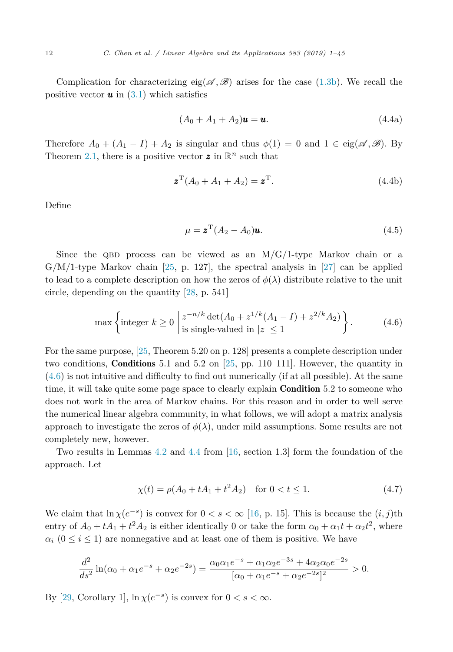<span id="page-11-0"></span>Complication for characterizing eig( $\mathscr{A}, \mathscr{B}$ ) arises for the case [\(1.3b\)](#page-2-0). We recall the positive vector  $\boldsymbol{u}$  in [\(3.1\)](#page-6-0) which satisfies

$$
(A_0 + A_1 + A_2)\mathbf{u} = \mathbf{u}.\tag{4.4a}
$$

Therefore  $A_0 + (A_1 - I) + A_2$  is singular and thus  $\phi(1) = 0$  and  $1 \in eig(\mathscr{A}, \mathscr{B})$ . By Theorem [2.1,](#page-4-0) there is a positive vector  $z$  in  $\mathbb{R}^n$  such that

$$
\boldsymbol{z}^{\mathrm{T}}(A_0 + A_1 + A_2) = \boldsymbol{z}^{\mathrm{T}}.
$$
\n(4.4b)

Define

$$
\mu = \mathbf{z}^{\mathrm{T}} (A_2 - A_0) \mathbf{u}.\tag{4.5}
$$

Since the QBD process can be viewed as an  $M/G/1$ -type Markov chain or a  $G/M/1$ -type Markov chain [\[25,](#page-43-0) p. 127], the spectral analysis in [\[27\]](#page-43-0) can be applied to lead to a complete description on how the zeros of  $\phi(\lambda)$  distribute relative to the unit circle, depending on the quantity [\[28,](#page-43-0) p. 541]

$$
\max\left\{\text{integer }k\geq 0\ \left|\frac{z^{-n/k}\det(A_0+z^{1/k}(A_1-I)+z^{2/k}A_2)}{\text{is single-valued in }|z|\leq 1}\right.\right\}.\tag{4.6}
$$

For the same purpose, [\[25,](#page-43-0) Theorem 5.20 on p. 128] presents a complete description under two conditions, **Conditions** 5.1 and 5.2 on  $[25, pp. 110-111]$  $[25, pp. 110-111]$ . However, the quantity in (4.6) is not intuitive and difficulty to find out numerically (if at all possible). At the same time, it will take quite some page space to clearly explain **Condition** 5.2 to someone who does not work in the area of Markov chains. For this reason and in order to well serve the numerical linear algebra community, in what follows, we will adopt a matrix analysis approach to investigate the zeros of  $\phi(\lambda)$ , under mild assumptions. Some results are not completely new, however.

Two results in Lemmas [4.2](#page-12-0) and [4.4](#page-13-0) from [\[16,](#page-43-0) section 1.3] form the foundation of the approach. Let

$$
\chi(t) = \rho(A_0 + tA_1 + t^2A_2) \quad \text{for } 0 < t \le 1. \tag{4.7}
$$

We claim that  $\ln \chi(e^{-s})$  is convex for  $0 < s < \infty$  [\[16,](#page-43-0) p. 15]. This is because the  $(i, j)$ th entry of  $A_0 + tA_1 + t^2A_2$  is either identically 0 or take the form  $\alpha_0 + \alpha_1 t + \alpha_2 t^2$ , where  $\alpha_i$  ( $0 \le i \le 1$ ) are nonnegative and at least one of them is positive. We have

$$
\frac{d^2}{ds^2}\ln(\alpha_0+\alpha_1e^{-s}+\alpha_2e^{-2s})=\frac{\alpha_0\alpha_1e^{-s}+\alpha_1\alpha_2e^{-3s}+4\alpha_2\alpha_0e^{-2s}}{[\alpha_0+\alpha_1e^{-s}+\alpha_2e^{-2s}]^2}>0.
$$

By [\[29,](#page-43-0) Corollary 1],  $\ln \chi(e^{-s})$  is convex for  $0 < s < \infty$ .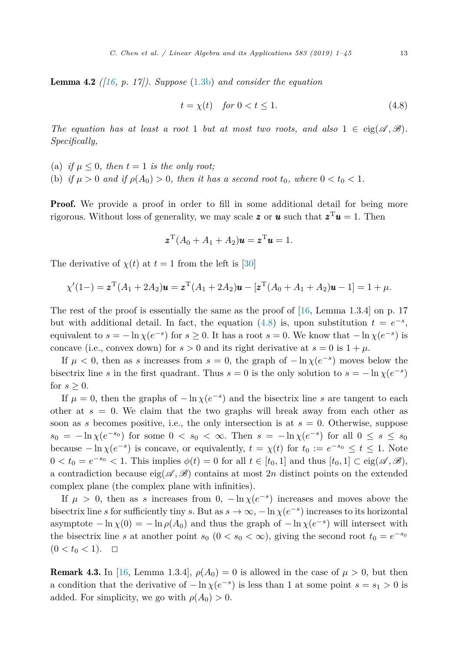<span id="page-12-0"></span>Lemma 4.2 *([\[16,](#page-43-0) p. 17]). Suppose* [\(1.3b\)](#page-2-0) *and consider the equation*

$$
t = \chi(t) \quad \text{for } 0 < t \le 1. \tag{4.8}
$$

*The equation has at least a root* 1 *but at most two roots, and also* 1 ∈ eig( $\mathscr{A}, \mathscr{B}$ ). *Specifically,*

- (a) *if*  $\mu \leq 0$ , *then*  $t = 1$  *is the only root;*
- (b) if  $\mu > 0$  and if  $\rho(A_0) > 0$ , then it has a second root  $t_0$ , where  $0 < t_0 < 1$ .

**Proof.** We provide a proof in order to fill in some additional detail for being more rigorous. Without loss of generality, we may scale **z** or **u** such that  $z^T u = 1$ . Then

$$
\boldsymbol{z}^{\mathrm{T}}(A_0+A_1+A_2)\boldsymbol{u}=\boldsymbol{z}^{\mathrm{T}}\boldsymbol{u}=1.
$$

The derivative of  $\chi(t)$  at  $t=1$  from the left is [\[30\]](#page-44-0)

$$
\chi'(1-) = \mathbf{z}^{T}(A_1 + 2A_2)\mathbf{u} = \mathbf{z}^{T}(A_1 + 2A_2)\mathbf{u} - [\mathbf{z}^{T}(A_0 + A_1 + A_2)\mathbf{u} - 1] = 1 + \mu.
$$

The rest of the proof is essentially the same as the proof of  $[16, \text{Lemma } 1.3.4]$  $[16, \text{Lemma } 1.3.4]$  on p. 17 but with additional detail. In fact, the equation (4.8) is, upon substitution  $t = e^{-s}$ , equivalent to  $s = -\ln \chi(e^{-s})$  for  $s \ge 0$ . It has a root  $s = 0$ . We know that  $-\ln \chi(e^{-s})$  is concave (i.e., convex down) for  $s > 0$  and its right derivative at  $s = 0$  is  $1 + \mu$ .

If  $\mu < 0$ , then as *s* increases from  $s = 0$ , the graph of  $-\ln \chi(e^{-s})$  moves below the bisectrix line *s* in the first quadrant. Thus  $s = 0$  is the only solution to  $s = -\ln \chi(e^{-s})$ for  $s \geq 0$ .

If  $\mu = 0$ , then the graphs of  $-\ln \chi(e^{-s})$  and the bisectrix line *s* are tangent to each other at  $s = 0$ . We claim that the two graphs will break away from each other as soon as *s* becomes positive, i.e., the only intersection is at  $s = 0$ . Otherwise, suppose  $s_0 = -\ln \chi(e^{-s_0})$  for some  $0 < s_0 < \infty$ . Then  $s = -\ln \chi(e^{-s})$  for all  $0 \le s \le s_0$ because  $-\ln \chi(e^{-s})$  is concave, or equivalently,  $t = \chi(t)$  for  $t_0 := e^{-s_0} \le t \le 1$ . Note  $0 < t_0 = e^{-s_0} < 1$ . This implies  $\phi(t) = 0$  for all  $t \in [t_0, 1]$  and thus  $[t_0, 1] \subset \text{eig}(\mathscr{A}, \mathscr{B})$ , a contradiction because  $eig(\mathscr{A}, \mathscr{B})$  contains at most 2*n* distinct points on the extended complex plane (the complex plane with infinities).

If  $\mu > 0$ , then as *s* increases from  $0$ ,  $-\ln \chi(e^{-s})$  increases and moves above the bisectrix line *s* for sufficiently tiny *s*. But as  $s \to \infty$ ,  $-\ln \chi(e^{-s})$  increases to its horizontal asymptote  $-\ln \chi(0) = -\ln \rho(A_0)$  and thus the graph of  $-\ln \chi(e^{-s})$  will intersect with the bisectrix line *s* at another point  $s_0$  (0 <  $s_0$  < ∞), giving the second root  $t_0 = e^{-s_0}$  $(0 < t_0 < 1).$ 

Remark 4.3. In [\[16,](#page-43-0) Lemma 1.3.4],  $\rho(A_0) = 0$  is allowed in the case of  $\mu > 0$ , but then a condition that the derivative of  $-\ln \chi(e^{-s})$  is less than 1 at some point  $s = s_1 > 0$  is added. For simplicity, we go with  $\rho(A_0) > 0$ .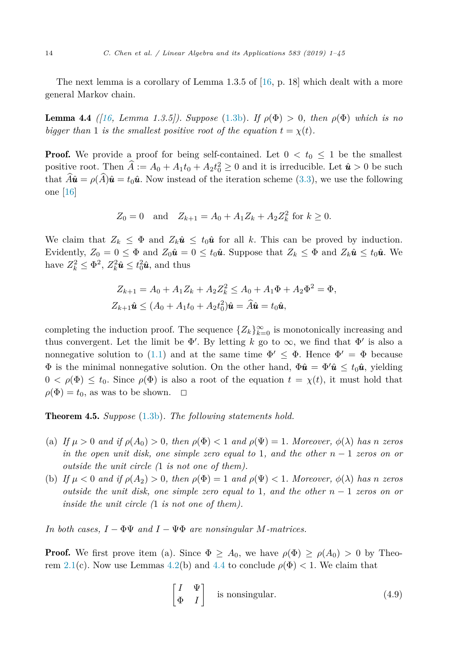<span id="page-13-0"></span>The next lemma is a corollary of Lemma 1.3.5 of [\[16,](#page-43-0) p. 18] which dealt with a more general Markov chain.

**Lemma 4.4** *(* $16$ , *Lemma 1.3.5))*. *Suppose* [\(1.3b\)](#page-2-0). *If*  $\rho(\Phi) > 0$ , *then*  $\rho(\Phi)$  *which is no bigger than* 1 *is the smallest positive root of the equation*  $t = \chi(t)$ *.* 

**Proof.** We provide a proof for being self-contained. Let  $0 < t_0 \leq 1$  be the smallest positive root. Then  $A := A_0 + A_1 t_0 + A_2 t_0^2 \geq 0$  and it is irreducible. Let  $\hat{u} > 0$  be such that  $\hat{A}\hat{\mathbf{u}} = \rho(\hat{A})\hat{\mathbf{u}} = t_0\hat{\mathbf{u}}$ . Now instead of the iteration scheme [\(3.3\)](#page-7-0), we use the following one [\[16\]](#page-43-0)

$$
Z_0 = 0
$$
 and  $Z_{k+1} = A_0 + A_1 Z_k + A_2 Z_k^2$  for  $k \ge 0$ .

We claim that  $Z_k \leq \Phi$  and  $Z_k \hat{u} \leq t_0 \hat{u}$  for all k. This can be proved by induction. Evidently,  $Z_0 = 0 \le \Phi$  and  $Z_0 \hat{u} = 0 \le t_0 \hat{u}$ . Suppose that  $Z_k \le \Phi$  and  $Z_k \hat{u} \le t_0 \hat{u}$ . We have  $Z_k^2 \le \Phi^2$ ,  $Z_k^2 \hat{u} \le t_0^2 \hat{u}$ , and thus

$$
Z_{k+1} = A_0 + A_1 Z_k + A_2 Z_k^2 \le A_0 + A_1 \Phi + A_2 \Phi^2 = \Phi,
$$
  

$$
Z_{k+1} \hat{\mathbf{u}} \le (A_0 + A_1 t_0 + A_2 t_0^2) \hat{\mathbf{u}} = \hat{A} \hat{\mathbf{u}} = t_0 \hat{\mathbf{u}},
$$

completing the induction proof. The sequence  $\{Z_k\}_{k=0}^{\infty}$  is monotonically increasing and thus convergent. Let the limit be  $\Phi'$ . By letting *k* go to  $\infty$ , we find that  $\Phi'$  is also a nonnegative solution to [\(1.1\)](#page-1-0) and at the same time  $\Phi' \leq \Phi$ . Hence  $\Phi' = \Phi$  because  $\Phi$  is the minimal nonnegative solution. On the other hand,  $\Phi \hat{u} = \Phi' \hat{u} \le t_0 \hat{u}$ , yielding  $0 < \rho(\Phi) \leq t_0$ . Since  $\rho(\Phi)$  is also a root of the equation  $t = \chi(t)$ , it must hold that  $\rho(\Phi) = t_0$ , as was to be shown.  $\Box$ 

Theorem 4.5. *Suppose* [\(1.3b\)](#page-2-0)*. The following statements hold.*

- (a) If  $\mu > 0$  and if  $\rho(A_0) > 0$ , then  $\rho(\Phi) < 1$  and  $\rho(\Psi) = 1$ . Moreover,  $\phi(\lambda)$  has n zeros  $\int$  *in* the open unit disk, one simple zero equal to 1, and the other  $n-1$  zeros on or *outside the unit circle (*1 *is not one of them).*
- (b) If  $\mu < 0$  and if  $\rho(A_2) > 0$ , then  $\rho(\Phi) = 1$  and  $\rho(\Psi) < 1$ . Moreover,  $\phi(\lambda)$  has n zeros *outside the unit disk, one simple zero equal to* 1*, and the other n* − 1 *zeros on or inside the unit circle (*1 *is not one of them).*

*In both cases,*  $I - \Phi \Psi$  *and*  $I - \Psi \Phi$  *are nonsingular M-matrices.* 

**Proof.** We first prove item (a). Since  $\Phi \geq A_0$ , we have  $\rho(\Phi) \geq \rho(A_0) > 0$  by Theo-rem [2.1\(](#page-4-0)c). Now use Lemmas [4.2\(](#page-12-0)b) and 4.4 to conclude  $\rho(\Phi) < 1$ . We claim that

$$
\begin{bmatrix} I & \Psi \\ \Phi & I \end{bmatrix}
$$
 is nonsingular. (4.9)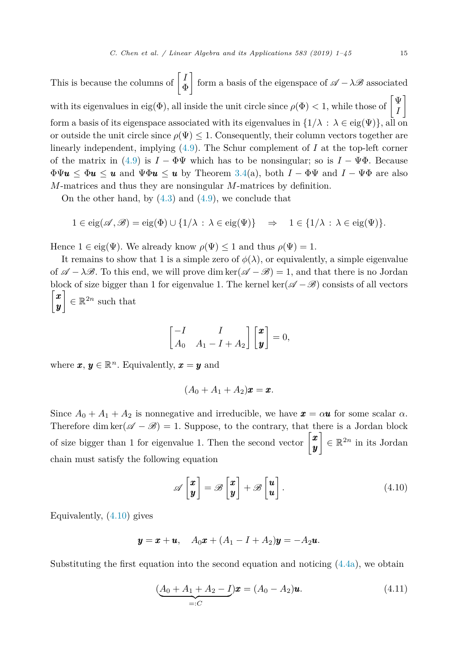<span id="page-14-0"></span>This is because the columns of  $\begin{bmatrix} I \\ \sigma \end{bmatrix}$ Φ 1 form a basis of the eigenspace of  $\mathscr{A} - \lambda \mathscr{B}$  associated with its eigenvalues in eig(Φ), all inside the unit circle since *<sup>ρ</sup>*(Φ) *<sup>&</sup>lt;* 1, while those of - Ψ *I* 1 form a basis of its eigenspace associated with its eigenvalues in  $\{1/\lambda : \lambda \in eig(\Psi)\}\$ , all on or outside the unit circle since  $\rho(\Psi) \leq 1$ . Consequently, their column vectors together are linearly independent, implying [\(4.9\)](#page-13-0). The Schur complement of *I* at the top-left corner of the matrix in [\(4.9\)](#page-13-0) is  $I - \Phi \Psi$  which has to be nonsingular; so is  $I - \Psi \Phi$ . Because  $\Phi\Psi$ **u**  $\leq \Phi$ **u**  $\leq$ **u** and  $\Psi\Phi$ **u**  $\leq$ **u** by Theorem [3.4\(](#page-8-0)a), both  $I - \Phi\Psi$  and  $I - \Psi\Phi$  are also *M*-matrices and thus they are nonsingular *M*-matrices by definition.

On the other hand, by  $(4.3)$  and  $(4.9)$ , we conclude that

$$
1 \in \text{eig}(\mathscr{A}, \mathscr{B}) = \text{eig}(\Phi) \cup \{1/\lambda : \lambda \in \text{eig}(\Psi)\} \Rightarrow 1 \in \{1/\lambda : \lambda \in \text{eig}(\Psi)\}.
$$

Hence  $1 \in \text{eig}(\Psi)$ . We already know  $\rho(\Psi) \leq 1$  and thus  $\rho(\Psi) = 1$ .

It remains to show that 1 is a simple zero of  $\phi(\lambda)$ , or equivalently, a simple eigenvalue of  $\mathscr{A} - \lambda \mathscr{B}$ . To this end, we will prove dim ker( $\mathscr{A} - \mathscr{B}$ ) = 1, and that there is no Jordan block of size bigger than 1 for eigenvalue 1. The kernel ker( $\mathscr{A} - \mathscr{B}$ ) consists of all vectors  $\lceil x \rceil$ *y*  $\Big] \in \mathbb{R}^{2n}$  such that

$$
\begin{bmatrix} -I & I \\ A_0 & A_1 - I + A_2 \end{bmatrix} \begin{bmatrix} x \\ y \end{bmatrix} = 0,
$$

where  $\boldsymbol{x}, \boldsymbol{y} \in \mathbb{R}^n$ . Equivalently,  $\boldsymbol{x} = \boldsymbol{y}$  and

$$
(A_0+A_1+A_2)\pmb{x}=\pmb{x}.
$$

Since  $A_0 + A_1 + A_2$  is nonnegative and irreducible, we have  $\mathbf{x} = \alpha \mathbf{u}$  for some scalar  $\alpha$ . Therefore dim ker( $\mathscr{A} - \mathscr{B}$ ) = 1. Suppose, to the contrary, that there is a Jordan block of size bigger than 1 for eigenvalue 1. Then the second vector  $\begin{bmatrix} x \\ y \end{bmatrix}$ *y*  $\Big] \in \mathbb{R}^{2n}$  in its Jordan chain must satisfy the following equation

$$
\mathscr{A}\begin{bmatrix} x \\ y \end{bmatrix} = \mathscr{B}\begin{bmatrix} x \\ y \end{bmatrix} + \mathscr{B}\begin{bmatrix} u \\ u \end{bmatrix}.
$$
 (4.10)

Equivalently, (4.10) gives

$$
\mathbf{y} = \mathbf{x} + \mathbf{u}, \quad A_0 \mathbf{x} + (A_1 - I + A_2) \mathbf{y} = -A_2 \mathbf{u}.
$$

Substituting the first equation into the second equation and noticing  $(4.4a)$ , we obtain

$$
(\underbrace{A_0 + A_1 + A_2 - I}_{=:C})\pmb{x} = (A_0 - A_2)\pmb{u}.
$$
\n(4.11)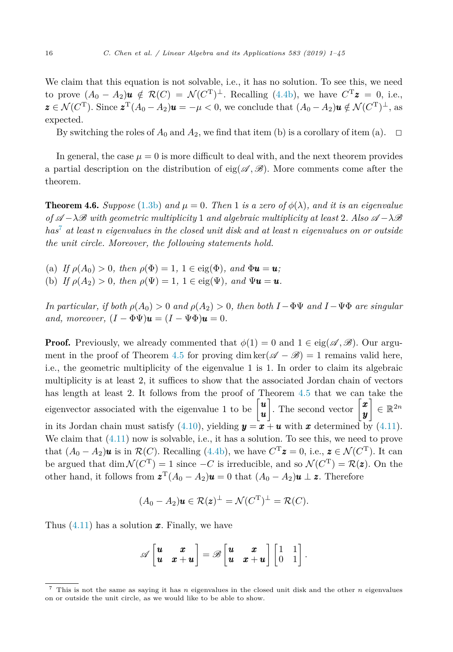<span id="page-15-0"></span>We claim that this equation is not solvable, i.e., it has no solution. To see this, we need to prove  $(A_0 - A_2)\mathbf{u} \notin \mathcal{R}(C) = \mathcal{N}(C^T)^{\perp}$ . Recalling [\(4.4b\)](#page-11-0), we have  $C^T\mathbf{z} = 0$ , i.e.,  $\mathbf{z} \in \mathcal{N}(C^{\mathrm{T}})$ . Since  $\mathbf{z}^{\mathrm{T}}(A_0 - A_2)\mathbf{u} = -\mu < 0$ , we conclude that  $(A_0 - A_2)\mathbf{u} \notin \mathcal{N}(C^{\mathrm{T}})^{\perp}$ , as expected.

By switching the roles of  $A_0$  and  $A_2$ , we find that item (b) is a corollary of item (a).  $\Box$ 

In general, the case  $\mu = 0$  is more difficult to deal with, and the next theorem provides a partial description on the distribution of eig( $\mathscr{A}, \mathscr{B}$ ). More comments come after the theorem.

**Theorem 4.6.** *Suppose* [\(1.3b\)](#page-2-0) and  $\mu = 0$ . Then 1 is a zero of  $\phi(\lambda)$ , and it is an eigenvalue  $\partial f \mathscr{A} - \lambda \mathscr{B}$  *with* geometric multiplicity 1 and algebraic multiplicity at least 2. Also  $\mathscr{A} - \lambda \mathscr{B}$ *has*<sup>7</sup> *at least n eigenvalues in the closed unit disk and at least n eigenvalues on or outside the unit circle. Moreover, the following statements hold.*

- (a) *If*  $\rho(A_0) > 0$ *, then*  $\rho(\Phi) = 1$ ,  $1 \in \text{eig}(\Phi)$ *, and*  $\Phi u = u$ *;*
- (b) *If*  $\rho(A_2) > 0$ *, then*  $\rho(\Psi) = 1$ ,  $1 \in \text{eig}(\Psi)$ *, and*  $\Psi \mathbf{u} = \mathbf{u}$ *.*

*In particular, if both*  $\rho(A_0) > 0$  *and*  $\rho(A_2) > 0$ *, then both*  $I - \Phi \Psi$  *and*  $I - \Psi \Phi$  *are singular and, moreover,*  $(I - \Phi \Psi)\mathbf{u} = (I - \Psi \Phi)\mathbf{u} = 0$ .

**Proof.** Previously, we already commented that  $\phi(1) = 0$  and  $1 \in \text{eig}(\mathscr{A}, \mathscr{B})$ . Our argu-ment in the proof of Theorem [4.5](#page-13-0) for proving dim ker( $\mathscr{A} - \mathscr{B}$ ) = 1 remains valid here, i.e., the geometric multiplicity of the eigenvalue 1 is 1. In order to claim its algebraic multiplicity is at least 2, it suffices to show that the associated Jordan chain of vectors has length at least 2. It follows from the proof of Theorem [4.5](#page-13-0) that we can take the eigenvector associated with the eigenvalue 1 to be  $\begin{bmatrix} u \\ v \end{bmatrix}$ *u* . The second vector  $\begin{bmatrix} x \\ y \end{bmatrix}$ *y*  $\Big] \in \mathbb{R}^{2n}$ in its Jordan chain must satisfy [\(4.10\)](#page-14-0), yielding  $y = x + u$  with x determined by [\(4.11\)](#page-14-0). We claim that  $(4.11)$  now is solvable, i.e., it has a solution. To see this, we need to prove that  $(A_0 - A_2)\mathbf{u}$  is in  $\mathcal{R}(C)$ . Recalling [\(4.4b\)](#page-11-0), we have  $C^T\mathbf{z} = 0$ , i.e.,  $\mathbf{z} \in \mathcal{N}(C^T)$ . It can be argued that  $\dim \mathcal{N}(C^T) = 1$  since  $-C$  is irreducible, and so  $\mathcal{N}(C^T) = \mathcal{R}(z)$ . On the other hand, it follows from  $z^T(A_0 - A_2)\mathbf{u} = 0$  that  $(A_0 - A_2)\mathbf{u} \perp \mathbf{z}$ . Therefore

$$
(A_0 - A_2)\mathbf{u} \in \mathcal{R}(\mathbf{z})^{\perp} = \mathcal{N}(C^{\mathrm{T}})^{\perp} = \mathcal{R}(C).
$$

Thus [\(4.11\)](#page-14-0) has a solution *x*. Finally, we have

$$
\mathscr{A}\begin{bmatrix} \boldsymbol{u} & \boldsymbol{x} \\ \boldsymbol{u} & \boldsymbol{x} + \boldsymbol{u} \end{bmatrix} = \mathscr{B}\begin{bmatrix} \boldsymbol{u} & \boldsymbol{x} \\ \boldsymbol{u} & \boldsymbol{x} + \boldsymbol{u} \end{bmatrix}\begin{bmatrix} 1 & 1 \\ 0 & 1 \end{bmatrix}.
$$

<sup>7</sup> This is not the same as saying it has *n* eigenvalues in the closed unit disk and the other *n* eigenvalues on or outside the unit circle, as we would like to be able to show.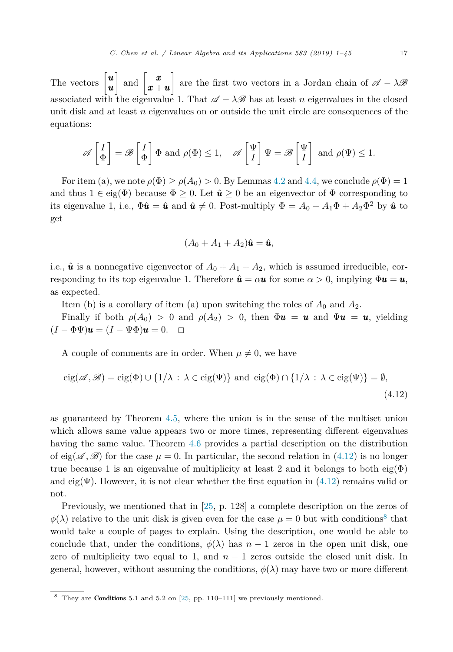<span id="page-16-0"></span>The vectors  $\begin{bmatrix} u \\ u \end{bmatrix}$ *u*  $\Big]$  and  $\Big[ \begin{matrix} x \\ x \end{matrix} \Big]$ *x* + *u* 1 are the first two vectors in a Jordan chain of  $\mathscr{A} - \lambda \mathscr{B}$ associated with the eigenvalue 1. That  $\mathscr{A} - \lambda \mathscr{B}$  has at least *n* eigenvalues in the closed unit disk and at least *n* eigenvalues on or outside the unit circle are consequences of the equations:

$$
\mathscr{A}\left[\begin{matrix}I\\\Phi\end{matrix}\right]=\mathscr{B}\left[\begin{matrix}I\\\Phi\end{matrix}\right]\Phi\text{ and }\rho(\Phi)\leq 1,\quad \mathscr{A}\left[\begin{matrix}\Psi\\I\end{matrix}\right]\Psi=\mathscr{B}\left[\begin{matrix}\Psi\\I\end{matrix}\right]\text{ and }\rho(\Psi)\leq 1.
$$

For item (a), we note  $\rho(\Phi) \geq \rho(A_0) > 0$ . By Lemmas [4.2](#page-12-0) and [4.4,](#page-13-0) we conclude  $\rho(\Phi) = 1$ and thus  $1 \in eig(\Phi)$  because  $\Phi \geq 0$ . Let  $\hat{u} \geq 0$  be an eigenvector of  $\Phi$  corresponding to its eigenvalue 1, i.e.,  $\Phi \hat{u} = \hat{u}$  and  $\hat{u} \neq 0$ . Post-multiply  $\Phi = A_0 + A_1 \Phi + A_2 \Phi^2$  by  $\hat{u}$  to get

$$
(A_0 + A_1 + A_2)\hat{\boldsymbol{u}} = \hat{\boldsymbol{u}},
$$

i.e.,  $\hat{u}$  is a nonnegative eigenvector of  $A_0 + A_1 + A_2$ , which is assumed irreducible, corresponding to its top eigenvalue 1. Therefore  $\hat{u} = \alpha u$  for some  $\alpha > 0$ , implying  $\Phi u = u$ , as expected.

Item (b) is a corollary of item (a) upon switching the roles of  $A_0$  and  $A_2$ .

Finally if both  $\rho(A_0) > 0$  and  $\rho(A_2) > 0$ , then  $\Phi u = u$  and  $\Psi u = u$ , yielding  $(I - \Phi \Psi)\mathbf{u} = (I - \Psi \Phi)\mathbf{u} = 0.$   $\Box$ 

A couple of comments are in order. When  $\mu \neq 0$ , we have

$$
eig(\mathscr{A}, \mathscr{B}) = eig(\Phi) \cup \{1/\lambda : \lambda \in eig(\Psi)\} \text{ and } eig(\Phi) \cap \{1/\lambda : \lambda \in eig(\Psi)\} = \emptyset,
$$
\n(4.12)

as guaranteed by Theorem [4.5,](#page-13-0) where the union is in the sense of the multiset union which allows same value appears two or more times, representing different eigenvalues having the same value. Theorem [4.6](#page-15-0) provides a partial description on the distribution of eig( $\mathscr{A}, \mathscr{B}$ ) for the case  $\mu = 0$ . In particular, the second relation in (4.12) is no longer true because 1 is an eigenvalue of multiplicity at least 2 and it belongs to both eig( $\Phi$ ) and eig $(\Psi)$ . However, it is not clear whether the first equation in  $(4.12)$  remains valid or not.

Previously, we mentioned that in [\[25,](#page-43-0) p. 128] a complete description on the zeros of  $\phi(\lambda)$  relative to the unit disk is given even for the case  $\mu = 0$  but with conditions<sup>8</sup> that would take a couple of pages to explain. Using the description, one would be able to conclude that, under the conditions,  $\phi(\lambda)$  has  $n-1$  zeros in the open unit disk, one zero of multiplicity two equal to 1, and  $n-1$  zeros outside the closed unit disk. In general, however, without assuming the conditions,  $\phi(\lambda)$  may have two or more different

 $8$  They are Conditions 5.1 and 5.2 on [\[25,](#page-43-0) pp. 110–111] we previously mentioned.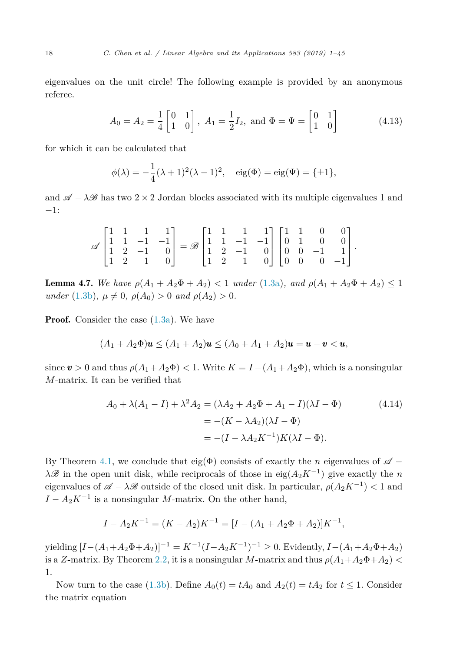<span id="page-17-0"></span>eigenvalues on the unit circle! The following example is provided by an anonymous referee.

$$
A_0 = A_2 = \frac{1}{4} \begin{bmatrix} 0 & 1 \\ 1 & 0 \end{bmatrix}
$$
,  $A_1 = \frac{1}{2}I_2$ , and  $\Phi = \Psi = \begin{bmatrix} 0 & 1 \\ 1 & 0 \end{bmatrix}$  (4.13)

for which it can be calculated that

$$
\phi(\lambda) = -\frac{1}{4}(\lambda + 1)^2(\lambda - 1)^2, \quad \text{eig}(\Phi) = \text{eig}(\Psi) = {\pm 1},
$$

and  $\mathscr{A} - \lambda \mathscr{B}$  has two 2 × 2 Jordan blocks associated with its multiple eigenvalues 1 and −1:

$$
\mathscr{A}\begin{bmatrix} 1 & 1 & 1 & 1 \\ 1 & 1 & -1 & -1 \\ 1 & 2 & -1 & 0 \\ 1 & 2 & 1 & 0 \end{bmatrix} = \mathscr{B}\begin{bmatrix} 1 & 1 & 1 & 1 \\ 1 & 1 & -1 & -1 \\ 1 & 2 & -1 & 0 \\ 1 & 2 & 1 & 0 \end{bmatrix} \begin{bmatrix} 1 & 1 & 0 & 0 \\ 0 & 1 & 0 & 0 \\ 0 & 0 & -1 & 1 \\ 0 & 0 & 0 & -1 \end{bmatrix}.
$$

**Lemma 4.7.** We have  $\rho(A_1 + A_2\Phi + A_2) < 1$  *under* [\(1.3a\)](#page-2-0), and  $\rho(A_1 + A_2\Phi + A_2) \leq 1$  $u$ *nder* [\(1.3b\)](#page-2-0),  $\mu \neq 0$ ,  $\rho(A_0) > 0$  *and*  $\rho(A_2) > 0$ .

**Proof.** Consider the case  $(1.3a)$ . We have

$$
(A_1 + A_2 \Phi)u \le (A_1 + A_2)u \le (A_0 + A_1 + A_2)u = u - v < u,
$$

since  $v > 0$  and thus  $\rho(A_1 + A_2 \Phi) < 1$ . Write  $K = I - (A_1 + A_2 \Phi)$ , which is a nonsingular *M*-matrix. It can be verified that

$$
A_0 + \lambda(A_1 - I) + \lambda^2 A_2 = (\lambda A_2 + A_2 \Phi + A_1 - I)(\lambda I - \Phi)
$$
(4.14)  
= -(K - \lambda A\_2)(\lambda I - \Phi)  
= -(I - \lambda A\_2 K^{-1})K(\lambda I - \Phi).

By Theorem [4.1,](#page-10-0) we conclude that eig( $\Phi$ ) consists of exactly the *n* eigenvalues of  $\mathscr{A}$  − *λ* $\mathscr B$  in the open unit disk, while reciprocals of those in eig( $A_2K^{-1}$ ) give exactly the *n* eigenvalues of  $\mathscr{A} - \lambda \mathscr{B}$  outside of the closed unit disk. In particular,  $\rho(A_2K^{-1}) < 1$  and  $I - A_2 K^{-1}$  is a nonsingular *M*-matrix. On the other hand,

$$
I - A_2 K^{-1} = (K - A_2)K^{-1} = [I - (A_1 + A_2 \Phi + A_2)]K^{-1},
$$

 $y$ ielding  $[I-(A_1+A_2\Phi+A_2)]^{-1} = K^{-1}(I-A_2K^{-1})^{-1} \geq 0$ . Evidently,  $I-(A_1+A_2\Phi+A_2)$ is a *Z*-matrix. By Theorem [2.2,](#page-5-0) it is a nonsingular *M*-matrix and thus  $\rho(A_1+A_2\Phi+A_2)$  < 1.

Now turn to the case [\(1.3b\)](#page-2-0). Define  $A_0(t) = tA_0$  and  $A_2(t) = tA_2$  for  $t \le 1$ . Consider the matrix equation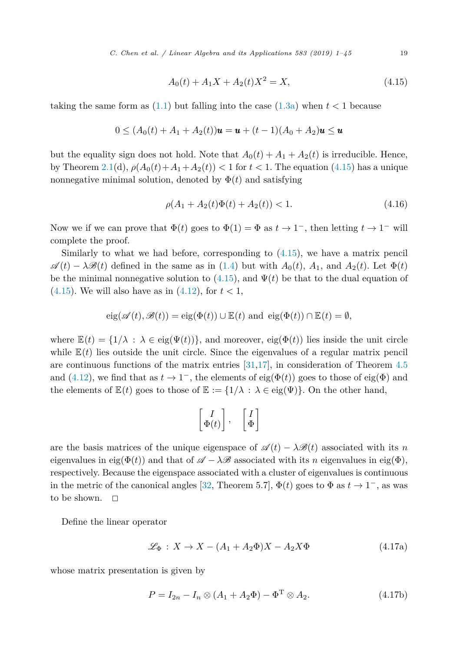*C. Chen et al. / Linear Algebra and its Applications 583 (2019) 1–45* 19

$$
A_0(t) + A_1 X + A_2(t)X^2 = X,
$$
\n(4.15)

<span id="page-18-0"></span>taking the same form as  $(1.1)$  but falling into the case  $(1.3a)$  when  $t < 1$  because

$$
0 \le (A_0(t) + A_1 + A_2(t))\mathbf{u} = \mathbf{u} + (t-1)(A_0 + A_2)\mathbf{u} \le \mathbf{u}
$$

but the equality sign does not hold. Note that  $A_0(t) + A_1 + A_2(t)$  is irreducible. Hence, by Theorem [2.1\(](#page-4-0)d),  $\rho(A_0(t) + A_1 + A_2(t)) < 1$  for  $t < 1$ . The equation (4.15) has a unique nonnegative minimal solution, denoted by  $\Phi(t)$  and satisfying

$$
\rho(A_1 + A_2(t)\Phi(t) + A_2(t)) < 1. \tag{4.16}
$$

Now we if we can prove that  $\Phi(t)$  goes to  $\Phi(1) = \Phi$  as  $t \to 1^-$ , then letting  $t \to 1^-$  will complete the proof.

Similarly to what we had before, corresponding to (4.15), we have a matrix pencil  $\mathscr{A}(t) - \lambda \mathscr{B}(t)$  defined in the same as in [\(1.4\)](#page-2-0) but with  $A_0(t)$ ,  $A_1$ , and  $A_2(t)$ . Let  $\Phi(t)$ be the minimal nonnegative solution to  $(4.15)$ , and  $\Psi(t)$  be that to the dual equation of (4.15). We will also have as in  $(4.12)$ , for  $t < 1$ ,

$$
eig(\mathscr{A}(t),\mathscr{B}(t)) = eig(\Phi(t)) \cup \mathbb{E}(t) \text{ and } eig(\Phi(t)) \cap \mathbb{E}(t) = \emptyset,
$$

where  $\mathbb{E}(t) = \{1/\lambda : \lambda \in \text{eig}(\Psi(t))\}$ , and moreover,  $\text{eig}(\Phi(t))$  lies inside the unit circle while  $E(t)$  lies outside the unit circle. Since the eigenvalues of a regular matrix pencil are continuous functions of the matrix entries  $[31,17]$  $[31,17]$ , in consideration of Theorem [4.5](#page-13-0) and [\(4.12\)](#page-16-0), we find that as  $t \to 1^-$ , the elements of eig( $\Phi(t)$ ) goes to those of eig( $\Phi$ ) and the elements of  $\mathbb{E}(t)$  goes to those of  $\mathbb{E} := \{1/\lambda : \lambda \in eig(\Psi)\}\.$  On the other hand,

$$
\begin{bmatrix} I \\ \Phi(t) \end{bmatrix}, \quad \begin{bmatrix} I \\ \Phi \end{bmatrix}
$$

are the basis matrices of the unique eigenspace of  $\mathscr{A}(t) - \lambda \mathscr{B}(t)$  associated with its *n* eigenvalues in eig( $\Phi(t)$ ) and that of  $\mathscr{A} - \lambda \mathscr{B}$  associated with its *n* eigenvalues in eig( $\Phi$ ), respectively. Because the eigenspace associated with a cluster of eigenvalues is continuous in the metric of the canonical angles [\[32,](#page-44-0) Theorem 5.7],  $\Phi(t)$  goes to  $\Phi$  as  $t \to 1^-$ , as was to be shown.  $\Box$ 

Define the linear operator

$$
\mathcal{L}_{\Phi}: X \to X - (A_1 + A_2 \Phi)X - A_2 X \Phi \tag{4.17a}
$$

whose matrix presentation is given by

$$
P = I_{2n} - I_n \otimes (A_1 + A_2 \Phi) - \Phi^{\mathrm{T}} \otimes A_2.
$$
 (4.17b)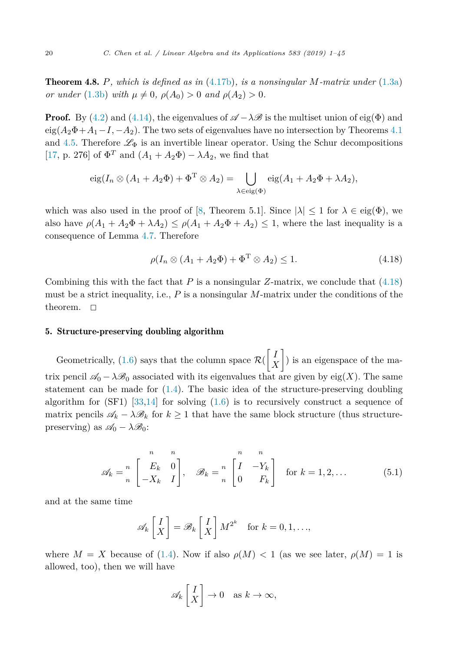<span id="page-19-0"></span>Theorem 4.8. *P, which is defined as in* [\(4.17b\)](#page-18-0)*, is a nonsingular M-matrix under* [\(1.3a\)](#page-2-0) *or under* [\(1.3b\)](#page-2-0) *with*  $\mu \neq 0$ ,  $\rho(A_0) > 0$  *and*  $\rho(A_2) > 0$ .

**Proof.** By [\(4.2\)](#page-10-0) and [\(4.14\)](#page-17-0), the eigenvalues of  $\mathscr{A} - \lambda \mathscr{B}$  is the multiset union of eig( $\Phi$ ) and  $eig(A_2\Phi+A_1-I, -A_2)$ . The two sets of eigenvalues have no intersection by Theorems [4.1](#page-10-0) and [4.5.](#page-13-0) Therefore  $\mathscr{L}_{\Phi}$  is an invertible linear operator. Using the Schur decompositions [\[17,](#page-43-0) p. 276] of  $\Phi^T$  and  $(A_1 + A_2 \Phi) - \lambda A_2$ , we find that

$$
eig(I_n \otimes (A_1 + A_2 \Phi) + \Phi^T \otimes A_2) = \bigcup_{\lambda \in eig(\Phi)} eig(A_1 + A_2 \Phi + \lambda A_2),
$$

which was also used in the proof of [\[8,](#page-43-0) Theorem 5.1]. Since  $|\lambda| \leq 1$  for  $\lambda \in eig(\Phi)$ , we also have  $\rho(A_1 + A_2\Phi + \lambda A_2) \leq \rho(A_1 + A_2\Phi + A_2) \leq 1$ , where the last inequality is a consequence of Lemma [4.7.](#page-17-0) Therefore

$$
\rho(I_n \otimes (A_1 + A_2 \Phi) + \Phi^{\mathrm{T}} \otimes A_2) \le 1. \tag{4.18}
$$

Combining this with the fact that  $P$  is a nonsingular  $Z$ -matrix, we conclude that  $(4.18)$ must be a strict inequality, i.e., *P* is a nonsingular *M*-matrix under the conditions of the theorem.  $\square$ 

#### 5. Structure-preserving doubling algorithm

Geometrically,  $(1.6)$  says that the column space  $\mathcal{R}$ - *I X* 1 ) is an eigenspace of the matrix pencil  $\mathscr{A}_0 - \lambda \mathscr{B}_0$  associated with its eigenvalues that are given by eig(*X*). The same statement can be made for  $(1.4)$ . The basic idea of the structure-preserving doubling algorithm for  $(SF1)$  [\[33](#page-44-0)[,14\]](#page-43-0) for solving  $(1.6)$  is to recursively construct a sequence of matrix pencils  $\mathscr{A}_k - \lambda \mathscr{B}_k$  for  $k \geq 1$  that have the same block structure (thus structurepreserving) as  $\mathscr{A}_0 - \lambda \mathscr{B}_0$ :

$$
\mathscr{A}_k = \begin{bmatrix} n & n \\ E_k & 0 \\ -X_k & I \end{bmatrix}, \quad \mathscr{B}_k = \begin{bmatrix} n & n \\ I & -Y_k \\ 0 & F_k \end{bmatrix} \quad \text{for } k = 1, 2, \dots \tag{5.1}
$$

and at the same time

$$
\mathscr{A}_k \begin{bmatrix} I \\ X \end{bmatrix} = \mathscr{B}_k \begin{bmatrix} I \\ X \end{bmatrix} M^{2^k} \text{ for } k = 0, 1, ...,
$$

where  $M = X$  because of [\(1.4\)](#page-2-0). Now if also  $\rho(M) < 1$  (as we see later,  $\rho(M) = 1$  is allowed, too), then we will have

$$
\mathscr{A}_k \left[ \begin{array}{c} I \\ X \end{array} \right] \to 0 \quad \text{as } k \to \infty,
$$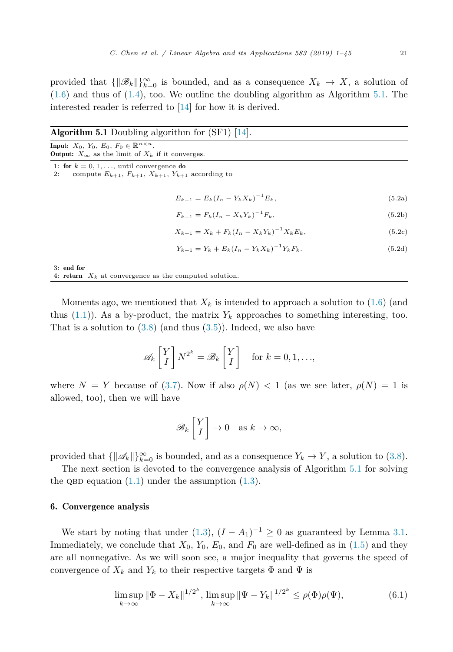<span id="page-20-0"></span>provided that  $\{\|\mathscr{B}_k\|\}_{k=0}^{\infty}$  is bounded, and as a consequence  $X_k \to X$ , a solution of  $(1.6)$  and thus of  $(1.4)$ , too. We outline the doubling algorithm as Algorithm 5.1. The interested reader is referred to [\[14\]](#page-43-0) for how it is derived.

|                                                                                                                                        | <b>Algorithm 5.1</b> Doubling algorithm for $(SF1)$ [14].          |        |
|----------------------------------------------------------------------------------------------------------------------------------------|--------------------------------------------------------------------|--------|
| <b>Input:</b> $X_0, Y_0, E_0, F_0 \in \mathbb{R}^{n \times n}$ .<br><b>Output:</b> $X_{\infty}$ as the limit of $X_k$ if it converges. |                                                                    |        |
| 1: for $k = 0, 1, \ldots$ , until convergence do<br>2:                                                                                 | compute $E_{k+1}$ , $F_{k+1}$ , $X_{k+1}$ , $Y_{k+1}$ according to |        |
|                                                                                                                                        | $E_{k+1} = E_k (I_n - Y_k X_k)^{-1} E_k,$                          | (5.2a) |
|                                                                                                                                        | $F_{k+1} = F_k (I_n - X_k Y_k)^{-1} F_k,$                          | (5.2b) |
|                                                                                                                                        | $X_{k+1} = X_k + F_k (I_n - X_k Y_k)^{-1} X_k E_k,$                | (5.2c) |
|                                                                                                                                        | $Y_{k+1} = Y_k + E_k (I_n - Y_k X_k)^{-1} Y_k F_k.$                | (5.2d) |
| 3: end for<br>4: return $X_k$ at convergence as the computed solution.                                                                 |                                                                    |        |

Moments ago, we mentioned that  $X_k$  is intended to approach a solution to  $(1.6)$  (and thus  $(1.1)$ . As a by-product, the matrix  $Y_k$  approaches to something interesting, too. That is a solution to  $(3.8)$  (and thus  $(3.5)$ ). Indeed, we also have

$$
\mathscr{A}_k \begin{bmatrix} Y \\ I \end{bmatrix} N^{2^k} = \mathscr{B}_k \begin{bmatrix} Y \\ I \end{bmatrix} \quad \text{for } k = 0, 1, \dots,
$$

where  $N = Y$  because of [\(3.7\)](#page-9-0). Now if also  $\rho(N) < 1$  (as we see later,  $\rho(N) = 1$  is allowed, too), then we will have

$$
\mathscr{B}_k \begin{bmatrix} Y \\ I \end{bmatrix} \to 0 \quad \text{as } k \to \infty,
$$

provided that  $\{\|\mathscr{A}_k\|\}_{k=0}^{\infty}$  is bounded, and as a consequence  $Y_k \to Y$ , a solution to [\(3.8\)](#page-9-0).

The next section is devoted to the convergence analysis of Algorithm 5.1 for solving the QBD equation  $(1.1)$  under the assumption  $(1.3)$ .

# 6. Convergence analysis

We start by noting that under [\(1.3\)](#page-2-0),  $(I - A_1)^{-1} \geq 0$  as guaranteed by Lemma [3.1.](#page-6-0) Immediately, we conclude that  $X_0$ ,  $Y_0$ ,  $E_0$ , and  $F_0$  are well-defined as in [\(1.5\)](#page-2-0) and they are all nonnegative. As we will soon see, a major inequality that governs the speed of convergence of  $X_k$  and  $Y_k$  to their respective targets  $\Phi$  and  $\Psi$  is

$$
\limsup_{k \to \infty} \|\Phi - X_k\|^{1/2^k}, \limsup_{k \to \infty} \|\Psi - Y_k\|^{1/2^k} \le \rho(\Phi)\rho(\Psi),\tag{6.1}
$$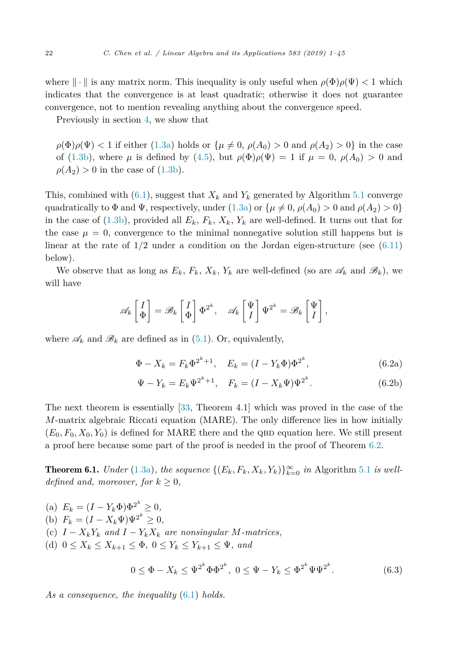<span id="page-21-0"></span>where  $\|\cdot\|$  is any matrix norm. This inequality is only useful when  $\rho(\Phi)\rho(\Psi) < 1$  which indicates that the convergence is at least quadratic; otherwise it does not guarantee convergence, not to mention revealing anything about the convergence speed.

Previously in section [4,](#page-9-0) we show that

 $\rho(\Phi)\rho(\Psi) < 1$  if either [\(1.3a\)](#page-2-0) holds or  $\{\mu \neq 0, \rho(A_0) > 0 \text{ and } \rho(A_2) > 0\}$  in the case of [\(1.3b\)](#page-2-0), where  $\mu$  is defined by [\(4.5\)](#page-11-0), but  $\rho(\Phi)\rho(\Psi) = 1$  if  $\mu = 0$ ,  $\rho(A_0) > 0$  and  $\rho(A_2) > 0$  in the case of [\(1.3b\)](#page-2-0).

This, combined with  $(6.1)$ , suggest that  $X_k$  and  $Y_k$  generated by Algorithm [5.1](#page-20-0) converge quadratically to  $\Phi$  and  $\Psi$ , respectively, under [\(1.3a\)](#page-2-0) or  $\{\mu \neq 0, \rho(A_0) > 0 \text{ and } \rho(A_2) > 0\}$ in the case of [\(1.3b\)](#page-2-0), provided all  $E_k$ ,  $F_k$ ,  $X_k$ ,  $Y_k$  are well-defined. It turns out that for the case  $\mu = 0$ , convergence to the minimal nonnegative solution still happens but is linear at the rate of  $1/2$  under a condition on the Jordan eigen-structure (see  $(6.11)$ ) below).

We observe that as long as  $E_k$ ,  $F_k$ ,  $X_k$ ,  $Y_k$  are well-defined (so are  $\mathscr{A}_k$  and  $\mathscr{B}_k$ ), we will have

$$
\mathscr{A}_k \begin{bmatrix} I \\ \Phi \end{bmatrix} = \mathscr{B}_k \begin{bmatrix} I \\ \Phi \end{bmatrix} \Phi^{2^k}, \quad \mathscr{A}_k \begin{bmatrix} \Psi \\ I \end{bmatrix} \Psi^{2^k} = \mathscr{B}_k \begin{bmatrix} \Psi \\ I \end{bmatrix},
$$

where  $\mathscr{A}_k$  and  $\mathscr{B}_k$  are defined as in [\(5.1\)](#page-19-0). Or, equivalently,

$$
\Phi - X_k = F_k \Phi^{2^k + 1}, \quad E_k = (I - Y_k \Phi) \Phi^{2^k}, \tag{6.2a}
$$

$$
\Psi - Y_k = E_k \Psi^{2^k + 1}, \quad F_k = (I - X_k \Psi) \Psi^{2^k}.
$$
\n(6.2b)

The next theorem is essentially [\[33,](#page-44-0) Theorem 4.1] which was proved in the case of the *M*-matrix algebraic Riccati equation (MARE). The only difference lies in how initially  $(E_0, F_0, X_0, Y_0)$  is defined for MARE there and the QBD equation here. We still present a proof here because some part of the proof is needed in the proof of Theorem [6.2.](#page-23-0)

**Theorem 6.1.** *Under* [\(1.3a\)](#page-2-0), *the sequence*  $\{(E_k, F_k, X_k, Y_k)\}_{k=0}^{\infty}$  *in* Algorithm [5.1](#page-20-0) *is welldefined* and, moreover, for  $k \geq 0$ ,

(a)  $E_k = (I - Y_k \Phi) \Phi^{2^k} \geq 0,$ (b)  $F_k = (I - X_k \Psi) \Psi^{2^k} \ge 0,$ (c)  $I - X_k Y_k$  and  $I - Y_k X_k$  are nonsingular *M*-matrices, (d) 0 ≤ *X<sup>k</sup>* ≤ *X<sup>k</sup>*+1 ≤ Φ*,* 0 ≤ *Y<sup>k</sup>* ≤ *Y<sup>k</sup>*+1 ≤ Ψ*, and*

$$
0 \le \Phi - X_k \le \Psi^{2^k} \Phi \Phi^{2^k}, \ 0 \le \Psi - Y_k \le \Phi^{2^k} \Psi \Psi^{2^k}.
$$
 (6.3)

*As a consequence, the inequality* [\(6.1\)](#page-20-0) *holds.*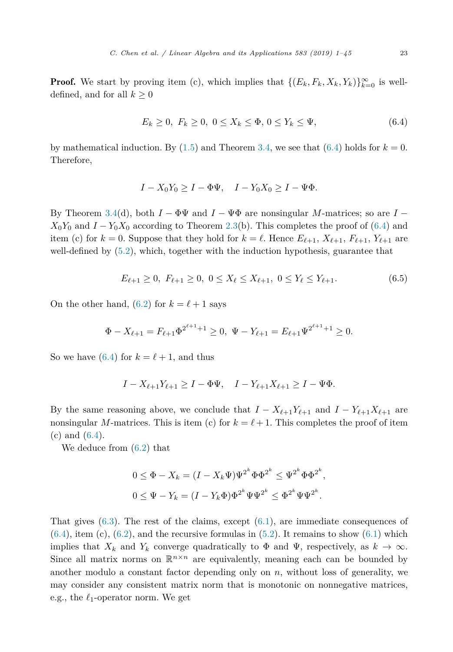<span id="page-22-0"></span>**Proof.** We start by proving item (c), which implies that  $\{(E_k, F_k, X_k, Y_k)\}_{k=0}^{\infty}$  is welldefined, and for all  $k \geq 0$ 

$$
E_k \ge 0, \ F_k \ge 0, \ 0 \le X_k \le \Phi, \ 0 \le Y_k \le \Psi,
$$
\n(6.4)

by mathematical induction. By  $(1.5)$  and Theorem [3.4,](#page-8-0) we see that  $(6.4)$  holds for  $k = 0$ . Therefore,

$$
I - X_0 Y_0 \ge I - \Phi \Psi, \quad I - Y_0 X_0 \ge I - \Psi \Phi.
$$

By Theorem [3.4\(](#page-8-0)d), both  $I - \Phi \Psi$  and  $I - \Psi \Phi$  are nonsingular *M*-matrices; so are  $I X_0Y_0$  and  $I - Y_0X_0$  according to Theorem [2.3\(](#page-5-0)b). This completes the proof of (6.4) and item (c) for  $k = 0$ . Suppose that they hold for  $k = \ell$ . Hence  $E_{\ell+1}$ ,  $X_{\ell+1}$ ,  $F_{\ell+1}$ ,  $Y_{\ell+1}$  are well-defined by [\(5.2\)](#page-20-0), which, together with the induction hypothesis, guarantee that

$$
E_{\ell+1} \ge 0, \ F_{\ell+1} \ge 0, \ 0 \le X_{\ell} \le X_{\ell+1}, \ 0 \le Y_{\ell} \le Y_{\ell+1}.
$$

On the other hand,  $(6.2)$  for  $k = \ell + 1$  says

$$
\Phi - X_{\ell+1} = F_{\ell+1} \Phi^{2^{\ell+1}+1} \ge 0, \ \Psi - Y_{\ell+1} = E_{\ell+1} \Psi^{2^{\ell+1}+1} \ge 0.
$$

So we have (6.4) for  $k = \ell + 1$ , and thus

$$
I - X_{\ell+1}Y_{\ell+1} \ge I - \Phi \Psi
$$
,  $I - Y_{\ell+1}X_{\ell+1} \ge I - \Psi \Phi$ .

By the same reasoning above, we conclude that  $I - X_{\ell+1}Y_{\ell+1}$  and  $I - Y_{\ell+1}X_{\ell+1}$  are nonsingular *M*-matrices. This is item (c) for  $k = \ell + 1$ . This completes the proof of item (c) and (6.4).

We deduce from [\(6.2\)](#page-21-0) that

$$
0 \le \Phi - X_k = (I - X_k \Psi) \Psi^{2^k} \Phi \Phi^{2^k} \le \Psi^{2^k} \Phi \Phi^{2^k},
$$
  

$$
0 \le \Psi - Y_k = (I - Y_k \Phi) \Phi^{2^k} \Psi \Psi^{2^k} \le \Phi^{2^k} \Psi \Psi^{2^k}.
$$

That gives  $(6.3)$ . The rest of the claims, except  $(6.1)$ , are immediate consequences of  $(6.4)$ , item (c),  $(6.2)$ , and the recursive formulas in  $(5.2)$ . It remains to show  $(6.1)$  which implies that  $X_k$  and  $Y_k$  converge quadratically to  $\Phi$  and  $\Psi$ , respectively, as  $k \to \infty$ . Since all matrix norms on  $\mathbb{R}^{n \times n}$  are equivalently, meaning each can be bounded by another modulo a constant factor depending only on  $n$ , without loss of generality, we may consider any consistent matrix norm that is monotonic on nonnegative matrices, e.g., the  $\ell_1$ -operator norm. We get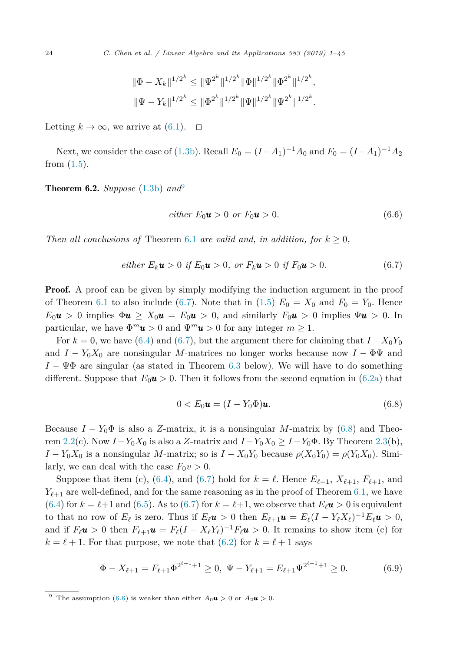$$
\|\Phi - X_k\|^{1/2^k} \le \|\Psi^{2^k}\|^{1/2^k} \|\Phi\|^{1/2^k} \|\Phi^{2^k}\|^{1/2^k},
$$
  

$$
\|\Psi - Y_k\|^{1/2^k} \le \|\Phi^{2^k}\|^{1/2^k} \|\Psi\|^{1/2^k} \|\Psi^{2^k}\|^{1/2^k}.
$$

<span id="page-23-0"></span>Letting  $k \to \infty$ , we arrive at  $(6.1)$ .  $\Box$ 

Next, we consider the case of [\(1.3b\)](#page-2-0). Recall  $E_0 = (I - A_1)^{-1}A_0$  and  $F_0 = (I - A_1)^{-1}A_2$ from  $(1.5)$ .

**Theorem 6.2.** *Suppose* [\(1.3b\)](#page-2-0)  $and^9$ 

$$
either E_0 \mathbf{u} > 0 \text{ or } F_0 \mathbf{u} > 0. \tag{6.6}
$$

*Then* all conclusions of Theorem [6.1](#page-21-0) are valid and, in addition, for  $k \geq 0$ ,

*either* 
$$
E_k
$$
**u** > 0 *if*  $E_0$ **u** > 0, *or*  $F_k$ **u** > 0 *if*  $F_0$ **u** > 0. (6.7)

**Proof.** A proof can be given by simply modifying the induction argument in the proof of Theorem [6.1](#page-21-0) to also include (6.7). Note that in [\(1.5\)](#page-2-0)  $E_0 = X_0$  and  $F_0 = Y_0$ . Hence  $E_0 u > 0$  implies  $\Phi u \geq X_0 u = E_0 u > 0$ , and similarly  $F_0 u > 0$  implies  $\Psi u > 0$ . In particular, we have  $\Phi^m \mathbf{u} > 0$  and  $\Psi^m \mathbf{u} > 0$  for any integer  $m \geq 1$ .

For  $k = 0$ , we have [\(6.4\)](#page-22-0) and (6.7), but the argument there for claiming that  $I - X_0 Y_0$ and  $I - Y_0 X_0$  are nonsingular *M*-matrices no longer works because now  $I - \Phi \Psi$  and *I* − ΨΦ are singular (as stated in Theorem [6.3](#page-24-0) below). We will have to do something different. Suppose that  $E_0 u > 0$ . Then it follows from the second equation in [\(6.2a\)](#page-21-0) that

$$
0 < E_0 \mathbf{u} = (I - Y_0 \Phi) \mathbf{u}.\tag{6.8}
$$

Because  $I - Y_0 \Phi$  is also a *Z*-matrix, it is a nonsingular *M*-matrix by (6.8) and Theo-rem [2.2\(](#page-5-0)c). Now  $I - Y_0 X_0$  is also a *Z*-matrix and  $I - Y_0 X_0 \geq I - Y_0 \Phi$ . By Theorem [2.3\(](#page-5-0)b), *I* − *Y*<sub>0</sub>*X*<sub>0</sub> is a nonsingular *M*-matrix; so is  $I - X_0Y_0$  because  $\rho(X_0Y_0) = \rho(Y_0X_0)$ . Similarly, we can deal with the case  $F_0v > 0$ .

Suppose that item (c), [\(6.4\)](#page-22-0), and (6.7) hold for  $k = \ell$ . Hence  $E_{\ell+1}$ ,  $X_{\ell+1}$ ,  $F_{\ell+1}$ , and  $Y_{\ell+1}$  are well-defined, and for the same reasoning as in the proof of Theorem [6.1,](#page-21-0) we have  $(6.4)$  for  $k = \ell+1$  and  $(6.5)$ . As to  $(6.7)$  for  $k = \ell+1$ , we observe that  $E_{\ell}u > 0$  is equivalent to that no row of  $E_{\ell}$  is zero. Thus if  $E_{\ell}u > 0$  then  $E_{\ell+1}u = E_{\ell}(I - Y_{\ell}X_{\ell})^{-1}E_{\ell}u > 0$ , and if  $F_{\ell}u > 0$  then  $F_{\ell+1}u = F_{\ell}(I - X_{\ell}Y_{\ell})^{-1}F_{\ell}u > 0$ . It remains to show item (c) for  $k = \ell + 1$ . For that purpose, we note that  $(6.2)$  for  $k = \ell + 1$  says

$$
\Phi - X_{\ell+1} = F_{\ell+1} \Phi^{2^{\ell+1}+1} \ge 0, \ \Psi - Y_{\ell+1} = E_{\ell+1} \Psi^{2^{\ell+1}+1} \ge 0. \tag{6.9}
$$

<sup>&</sup>lt;sup>9</sup> The assumption (6.6) is weaker than either  $A_0 \mathbf{u} > 0$  or  $A_2 \mathbf{u} > 0$ .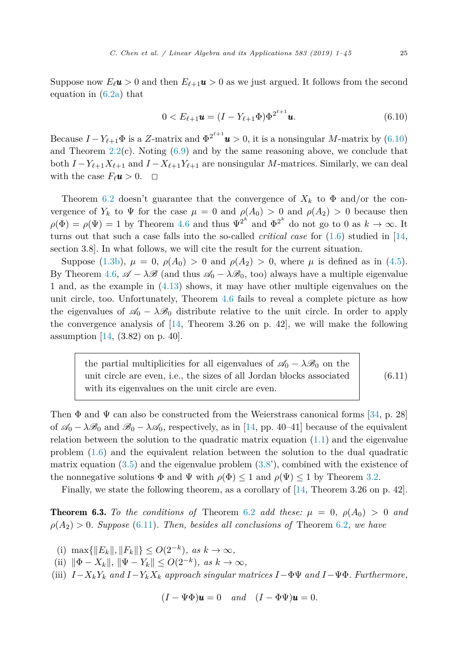<span id="page-24-0"></span>Suppose now  $E_{\ell}u > 0$  and then  $E_{\ell+1}u > 0$  as we just argued. It follows from the second equation in [\(6.2a\)](#page-21-0) that

$$
0 < E_{\ell+1} \mathbf{u} = (I - Y_{\ell+1} \Phi) \Phi^{2^{\ell+1}} \mathbf{u}.\tag{6.10}
$$

Because  $I - Y_{\ell+1} \Phi$  is a *Z*-matrix and  $\Phi^{2^{\ell+1}} \mathbf{u} > 0$ , it is a nonsingular *M*-matrix by (6.10) and Theorem  $2.2(c)$  $2.2(c)$ . Noting  $(6.9)$  and by the same reasoning above, we conclude that both  $I - Y_{\ell+1}X_{\ell+1}$  and  $I - X_{\ell+1}Y_{\ell+1}$  are nonsingular *M*-matrices. Similarly, we can deal with the case  $F_{\ell}u > 0$ .  $\Box$ 

Theorem [6.2](#page-23-0) doesn't guarantee that the convergence of  $X_k$  to  $\Phi$  and/or the convergence of  $Y_k$  to  $\Psi$  for the case  $\mu = 0$  and  $\rho(A_0) > 0$  and  $\rho(A_2) > 0$  because then  $\rho(\Phi) = \rho(\Psi) = 1$  by Theorem [4.6](#page-15-0) and thus  $\Psi^{2^k}$  and  $\Phi^{2^k}$  do not go to 0 as  $k \to \infty$ . It turns out that such a case falls into the so-called *critical case* for [\(1.6\)](#page-3-0) studied in [\[14,](#page-43-0) section 3.8]. In what follows, we will cite the result for the current situation.

Suppose [\(1.3b\)](#page-2-0),  $\mu = 0$ ,  $\rho(A_0) > 0$  and  $\rho(A_2) > 0$ , where  $\mu$  is defined as in [\(4.5\)](#page-11-0). By Theorem [4.6,](#page-15-0)  $\mathscr{A} - \lambda \mathscr{B}$  (and thus  $\mathscr{A}_0 - \lambda \mathscr{B}_0$ , too) always have a multiple eigenvalue 1 and, as the example in [\(4.13\)](#page-17-0) shows, it may have other multiple eigenvalues on the unit circle, too. Unfortunately, Theorem [4.6](#page-15-0) fails to reveal a complete picture as how the eigenvalues of  $\mathscr{A}_0 - \lambda \mathscr{B}_0$  distribute relative to the unit circle. In order to apply the convergence analysis of  $[14,$  Theorem 3.26 on p. 42, we will make the following assumption  $[14, (3.82)$  $[14, (3.82)$  on p. 40.

the partial multiplicities for all eigenvalues of  $\mathscr{A}_0 - \lambda \mathscr{B}_0$  on the unit circle are even, i.e., the sizes of all Jordan blocks associated with its eigenvalues on the unit circle are even. (6.11)

Then  $\Phi$  and  $\Psi$  can also be constructed from the Weierstrass canonical forms [\[34,](#page-44-0) p. 28] of  $\mathscr{A}_0 - \lambda \mathscr{B}_0$  and  $\mathscr{B}_0 - \lambda \mathscr{A}_0$ , respectively, as in [\[14,](#page-43-0) pp. 40–41] because of the equivalent relation between the solution to the quadratic matrix equation  $(1.1)$  and the eigenvalue problem [\(1.6\)](#page-3-0) and the equivalent relation between the solution to the dual quadratic matrix equation  $(3.5)$  and the eigenvalue problem  $(3.8)$ , combined with the existence of the nonnegative solutions  $\Phi$  and  $\Psi$  with  $\rho(\Phi) \leq 1$  and  $\rho(\Psi) \leq 1$  by Theorem [3.2.](#page-6-0)

Finally, we state the following theorem, as a corollary of [\[14,](#page-43-0) Theorem 3.26 on p. 42].

**Theorem 6.3.** To the conditions of Theorem [6.2](#page-23-0) add these:  $\mu = 0$ ,  $\rho(A_0) > 0$  and  $\rho(A_2) > 0$ *. Suppose* (6.11)*. Then, besides all conclusions of* Theorem [6.2](#page-23-0)*, we have* 

- (i)  $\max\{\|E_k\|, \|F_k\|\} \le O(2^{-k}), \text{ as } k \to \infty,$
- (ii)  $\|\Phi X_k\|, \|\Psi Y_k\| \le O(2^{-k}), \text{ as } k \to \infty,$
- (iii)  $I X_k Y_k$  and  $I Y_k X_k$  approach singular matrices  $I \Phi \Psi$  and  $I \Psi \Phi$ . Furthermore,

$$
(I - \Psi \Phi)\mathbf{u} = 0 \quad and \quad (I - \Phi \Psi)\mathbf{u} = 0.
$$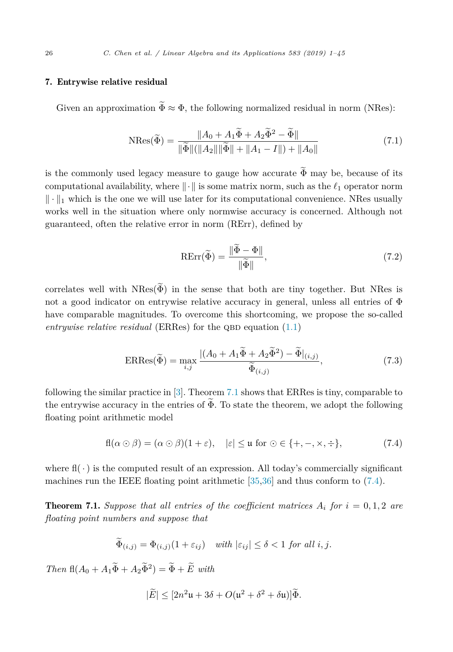# <span id="page-25-0"></span>7. Entrywise relative residual

Given an approximation  $\widetilde{\Phi} \approx \Phi$ , the following normalized residual in norm (NRes):

$$
N\text{Res}(\widetilde{\Phi}) = \frac{\|A_0 + A_1\widetilde{\Phi} + A_2\widetilde{\Phi}^2 - \widetilde{\Phi}\|}{\|\widetilde{\Phi}\| (\|A_2\|\|\widetilde{\Phi}\| + \|A_1 - I\|) + \|A_0\|} \tag{7.1}
$$

is the commonly used legacy measure to gauge how accurate  $\widetilde{\Phi}$  may be, because of its computational availability, where  $\|\cdot\|$  is some matrix norm, such as the  $\ell_1$  operator norm  $\|\cdot\|_1$  which is the one we will use later for its computational convenience. NRes usually works well in the situation where only normwise accuracy is concerned. Although not guaranteed, often the relative error in norm (RErr), defined by

$$
RErr(\tilde{\Phi}) = \frac{\|\tilde{\Phi} - \Phi\|}{\|\tilde{\Phi}\|},\tag{7.2}
$$

correlates well with  $NRes(\tilde{\Phi})$  in the sense that both are tiny together. But NRes is not a good indicator on entrywise relative accuracy in general, unless all entries of  $\Phi$ have comparable magnitudes. To overcome this shortcoming, we propose the so-called  $entrawise$  *relative residual* (ERRes) for the QBD equation  $(1.1)$ 

$$
ERRes(\widetilde{\Phi}) = \max_{i,j} \frac{|(A_0 + A_1 \widetilde{\Phi} + A_2 \widetilde{\Phi}^2) - \widetilde{\Phi}|_{(i,j)}}{\widetilde{\Phi}_{(i,j)}},\tag{7.3}
$$

following the similar practice in [\[3\]](#page-43-0). Theorem 7.1 shows that ERRes is tiny, comparable to the entrywise accuracy in the entries of  $\widetilde{\Phi}$ . To state the theorem, we adopt the following floating point arithmetic model

$$
fl(\alpha \odot \beta) = (\alpha \odot \beta)(1+\varepsilon), \quad |\varepsilon| \leq u \text{ for } \odot \in \{+, -, \times, \div\},\tag{7.4}
$$

where  $f(\cdot)$  is the computed result of an expression. All today's commercially significant machines run the IEEE floating point arithmetic [\[35,36\]](#page-44-0) and thus conform to (7.4).

**Theorem 7.1.** Suppose that all entries of the coefficient matrices  $A_i$  for  $i = 0, 1, 2$  are *floating point numbers and suppose that*

$$
\Phi_{(i,j)} = \Phi_{(i,j)}(1 + \varepsilon_{ij}) \quad \text{with } |\varepsilon_{ij}| \le \delta < 1 \text{ for all } i, j.
$$

 $Then \ f\mathbb{I}(A_0 + A_1\widetilde{\Phi} + A_2\widetilde{\Phi}^2) = \widetilde{\Phi} + \widetilde{E} \ with$ 

$$
|\widetilde{E}| \le [2n^2\mathfrak{u} + 3\delta + O(\mathfrak{u}^2 + \delta^2 + \delta\mathfrak{u})]\widetilde{\Phi}.
$$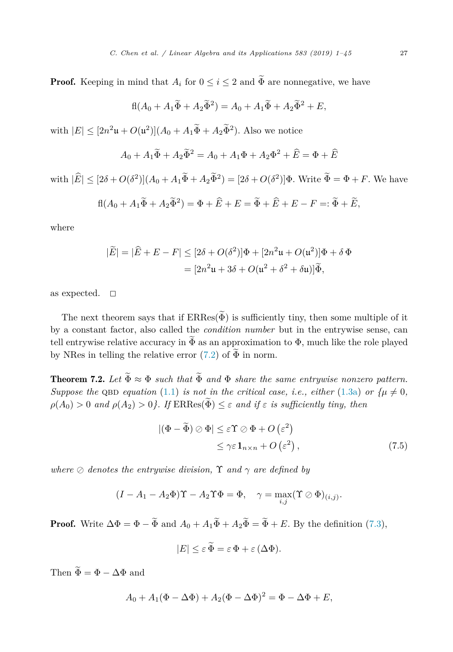<span id="page-26-0"></span>**Proof.** Keeping in mind that  $A_i$  for  $0 \leq i \leq 2$  and  $\widetilde{\Phi}$  are nonnegative, we have

$$
fl(A_0 + A_1 \widetilde{\Phi} + A_2 \widetilde{\Phi}^2) = A_0 + A_1 \widetilde{\Phi} + A_2 \widetilde{\Phi}^2 + E,
$$

with  $|E| \leq [2n^2\mathfrak{u} + O(\mathfrak{u}^2)](A_0 + A_1\widetilde{\Phi} + A_2\widetilde{\Phi}^2)$ . Also we notice

$$
A_0 + A_1 \widetilde{\Phi} + A_2 \widetilde{\Phi}^2 = A_0 + A_1 \Phi + A_2 \Phi^2 + \widehat{E} = \Phi + \widehat{E}
$$

with  $|\widehat{E}| \leq [2\delta + O(\delta^2)](A_0 + A_1\widetilde{\Phi} + A_2\widetilde{\Phi}^2) = [2\delta + O(\delta^2)]\Phi$ . Write  $\widetilde{\Phi} = \Phi + F$ . We have

$$
fl(A_0 + A_1\widetilde{\Phi} + A_2\widetilde{\Phi}^2) = \Phi + \widehat{E} + E = \widetilde{\Phi} + \widehat{E} + E - F =: \widetilde{\Phi} + \widetilde{E},
$$

where

$$
|\widetilde{E}| = |\widehat{E} + E - F| \leq [2\delta + O(\delta^2)]\Phi + [2n^2\mathfrak{u} + O(\mathfrak{u}^2)]\Phi + \delta\Phi
$$

$$
= [2n^2\mathfrak{u} + 3\delta + O(\mathfrak{u}^2 + \delta^2 + \delta\mathfrak{u})]\widetilde{\Phi},
$$

as expected.  $\square$ 

The next theorem says that if  $ERRes(\widetilde{\Phi})$  is sufficiently tiny, then some multiple of it by a constant factor, also called the *condition number* but in the entrywise sense, can tell entrywise relative accuracy in  $\Phi$  as an approximation to  $\Phi$ , much like the role played by NRes in telling the relative error  $(7.2)$  of  $\widetilde{\Phi}$  in norm.

**Theorem 7.2.** Let  $\widetilde{\Phi} \approx \Phi$  *such that*  $\widetilde{\Phi}$  *and*  $\Phi$  *share the same entrywise nonzero pattern. Suppose the*  $QBD$  *equation* [\(1.1\)](#page-1-0) *is not in the critical case, i.e., either* [\(1.3a\)](#page-2-0) *or*  $\{ \mu \neq 0, \}$  $\rho(A_0) > 0$  *and*  $\rho(A_2) > 0$ *}.* If  $ERRes(\tilde{\Phi}) \leq \varepsilon$  *and if*  $\varepsilon$  *is sufficiently tiny, then* 

$$
|(\Phi - \widetilde{\Phi}) \oslash \Phi| \le \varepsilon \Upsilon \oslash \Phi + O(\varepsilon^2)
$$
  
\$\le \gamma \varepsilon \mathbf{1}\_{n \times n} + O(\varepsilon^2) ,\$ (7.5)

*where*  $\oslash$  *denotes the entrywise division,*  $\Upsilon$  *and*  $\gamma$  *are defined by* 

$$
(I - A_1 - A_2 \Phi) \Upsilon - A_2 \Upsilon \Phi = \Phi, \quad \gamma = \max_{i,j} (\Upsilon \oslash \Phi)_{(i,j)}.
$$

**Proof.** Write  $\Delta \Phi = \Phi - \tilde{\Phi}$  and  $A_0 + A_1 \tilde{\Phi} + A_2 \tilde{\Phi} = \tilde{\Phi} + E$ . By the definition [\(7.3\)](#page-25-0),

$$
|E| \leq \varepsilon \, \widetilde{\Phi} = \varepsilon \, \Phi + \varepsilon \, (\Delta \Phi).
$$

Then  $\widetilde{\Phi} = \Phi - \Delta \Phi$  and

$$
A_0 + A_1(\Phi - \Delta \Phi) + A_2(\Phi - \Delta \Phi)^2 = \Phi - \Delta \Phi + E,
$$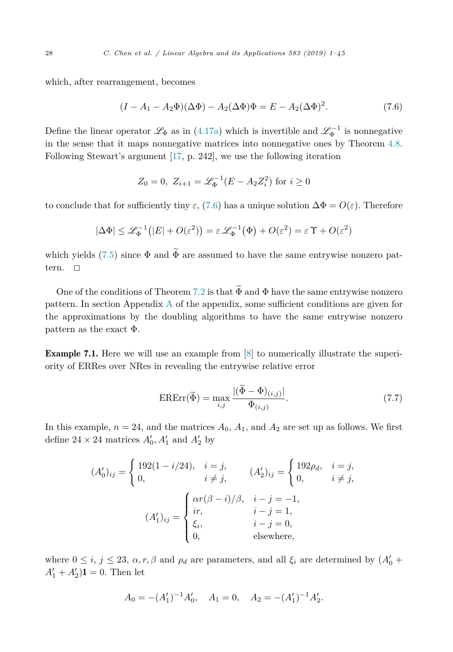<span id="page-27-0"></span>which, after rearrangement, becomes

$$
(I - A_1 - A_2 \Phi)(\Delta \Phi) - A_2 (\Delta \Phi) \Phi = E - A_2 (\Delta \Phi)^2.
$$
 (7.6)

Define the linear operator  $\mathscr{L}_{\Phi}$  as in [\(4.17a\)](#page-18-0) which is invertible and  $\mathscr{L}_{\Phi}^{-1}$  is nonnegative in the sense that it maps nonnegative matrices into nonnegative ones by Theorem [4.8.](#page-19-0) Following Stewart's argument [\[17,](#page-43-0) p. 242], we use the following iteration

$$
Z_0 = 0
$$
,  $Z_{i+1} = \mathcal{L}_{\Phi}^{-1}(E - A_2 Z_i^2)$  for  $i \ge 0$ 

to conclude that for sufficiently tiny  $\varepsilon$ , (7.6) has a unique solution  $\Delta \Phi = O(\varepsilon)$ . Therefore

$$
|\Delta \Phi| \leq \mathcal{L}_{\Phi}^{-1}(|E| + O(\varepsilon^2)) = \varepsilon \mathcal{L}_{\Phi}^{-1}(\Phi) + O(\varepsilon^2) = \varepsilon \Upsilon + O(\varepsilon^2)
$$

which yields [\(7.5\)](#page-26-0) since  $\Phi$  and  $\widetilde{\Phi}$  are assumed to have the same entrywise nonzero pattern.  $\square$ 

One of the conditions of Theorem [7.2](#page-26-0) is that  $\widetilde{\Phi}$  and  $\Phi$  have the same entrywise nonzero pattern. In section Appendix [A](#page-39-0) of the appendix, some sufficient conditions are given for the approximations by the doubling algorithms to have the same entrywise nonzero pattern as the exact  $\Phi$ .

Example 7.1. Here we will use an example from [\[8\]](#page-43-0) to numerically illustrate the superiority of ERRes over NRes in revealing the entrywise relative error

$$
\text{ERErr}(\widetilde{\Phi}) = \max_{i,j} \frac{|(\widetilde{\Phi} - \Phi)_{(i,j)}|}{\Phi_{(i,j)}}.
$$
\n(7.7)

In this example,  $n = 24$ , and the matrices  $A_0$ ,  $A_1$ , and  $A_2$  are set up as follows. We first define  $24 \times 24$  matrices  $A'_0$ ,  $A'_1$  and  $A'_2$  by

$$
(A'_0)_{ij} = \begin{cases} 192(1 - i/24), & i = j, \\ 0, & i \neq j, \end{cases} \qquad (A'_2)_{ij} = \begin{cases} 192\rho_d, & i = j, \\ 0, & i \neq j, \end{cases}
$$

$$
(A'_1)_{ij} = \begin{cases} \alpha r(\beta - i)/\beta, & i - j = -1, \\ ir, & i - j = 1, \\ 0, & i = j = 0, \\ 0, & \text{elsewhere,} \end{cases}
$$

where  $0 \le i, j \le 23, \alpha, r, \beta$  and  $\rho_d$  are parameters, and all  $\xi_i$  are determined by  $(A'_0 +$  $A'_1 + A'_2$ )**1** = 0. Then let

$$
A_0 = -(A'_1)^{-1}A'_0, \quad A_1 = 0, \quad A_2 = -(A'_1)^{-1}A'_2.
$$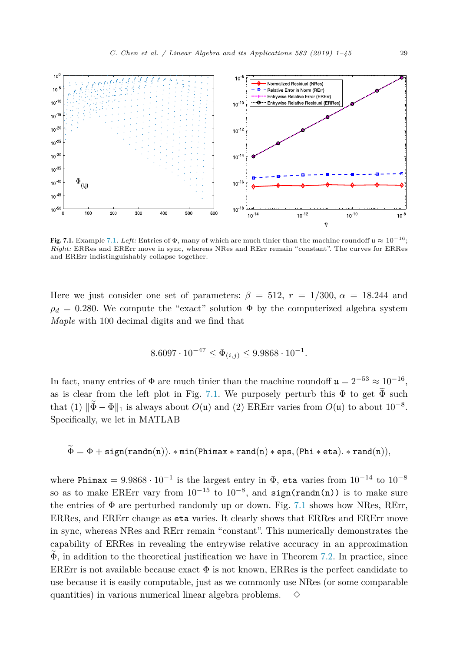

Fig. [7.1.](#page-27-0) Example 7.1. *Left:* Entries of  $\Phi$ , many of which are much tinier than the machine roundoff  $\mu \approx 10^{-16}$ ; *Right:* ERRes and ERErr move in sync, whereas NRes and RErr remain "constant". The curves for ERRes and ERErr indistinguishably collapse together.

Here we just consider one set of parameters:  $\beta = 512$ ,  $r = 1/300$ ,  $\alpha = 18.244$  and  $\rho_d = 0.280$ . We compute the "exact" solution  $\Phi$  by the computerized algebra system *Maple* with 100 decimal digits and we find that

$$
8.6097 \cdot 10^{-47} \le \Phi_{(i,j)} \le 9.9868 \cdot 10^{-1}.
$$

In fact, many entries of  $\Phi$  are much tinier than the machine roundoff  $\mathfrak{u} = 2^{-53} \approx 10^{-16}$ , as is clear from the left plot in Fig. 7.1. We purposely perturb this  $\Phi$  to get  $\widetilde{\Phi}$  such that (1)  $\|\tilde{\Phi} - \Phi\|_1$  is always about  $O(\mu)$  and (2) ERErr varies from  $O(\mu)$  to about 10<sup>-8</sup>. Specifically, we let in MATLAB

$$
\Phi = \Phi + \texttt{sign}(\texttt{randn}(n)). * \texttt{min}(\texttt{Phimax} * \texttt{rand}(n) * \texttt{eps}, (\texttt{Phi} * \texttt{eta}). * \texttt{rand}(n)),
$$

where Phimax =  $9.9868 \cdot 10^{-1}$  is the largest entry in  $\Phi$ , eta varies from  $10^{-14}$  to  $10^{-8}$ so as to make ERErr vary from  $10^{-15}$  to  $10^{-8}$ , and sign(randn(n)) is to make sure the entries of  $\Phi$  are perturbed randomly up or down. Fig. 7.1 shows how NRes, RET, ERRes, and ERErr change as eta varies. It clearly shows that ERRes and ERErr move in sync, whereas NRes and RErr remain "constant". This numerically demonstrates the capability of ERRes in revealing the entrywise relative accuracy in an approximation  $\widetilde{\Phi}$ , in addition to the theoretical justification we have in Theorem [7.2.](#page-26-0) In practice, since ERER is not available because exact  $\Phi$  is not known, ERRes is the perfect candidate to use because it is easily computable, just as we commonly use NRes (or some comparable quantities) in various numerical linear algebra problems.  $\Diamond$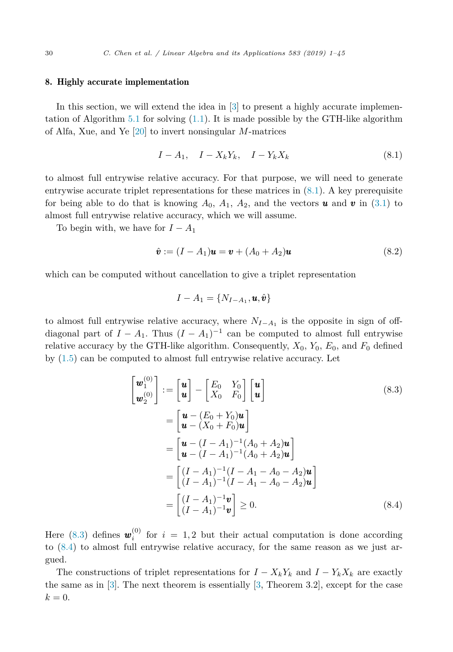### <span id="page-29-0"></span>8. Highly accurate implementation

In this section, we will extend the idea in [\[3\]](#page-43-0) to present a highly accurate implemen-tation of Algorithm [5.1](#page-20-0) for solving  $(1.1)$ . It is made possible by the GTH-like algorithm of Alfa, Xue, and Ye [\[20\]](#page-43-0) to invert nonsingular *M*-matrices

$$
I - A_1, \quad I - X_k Y_k, \quad I - Y_k X_k \tag{8.1}
$$

to almost full entrywise relative accuracy. For that purpose, we will need to generate entrywise accurate triplet representations for these matrices in  $(8.1)$ . A key prerequisite for being able to do that is knowing  $A_0$ ,  $A_1$ ,  $A_2$ , and the vectors **u** and **v** in [\(3.1\)](#page-6-0) to almost full entrywise relative accuracy, which we will assume.

To begin with, we have for  $I - A_1$ 

$$
\hat{\mathbf{v}} := (I - A_1)\mathbf{u} = \mathbf{v} + (A_0 + A_2)\mathbf{u}
$$
\n(8.2)

which can be computed without cancellation to give a triplet representation

$$
I - A_1 = \{N_{I-A_1}, \boldsymbol{u}, \hat{\boldsymbol{v}}\}
$$

to almost full entrywise relative accuracy, where  $N_{I-A_1}$  is the opposite in sign of offdiagonal part of  $I - A_1$ . Thus  $(I - A_1)^{-1}$  can be computed to almost full entrywise relative accuracy by the GTH-like algorithm. Consequently,  $X_0$ ,  $Y_0$ ,  $E_0$ , and  $F_0$  defined by [\(1.5\)](#page-2-0) can be computed to almost full entrywise relative accuracy. Let

$$
\begin{bmatrix}\n\boldsymbol{w}_{1}^{(0)} \\
\boldsymbol{w}_{2}^{(0)}\n\end{bmatrix} := \begin{bmatrix}\n\boldsymbol{u} \\
\boldsymbol{u}\n\end{bmatrix} - \begin{bmatrix}\nE_{0} & Y_{0} \\
X_{0} & F_{0}\n\end{bmatrix} \begin{bmatrix}\n\boldsymbol{u} \\
\boldsymbol{u}\n\end{bmatrix}
$$
\n(8.3)\n
$$
= \begin{bmatrix}\n\boldsymbol{u} - (E_{0} + Y_{0})\boldsymbol{u} \\
\boldsymbol{u} - (X_{0} + F_{0})\boldsymbol{u}\n\end{bmatrix}
$$
\n
$$
= \begin{bmatrix}\n\boldsymbol{u} - (I - A_{1})^{-1}(A_{0} + A_{2})\boldsymbol{u} \\
\boldsymbol{u} - (I - A_{1})^{-1}(A_{0} + A_{2})\boldsymbol{u}\n\end{bmatrix}
$$
\n
$$
= \begin{bmatrix}\n(I - A_{1})^{-1}(I - A_{1} - A_{0} - A_{2})\boldsymbol{u} \\
(I - A_{1})^{-1}(I - A_{1} - A_{0} - A_{2})\boldsymbol{u}\n\end{bmatrix}
$$
\n
$$
= \begin{bmatrix}\n(I - A_{1})^{-1}\boldsymbol{v} \\
(I - A_{1})^{-1}\boldsymbol{v}\n\end{bmatrix} \geq 0.
$$
\n(8.4)

Here (8.3) defines  $\mathbf{w}_i^{(0)}$  for  $i = 1,2$  but their actual computation is done according to (8.4) to almost full entrywise relative accuracy, for the same reason as we just argued.

The constructions of triplet representations for  $I - X_k Y_k$  and  $I - Y_k X_k$  are exactly the same as in [\[3\]](#page-43-0). The next theorem is essentially [\[3,](#page-43-0) Theorem 3.2], except for the case  $k = 0$ .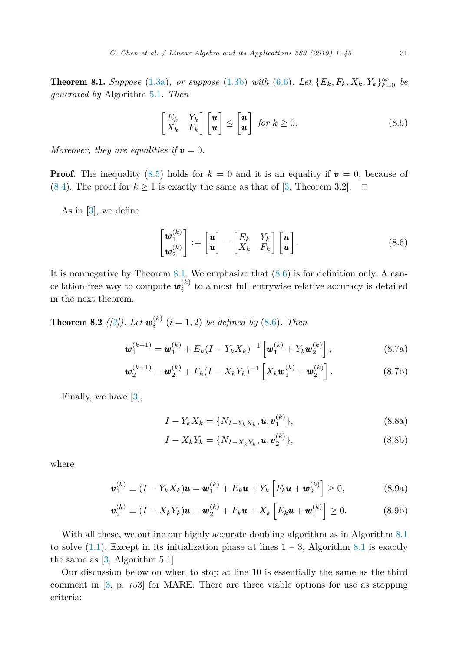<span id="page-30-0"></span>**Theorem 8.1.** Suppose [\(1.3a\)](#page-2-0), or suppose [\(1.3b\)](#page-2-0) with [\(6.6\)](#page-23-0). Let  $\{E_k, F_k, X_k, Y_k\}_{k=0}^{\infty}$  be *generated by* Algorithm [5.1](#page-20-0)*. Then*

$$
\begin{bmatrix} E_k & Y_k \\ X_k & F_k \end{bmatrix} \begin{bmatrix} \boldsymbol{u} \\ \boldsymbol{u} \end{bmatrix} \leq \begin{bmatrix} \boldsymbol{u} \\ \boldsymbol{u} \end{bmatrix} \text{ for } k \geq 0. \tag{8.5}
$$

*Moreover, they are equalities if*  $v = 0$ *.* 

**Proof.** The inequality  $(8.5)$  holds for  $k = 0$  and it is an equality if  $v = 0$ , because of [\(8.4\)](#page-29-0). The proof for  $k \ge 1$  is exactly the same as that of [\[3,](#page-43-0) Theorem 3.2].  $\Box$ 

As in [\[3\]](#page-43-0), we define

$$
\begin{bmatrix} \boldsymbol{w}_1^{(k)} \\ \boldsymbol{w}_2^{(k)} \end{bmatrix} := \begin{bmatrix} \boldsymbol{u} \\ \boldsymbol{u} \end{bmatrix} - \begin{bmatrix} E_k & Y_k \\ X_k & F_k \end{bmatrix} \begin{bmatrix} \boldsymbol{u} \\ \boldsymbol{u} \end{bmatrix}.
$$
 (8.6)

It is nonnegative by Theorem 8.1. We emphasize that  $(8.6)$  is for definition only. A cancellation-free way to compute  $w_i^{(k)}$  to almost full entrywise relative accuracy is detailed in the next theorem.

**Theorem 8.2** ([\[3\]](#page-43-0)). Let  $w_i^{(k)}$   $(i = 1, 2)$  be defined by (8.6). Then

$$
\boldsymbol{w}_{1}^{(k+1)} = \boldsymbol{w}_{1}^{(k)} + E_{k}(I - Y_{k}X_{k})^{-1} \left[ \boldsymbol{w}_{1}^{(k)} + Y_{k} \boldsymbol{w}_{2}^{(k)} \right], \qquad (8.7a)
$$

$$
\boldsymbol{w}_{2}^{(k+1)} = \boldsymbol{w}_{2}^{(k)} + F_{k}(I - X_{k}Y_{k})^{-1} \left[ X_{k}\boldsymbol{w}_{1}^{(k)} + \boldsymbol{w}_{2}^{(k)} \right]. \tag{8.7b}
$$

Finally, we have [\[3\]](#page-43-0),

$$
I - Y_k X_k = \{N_{I - Y_k X_k}, \mathbf{u}, \mathbf{v}_1^{(k)}\},\tag{8.8a}
$$

$$
I - X_k Y_k = \{ N_{I - X_k Y_k}, \mathbf{u}, \mathbf{v}_2^{(k)} \},
$$
\n(8.8b)

where

$$
\boldsymbol{v}_1^{(k)} \equiv (I - Y_k X_k) \boldsymbol{u} = \boldsymbol{w}_1^{(k)} + E_k \boldsymbol{u} + Y_k \left[ F_k \boldsymbol{u} + \boldsymbol{w}_2^{(k)} \right] \ge 0, \tag{8.9a}
$$

$$
\boldsymbol{v}_2^{(k)} \equiv (I - X_k Y_k) \boldsymbol{u} = \boldsymbol{w}_2^{(k)} + F_k \boldsymbol{u} + X_k \left[ E_k \boldsymbol{u} + \boldsymbol{w}_1^{(k)} \right] \ge 0. \tag{8.9b}
$$

With all these, we outline our highly accurate doubling algorithm as in Algorithm [8.1](#page-31-0) to solve  $(1.1)$ . Except in its initialization phase at lines  $1 - 3$ , Algorithm [8.1](#page-31-0) is exactly the same as [\[3,](#page-43-0) Algorithm 5.1]

Our discussion below on when to stop at line 10 is essentially the same as the third comment in [\[3,](#page-43-0) p. 753] for MARE. There are three viable options for use as stopping criteria: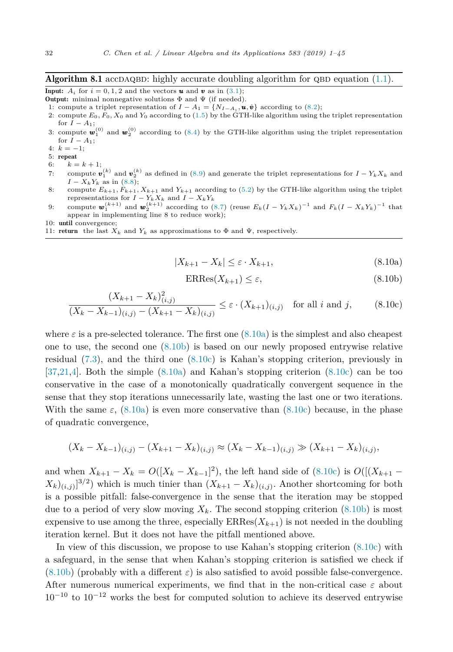### <span id="page-31-0"></span>**Algorithm 8.1** accDAQBD: highly accurate doubling algorithm for QBD equation  $(1.1)$ .

**Input:**  $A_i$  for  $i = 0, 1, 2$  and the vectors *u* and *v* as in [\(3.1\)](#page-6-0);

- **Output:** minimal nonnegative solutions  $\Phi$  and  $\Psi$  (if needed). 1: compute a triplet representation of  $I - A_1 = \{N_{I-A_1}, \mathbf{u}, \mathbf{\hat{v}}\}$  according to [\(8.2\)](#page-29-0);
- 2: compute  $E_0$ ,  $F_0$ ,  $X_0$  and  $Y_0$  according to [\(1.5\)](#page-2-0) by the GTH-like algorithm using the triplet representation for  $I - A_1$ ;
- 3: compute  $w_1^{(0)}$  and  $w_2^{(0)}$  according to [\(8.4\)](#page-29-0) by the GTH-like algorithm using the triplet representation for  $I - A_1$ ;
- 4:  $k = -1$ ;
- 5: repeat
- 6:  $k = k + 1;$
- 7: compute  $\mathbf{v}_1^{(k)}$  and  $\mathbf{v}_2^{(k)}$  as defined in [\(8.9\)](#page-30-0) and generate the triplet representations for  $I Y_k X_k$  and
- $I X_k Y_k$  as in [\(8.8\)](#page-30-0);<br>8: compute  $E_{k+1}, F_{k+1}, X_{k+1}$  and  $Y_{k+1}$  according to [\(5.2\)](#page-20-0) by the GTH-like algorithm using the triplet
- representations for  $I Y_k X_k$  and  $I X_k Y_k$ <br>9: compute  $\mathbf{w}_1^{(k+1)}$  and  $\mathbf{w}_2^{(k+1)}$  according to [\(8.7\)](#page-30-0) (reuse  $E_k (I Y_k X_k)^{-1}$  and  $F_k (I X_k Y_k)^{-1}$  that appear in implementing line 8 to reduce work);
- 10: until convergence;
- 11: **return** the last  $X_k$  and  $Y_k$  as approximations to  $\Phi$  and  $\Psi$ , respectively.

$$
|X_{k+1} - X_k| \le \varepsilon \cdot X_{k+1},\tag{8.10a}
$$

$$
ERRes(X_{k+1}) \le \varepsilon,\tag{8.10b}
$$

$$
\frac{(X_{k+1} - X_k)_{(i,j)}^2}{(X_k - X_{k-1})_{(i,j)} - (X_{k+1} - X_k)_{(i,j)}} \le \varepsilon \cdot (X_{k+1})_{(i,j)} \quad \text{for all } i \text{ and } j,
$$
\n(8.10c)

where  $\varepsilon$  is a pre-selected tolerance. The first one  $(8.10a)$  is the simplest and also cheapest one to use, the second one (8.10b) is based on our newly proposed entrywise relative residual [\(7.3\)](#page-25-0), and the third one (8.10c) is Kahan's stopping criterion, previously in [\[37,](#page-44-0)[21,4\]](#page-43-0). Both the simple (8.10a) and Kahan's stopping criterion (8.10c) can be too conservative in the case of a monotonically quadratically convergent sequence in the sense that they stop iterations unnecessarily late, wasting the last one or two iterations. With the same  $\varepsilon$ , (8.10a) is even more conservative than (8.10c) because, in the phase of quadratic convergence,

$$
(X_k - X_{k-1})_{(i,j)} - (X_{k+1} - X_k)_{(i,j)} \approx (X_k - X_{k-1})_{(i,j)} \gg (X_{k+1} - X_k)_{(i,j)},
$$

and when  $X_{k+1} - X_k = O([X_k - X_{k-1}]^2)$ , the left hand side of (8.10c) is  $O([X_{k+1} - X_k]^2)$  $(X_k)_{(i,j)}$ ]<sup>3/2</sup>) which is much tinier than  $(X_{k+1} - X_k)_{(i,j)}$ . Another shortcoming for both is a possible pitfall: false-convergence in the sense that the iteration may be stopped due to a period of very slow moving  $X_k$ . The second stopping criterion  $(8.10b)$  is most expensive to use among the three, especially  $ERRes(X_{k+1})$  is not needed in the doubling iteration kernel. But it does not have the pitfall mentioned above.

In view of this discussion, we propose to use Kahan's stopping criterion (8.10c) with a safeguard, in the sense that when Kahan's stopping criterion is satisfied we check if  $(8.10b)$  (probably with a different  $\varepsilon$ ) is also satisfied to avoid possible false-convergence. After numerous numerical experiments, we find that in the non-critical case *ε* about  $10^{-10}$  to  $10^{-12}$  works the best for computed solution to achieve its deserved entrywise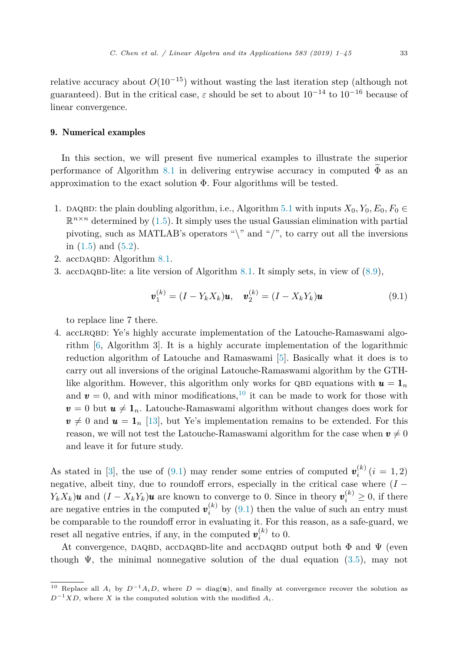# <span id="page-32-0"></span>9. Numerical examples

In this section, we will present five numerical examples to illustrate the superior performance of Algorithm [8.1](#page-31-0) in delivering entrywise accuracy in computed  $\widetilde{\Phi}$  as an approximation to the exact solution Φ. Four algorithms will be tested.

- 1. DAQBD: the plain doubling algorithm, i.e., Algorithm [5.1](#page-20-0) with inputs  $X_0, Y_0, E_0, F_0 \in$  $\mathbb{R}^{n \times n}$  determined by [\(1.5\)](#page-2-0). It simply uses the usual Gaussian elimination with partial pivoting, such as MATLAB's operators " $\mathcal{N}$ " and "/", to carry out all the inversions in  $(1.5)$  and  $(5.2)$ .
- 2.  $accDAQBD$ : Algorithm [8.1.](#page-31-0)
- 3. accDAQBD-lite: a lite version of Algorithm [8.1.](#page-31-0) It simply sets, in view of  $(8.9)$ ,

$$
\mathbf{v}_1^{(k)} = (I - Y_k X_k)\mathbf{u}, \quad \mathbf{v}_2^{(k)} = (I - X_k Y_k)\mathbf{u}
$$
(9.1)

to replace line 7 there.

4. accLRQBD: Ye's highly accurate implementation of the Latouche-Ramaswami algorithm [\[6,](#page-43-0) Algorithm 3]. It is a highly accurate implementation of the logarithmic reduction algorithm of Latouche and Ramaswami [\[5\]](#page-43-0). Basically what it does is to carry out all inversions of the original Latouche-Ramaswami algorithm by the GTHlike algorithm. However, this algorithm only works for QBD equations with  $u = 1_n$ and  $v = 0$ , and with minor modifications,<sup>10</sup> it can be made to work for those with  $v = 0$  but  $u \neq 1_n$ . Latouche-Ramaswami algorithm without changes does work for  $v \neq 0$  and  $u = 1$ <sub>n</sub> [\[13\]](#page-43-0), but Ye's implementation remains to be extended. For this reason, we will not test the Latouche-Ramaswami algorithm for the case when  $v \neq 0$ and leave it for future study.

As stated in [\[3\]](#page-43-0), the use of (9.1) may render some entries of computed  $\mathbf{v}_i^{(k)}$  (*i* = 1, 2) negative, albeit tiny, due to roundoff errors, especially in the critical case where  $(I -$ *Y*<sub>k</sub>*X*<sup>*k*</sup>)*u* and  $(I - X_k Y_k)$ *u* are known to converge to 0. Since in theory  $v_i^{(k)} \ge 0$ , if there are negative entries in the computed  $v_i^{(k)}$  by  $(9.1)$  then the value of such an entry must be comparable to the roundoff error in evaluating it. For this reason, as a safe-guard, we reset all negative entries, if any, in the computed  $v_i^{(k)}$  to 0.

At convergence, DAQBD, accDAQBD-lite and accDAQBD output both  $\Phi$  and  $\Psi$  (even though  $\Psi$ , the minimal nonnegative solution of the dual equation [\(3.5\)](#page-8-0), may not

 $\overline{10}$  Replace all *A<sub>i</sub>* by  $D^{-1}A_iD_j$ , where  $D = \text{diag}(\mathbf{u})$ , and finally at convergence recover the solution as  $D^{-1}XD$ , where *X* is the computed solution with the modified  $A_i$ .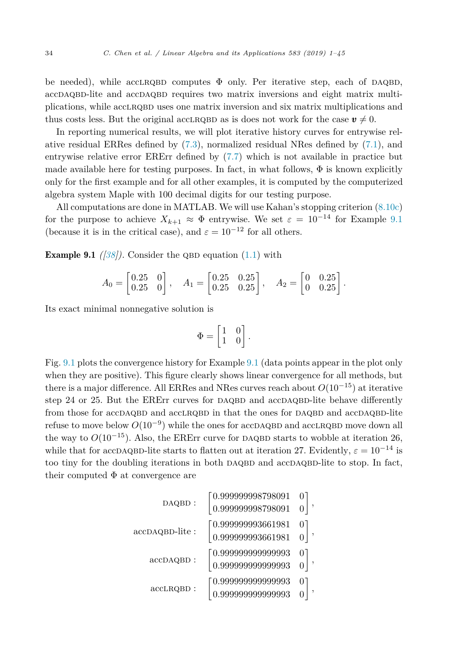<span id="page-33-0"></span>be needed), while acclared computes  $\Phi$  only. Per iterative step, each of DAQBD, accDAQBD-lite and accDAQBD requires two matrix inversions and eight matrix multiplications, while acclrqbd uses one matrix inversion and six matrix multiplications and thus costs less. But the original accLRQBD as is does not work for the case  $v \neq 0$ .

In reporting numerical results, we will plot iterative history curves for entrywise relative residual ERRes defined by [\(7.3\)](#page-25-0), normalized residual NRes defined by [\(7.1\)](#page-25-0), and entrywise relative error ERErr defined by [\(7.7\)](#page-27-0) which is not available in practice but made available here for testing purposes. In fact, in what follows,  $\Phi$  is known explicitly only for the first example and for all other examples, it is computed by the computerized algebra system Maple with 100 decimal digits for our testing purpose.

All computations are done in MATLAB. We will use Kahan's stopping criterion [\(8.10c\)](#page-31-0) for the purpose to achieve  $X_{k+1} \approx \Phi$  entrywise. We set  $\varepsilon = 10^{-14}$  for Example 9.1 (because it is in the critical case), and  $\varepsilon = 10^{-12}$  for all others.

**Example 9.1** *(* $|38$ *)*. Consider the QBD equation  $(1.1)$  with

$$
A_0 = \begin{bmatrix} 0.25 & 0 \\ 0.25 & 0 \end{bmatrix}, \quad A_1 = \begin{bmatrix} 0.25 & 0.25 \\ 0.25 & 0.25 \end{bmatrix}, \quad A_2 = \begin{bmatrix} 0 & 0.25 \\ 0 & 0.25 \end{bmatrix}.
$$

Its exact minimal nonnegative solution is

$$
\Phi = \begin{bmatrix} 1 & 0 \\ 1 & 0 \end{bmatrix}.
$$

Fig. [9.1](#page-34-0) plots the convergence history for Example 9.1 (data points appear in the plot only when they are positive). This figure clearly shows linear convergence for all methods, but there is a major difference. All ERRes and NRes curves reach about *O*(10−<sup>15</sup>) at iterative step 24 or 25. But the ERERT curves for DAQBD and accDAQBD-lite behave differently from those for accDAQBD and accLRQBD in that the ones for DAQBD and accDAQBD-lite refuse to move below  $O(10^{-9})$  while the ones for accDAQBD and accLRQBD move down all the way to  $O(10^{-15})$ . Also, the ERErr curve for DAQBD starts to wobble at iteration 26, while that for accDAQBD-lite starts to flatten out at iteration 27. Evidently,  $\varepsilon = 10^{-14}$  is too tiny for the doubling iterations in both DAQBD and accDAQBD-lite to stop. In fact, their computed  $\Phi$  at convergence are

$$
\texttt{DAQBD}: \begin{bmatrix} 0.999999998798091 & 0 \\ 0.9999999998798091 & 0 \end{bmatrix}, \\ \texttt{accDAQBD-like}: \begin{bmatrix} 0.999999993661981 & 0 \\ 0.9999999993661981 & 0 \end{bmatrix}, \\ \texttt{accDAQBD}: \begin{bmatrix} 0.9999999999999993 & 0 \\ 0.999999999999993 & 0 \\ 0.999999999999993 & 0 \end{bmatrix}, \\ \texttt{accLRQBD}: \begin{bmatrix} 0.99999999999993 & 0 \\ 0.99999999999993 & 0 \end{bmatrix},
$$

0*.*999999998798091 0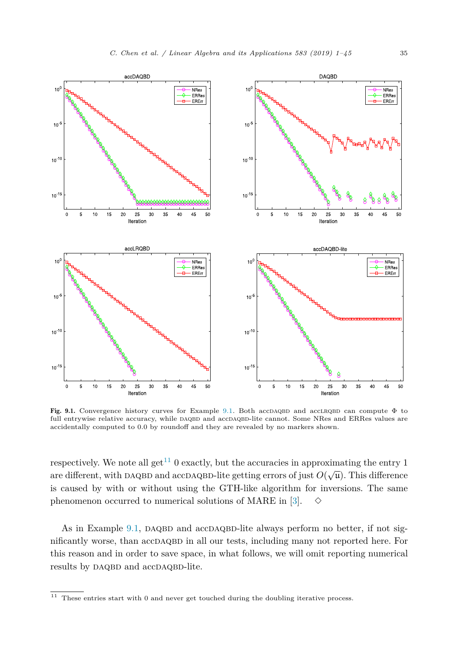<span id="page-34-0"></span>

Fig. [9.1.](#page-33-0) Convergence history curves for Example 9.1. Both accDAQBD and accLRQBD can compute  $\Phi$  to full entrywise relative accuracy, while DAQBD and accDAQBD-lite cannot. Some NRes and ERRes values are accidentally computed to 0*.*0 by roundoff and they are revealed by no markers shown.

respectively. We note all get<sup>11</sup> 0 exactly, but the accuracies in approximating the entry 1 are different, with DAQBD and accDAQBD-lite getting errors of just  $O(\sqrt{\mu})$ . This difference is caused by with or without using the GTH-like algorithm for inversions. The same phenomenon occurred to numerical solutions of MARE in [\[3\]](#page-43-0).  $\diamond$ 

As in Example  $9.1$ , DAQBD and accDAQBD-lite always perform no better, if not significantly worse, than accDAQBD in all our tests, including many not reported here. For this reason and in order to save space, in what follows, we will omit reporting numerical results by DAQBD and accDAQBD-lite.

 $^\mathrm{11}$  These entries start with 0 and never get touched during the doubling iterative process.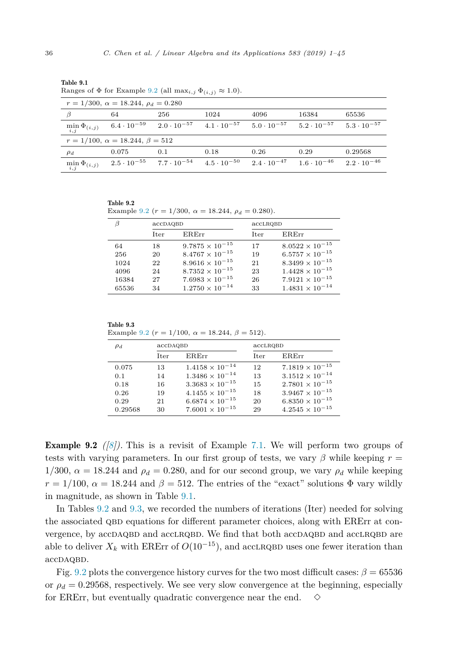|                           | $\cdots$                                           |                      |                      |                      |                      |                      |  |  |  |
|---------------------------|----------------------------------------------------|----------------------|----------------------|----------------------|----------------------|----------------------|--|--|--|
|                           | $r = 1/300$ , $\alpha = 18.244$ , $\rho_d = 0.280$ |                      |                      |                      |                      |                      |  |  |  |
|                           | 64                                                 | 256                  | 1024                 | 4096                 | 16384                | 65536                |  |  |  |
| $\min_{i,j} \Phi_{(i,j)}$ | $6.4 \cdot 10^{-59}$                               | $2.0 \cdot 10^{-57}$ | $4.1 \cdot 10^{-57}$ | $5.0 \cdot 10^{-57}$ | $5.2 \cdot 10^{-57}$ | $5.3 \cdot 10^{-57}$ |  |  |  |
|                           | $r = 1/100$ , $\alpha = 18.244$ , $\beta = 512$    |                      |                      |                      |                      |                      |  |  |  |
| $\rho_d$                  | 0.075                                              | 0.1                  | 0.18                 | 0.26                 | 0.29                 | 0.29568              |  |  |  |
| $\min_{i,j} \Phi_{(i,j)}$ | $2.5 \cdot 10^{-55}$                               | $7.7 \cdot 10^{-54}$ | $4.5 \cdot 10^{-50}$ | $2.4 \cdot 10^{-47}$ | $1.6 \cdot 10^{-46}$ | $2.2 \cdot 10^{-46}$ |  |  |  |

<span id="page-35-0"></span>Table 9.1 Ranges of  $\Phi$  for Example 9.2 (all max<sub>i</sub>,  $\Phi$ <sub>(i,j</sub>)  $\approx$  1.0).

Table 9.2

Example 9.2 ( $r = 1/300$ ,  $\alpha = 18.244$ ,  $\rho_d = 0.280$ ).

| Β     | accDAQBD |                          | accLRQBD |                          |  |
|-------|----------|--------------------------|----------|--------------------------|--|
|       | Iter     | ERErr                    | Iter     | ERErr                    |  |
| 64    | 18       | $9.7875 \times 10^{-15}$ | 17       | $8.0522 \times 10^{-15}$ |  |
| 256   | 20       | $8.4767 \times 10^{-15}$ | 19       | $6.5757 \times 10^{-15}$ |  |
| 1024  | 22       | $8.9616 \times 10^{-15}$ | 21       | $8.3499 \times 10^{-15}$ |  |
| 4096  | 24       | $8.7352 \times 10^{-15}$ | 23       | $1.4428 \times 10^{-15}$ |  |
| 16384 | 27       | $7.6983 \times 10^{-15}$ | 26       | $7.9121 \times 10^{-15}$ |  |
| 65536 | 34       | $1.2750 \times 10^{-14}$ | 33       | $1.4831 \times 10^{-14}$ |  |

Table 9.3 Example  $9.2 (r - 1/100) \approx 18.244 \text{ A} = 510$ 

|  | Example $9.2$ (1 = 1/100, $\alpha$ = 10.244, $\rho$ = 012). |  |  |  |  |  |  |  |
|--|-------------------------------------------------------------|--|--|--|--|--|--|--|
|--|-------------------------------------------------------------|--|--|--|--|--|--|--|

| $\rho_d$ | accDAQBD    |                          | accLRQBD |                          |  |
|----------|-------------|--------------------------|----------|--------------------------|--|
|          | <b>Iter</b> | <b>ERErr</b>             | Iter     | ER.Err                   |  |
| 0.075    | 13          | $1.4158 \times 10^{-14}$ | 12       | $7.1819 \times 10^{-15}$ |  |
| 0.1      | 14          | $1.3486 \times 10^{-14}$ | 13       | $3.1512 \times 10^{-14}$ |  |
| 0.18     | 16          | $3.3683 \times 10^{-15}$ | 15       | $2.7801 \times 10^{-15}$ |  |
| 0.26     | 19          | $4.1455 \times 10^{-15}$ | 18       | $3.9467 \times 10^{-15}$ |  |
| 0.29     | 21          | $6.6874 \times 10^{-15}$ | 20       | $6.8350 \times 10^{-15}$ |  |
| 0.29568  | 30          | $7.6001 \times 10^{-15}$ | 29       | $4.2545 \times 10^{-15}$ |  |

Example 9.2 *([\[8\]](#page-43-0)).* This is a revisit of Example [7.1.](#page-27-0) We will perform two groups of tests with varying parameters. In our first group of tests, we vary  $\beta$  while keeping  $r =$ 1/300,  $\alpha = 18.244$  and  $\rho_d = 0.280$ , and for our second group, we vary  $\rho_d$  while keeping  $r = 1/100$ ,  $\alpha = 18.244$  and  $\beta = 512$ . The entries of the "exact" solutions  $\Phi$  vary wildly in magnitude, as shown in Table 9.1.

In Tables 9.2 and 9.3, we recorded the numbers of iterations (Iter) needed for solving the associated QBD equations for different parameter choices, along with ERErr at convergence, by accDAQBD and accLRQBD. We find that both accDAQBD and accLRQBD are able to deliver  $X_k$  with ERErr of  $O(10^{-15})$ , and accLRQBD uses one fewer iteration than accDAQBD.

Fig. [9.2](#page-36-0) plots the convergence history curves for the two most difficult cases:  $\beta = 65536$ or  $\rho_d = 0.29568$ , respectively. We see very slow convergence at the beginning, especially for ERErr, but eventually quadratic convergence near the end.  $\diamond$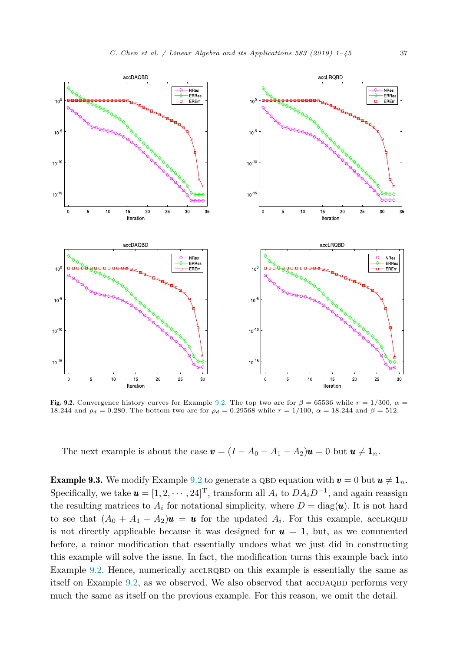<span id="page-36-0"></span>

Fig. [9.2.](#page-35-0) Convergence history curves for Example 9.2. The top two are for  $\beta = 65536$  while  $r = 1/300$ ,  $\alpha =$ 18*.*244 and *ρ*<sub>*d*</sub> = 0.280. The bottom two are for *ρ*<sub>*d*</sub> = 0.29568 while  $r = 1/100$ ,  $α = 18.244$  and  $β = 512$ .

The next example is about the case  $\mathbf{v} = (I - A_0 - A_1 - A_2)\mathbf{u} = 0$  but  $\mathbf{u} \neq \mathbf{1}_n$ .

**Example 9.3.** We modify Example [9.2](#page-35-0) to generate a QBD equation with  $v = 0$  but  $u \neq 1$ <sub>n</sub>. Specifically, we take  $\mathbf{u} = [1, 2, \cdots, 24]^\text{T}$ , transform all  $A_i$  to  $DA_iD^{-1}$ , and again reassign the resulting matrices to  $A_i$  for notational simplicity, where  $D = \text{diag}(\boldsymbol{u})$ . It is not hard to see that  $(A_0 + A_1 + A_2)\mathbf{u} = \mathbf{u}$  for the updated  $A_i$ . For this example, accLRQBD is not directly applicable because it was designed for  $u = 1$ , but, as we commented before, a minor modification that essentially undoes what we just did in constructing this example will solve the issue. In fact, the modification turns this example back into Example [9.2.](#page-35-0) Hence, numerically accLRQBD on this example is essentially the same as itself on Example  $9.2$ , as we observed. We also observed that  $acpAQBD$  performs very much the same as itself on the previous example. For this reason, we omit the detail.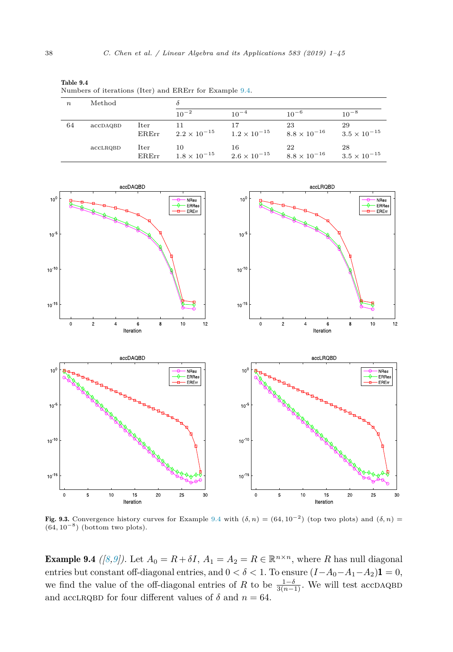<span id="page-37-0"></span>

| Table 9.4<br>Numbers of iterations (Iter) and ERErr for Example 9.4. |          |               |                             |                             |                             |                             |  |  |  |
|----------------------------------------------------------------------|----------|---------------|-----------------------------|-----------------------------|-----------------------------|-----------------------------|--|--|--|
| $\boldsymbol{n}$                                                     | Method   |               |                             |                             |                             |                             |  |  |  |
|                                                                      |          |               | $10^{-2}$                   | $10^{-4}$                   | $10^{-6}$                   | $10^{-8}$                   |  |  |  |
| 64                                                                   | accDAQBD | Iter<br>ERErr | 11<br>$2.2 \times 10^{-15}$ | 17<br>$1.2 \times 10^{-15}$ | 23<br>$8.8 \times 10^{-16}$ | 29<br>$3.5 \times 10^{-15}$ |  |  |  |
|                                                                      | accLRQBD | Iter<br>ERErr | 10<br>$1.8 \times 10^{-15}$ | 16<br>$2.6 \times 10^{-15}$ | 22<br>$8.8 \times 10^{-16}$ | 28<br>$3.5 \times 10^{-15}$ |  |  |  |



Fig. 9.3. Convergence history curves for Example 9.4 with  $(\delta, n) = (64, 10^{-2})$  (top two plots) and  $(\delta, n)$ (64*,* 10−<sup>8</sup>) (bottom two plots).

**Example 9.4** ([\[8,9\]](#page-43-0)). Let  $A_0 = R + \delta I$ ,  $A_1 = A_2 = R \in \mathbb{R}^{n \times n}$ , where *R* has null diagonal entries but constant off-diagonal entries, and  $0 < \delta < 1$ . To ensure  $(I-A_0-A_1-A_2)$ **1** = 0, we find the value of the off-diagonal entries of *R* to be  $\frac{1-\delta}{3(n-1)}$ . We will test accDAQBD and accLRQBD for four different values of  $\delta$  and  $n = 64$ .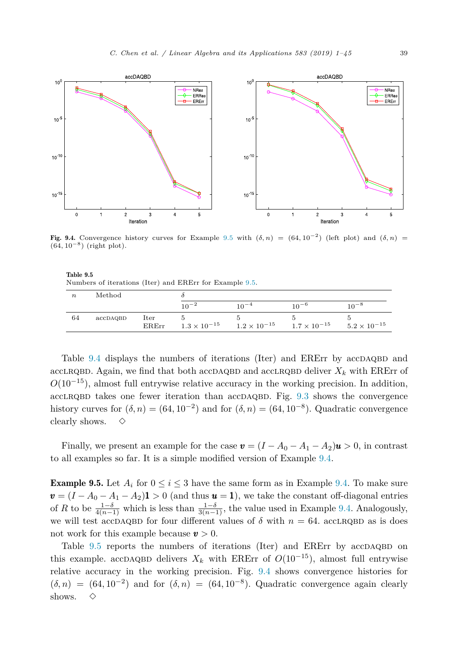

Fig. 9.4. Convergence history curves for Example 9.5 with  $(\delta, n) = (64, 10^{-2})$  (left plot) and  $(\delta, n)$ (64*,* 10−<sup>8</sup>) (right plot).

| Table 9.5 |                                                         |  |  |  |
|-----------|---------------------------------------------------------|--|--|--|
|           | Numbers of iterations (Iter) and ERErr for Example 9.5. |  |  |  |

| $\boldsymbol{n}$ | Method   |               |                       |                       |                       |                       |  |
|------------------|----------|---------------|-----------------------|-----------------------|-----------------------|-----------------------|--|
|                  |          |               | $10^{-2}$             |                       | $10^{-6}$             | $10^{-8}$             |  |
| 64               | accDAQBD | Iter<br>ERErr | $1.3 \times 10^{-15}$ | $1.2 \times 10^{-15}$ | $1.7 \times 10^{-15}$ | $5.2 \times 10^{-15}$ |  |

Table [9.4](#page-37-0) displays the numbers of iterations (Iter) and ERErr by accDAQBD and acclrapation. Again, we find that both accdaquation and acclrapation deliver  $X_k$  with ERErr of *O*(10<sup>−15</sup>), almost full entrywise relative accuracy in the working precision. In addition,  $accLRQBD$  takes one fewer iteration than  $accDAQBD$ . Fig. [9.3](#page-37-0) shows the convergence history curves for  $(\delta, n) = (64, 10^{-2})$  and for  $(\delta, n) = (64, 10^{-8})$ . Quadratic convergence clearly shows.  $\diamond$ 

Finally, we present an example for the case  $\mathbf{v} = (I - A_0 - A_1 - A_2)\mathbf{u} > 0$ , in contrast to all examples so far. It is a simple modified version of Example [9.4.](#page-37-0)

**Example 9.5.** Let  $A_i$  for  $0 \leq i \leq 3$  have the same form as in Example [9.4.](#page-37-0) To make sure  $v = (I - A_0 - A_1 - A_2)$  **i** > 0 (and thus  $u = 1$ ), we take the constant off-diagonal entries of *R* to be  $\frac{1-\delta}{4(n-1)}$  which is less than  $\frac{1-\delta}{3(n-1)}$ , the value used in Example [9.4.](#page-37-0) Analogously, we will test accDAQBD for four different values of  $\delta$  with  $n = 64$ . accLRQBD as is does not work for this example because *v >* 0.

Table  $9.5$  reports the numbers of iterations (Iter) and ERErr by accDAQBD on this example. accDAQBD delivers  $X_k$  with ERErr of  $O(10^{-15})$ , almost full entrywise relative accuracy in the working precision. Fig. 9.4 shows convergence histories for  $(\delta, n) = (64, 10^{-2})$  and for  $(\delta, n) = (64, 10^{-8})$ . Quadratic convergence again clearly shows.  $\diamond$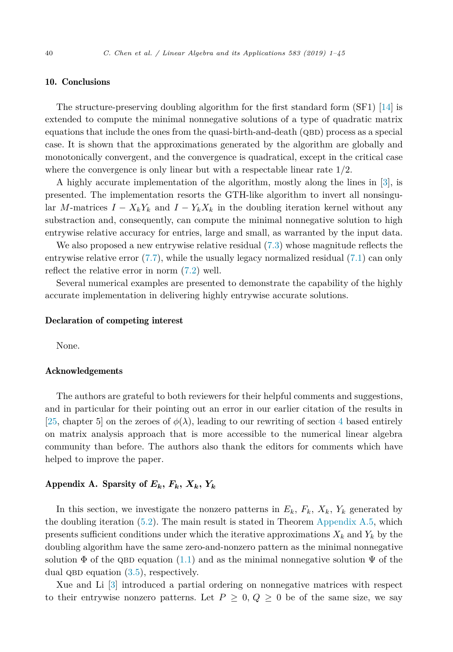# <span id="page-39-0"></span>10. Conclusions

The structure-preserving doubling algorithm for the first standard form (SF1) [\[14\]](#page-43-0) is extended to compute the minimal nonnegative solutions of a type of quadratic matrix equations that include the ones from the quasi-birth-and-death  $(QBD)$  process as a special case. It is shown that the approximations generated by the algorithm are globally and monotonically convergent, and the convergence is quadratical, except in the critical case where the convergence is only linear but with a respectable linear rate 1*/*2.

A highly accurate implementation of the algorithm, mostly along the lines in [\[3\]](#page-43-0), is presented. The implementation resorts the GTH-like algorithm to invert all nonsingular *M*-matrices  $I - X_k Y_k$  and  $I - Y_k X_k$  in the doubling iteration kernel without any substraction and, consequently, can compute the minimal nonnegative solution to high entrywise relative accuracy for entries, large and small, as warranted by the input data.

We also proposed a new entrywise relative residual  $(7.3)$  whose magnitude reflects the entrywise relative error [\(7.7\)](#page-27-0), while the usually legacy normalized residual [\(7.1\)](#page-25-0) can only reflect the relative error in norm [\(7.2\)](#page-25-0) well.

Several numerical examples are presented to demonstrate the capability of the highly accurate implementation in delivering highly entrywise accurate solutions.

### Declaration of competing interest

None.

# Acknowledgements

The authors are grateful to both reviewers for their helpful comments and suggestions, and in particular for their pointing out an error in our earlier citation of the results in [\[25,](#page-43-0) chapter 5] on the zeroes of  $\phi(\lambda)$ , leading to our rewriting of section [4](#page-9-0) based entirely on matrix analysis approach that is more accessible to the numerical linear algebra community than before. The authors also thank the editors for comments which have helped to improve the paper.

# Appendix A. Sparsity of  $E_k$ ,  $F_k$ ,  $X_k$ ,  $Y_k$

In this section, we investigate the nonzero patterns in  $E_k$ ,  $F_k$ ,  $X_k$ ,  $Y_k$  generated by the doubling iteration  $(5.2)$ . The main result is stated in Theorem [Appendix](#page-40-0) A.5, which presents sufficient conditions under which the iterative approximations  $X_k$  and  $Y_k$  by the doubling algorithm have the same zero-and-nonzero pattern as the minimal nonnegative solution  $\Phi$  of the QBD equation [\(1.1\)](#page-1-0) and as the minimal nonnegative solution  $\Psi$  of the dual QBD equation  $(3.5)$ , respectively.

Xue and Li [\[3\]](#page-43-0) introduced a partial ordering on nonnegative matrices with respect to their entrywise nonzero patterns. Let  $P \geq 0$ ,  $Q \geq 0$  be of the same size, we say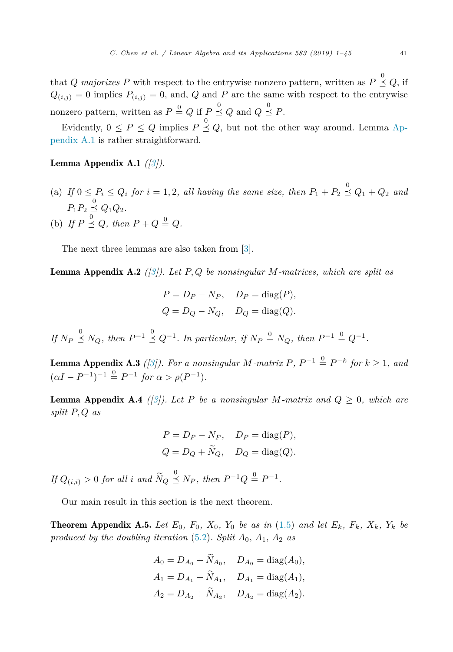<span id="page-40-0"></span>that *Q* majorizes *P* with respect to the entrywise nonzero pattern, written as  $P \stackrel{0}{\leq} Q$ , if  $Q_{(i,j)} = 0$  implies  $P_{(i,j)} = 0$ , and, *Q* and *P* are the same with respect to the entrywise nonzero pattern, written as  $P \stackrel{0}{=} Q$  if  $P \stackrel{0}{\leq} Q$  and  $Q \stackrel{0}{\leq} P$ .

Evidently,  $0 \le P \le Q$  implies  $P \stackrel{0}{\le} Q$ , but not the other way around. Lemma Appendix A.1 is rather straightforward.

# Lemma Appendix A.1 *([\[3\]](#page-43-0)).*

(a) If  $0 \le P_i \le Q_i$  for  $i = 1, 2$ , all having the same size, then  $P_1 + P_2 \overset{0}{\le} Q_1 + Q_2$  and  $P_1 P_2 \overset{0}{\underset{\sim}{\simeq}} Q_1 Q_2.$ (b) If  $P \stackrel{0}{\leq} Q$ , then  $P + Q \stackrel{0}{=} Q$ .

The next three lemmas are also taken from [\[3\]](#page-43-0).

Lemma Appendix A.2 *([\[3\]](#page-43-0)). Let P, Q be nonsingular M-matrices, which are split as*

$$
P = D_P - N_P, \quad D_P = \text{diag}(P),
$$
  

$$
Q = D_Q - N_Q, \quad D_Q = \text{diag}(Q).
$$

If  $N_P \stackrel{0}{\leq} N_Q$ , then  $P^{-1} \stackrel{0}{\leq} Q^{-1}$ . In particular, if  $N_P \stackrel{0}{\leq} N_Q$ , then  $P^{-1} \stackrel{0}{\leq} Q^{-1}$ .

**Lemma Appendix A.3** ([\[3\]](#page-43-0)). For a nonsingular *M*-matrix  $P$ ,  $P^{-1} \stackrel{0}{=} P^{-k}$  for  $k \ge 1$ , and  $(\alpha I - P^{-1})^{-1} \stackrel{0}{=} P^{-1}$  *for*  $\alpha > \rho(P^{-1})$ *.* 

**Lemma Appendix A.4** ([\[3\]](#page-43-0)). Let P be a nonsingular M-matrix and  $Q \geq 0$ , which are *split P, Q as*

$$
P = D_P - N_P, \quad D_P = \text{diag}(P),
$$
  

$$
Q = D_Q + \widetilde{N}_Q, \quad D_Q = \text{diag}(Q).
$$

 $If Q_{(i,i)} > 0$  *for all i and*  $\widetilde{N}_Q \overset{0}{\leq} N_P$ *, then*  $P^{-1}Q \overset{0}{=} P^{-1}$ *.* 

Our main result in this section is the next theorem.

**Theorem Appendix A.5.** Let  $E_0$ ,  $F_0$ ,  $X_0$ ,  $Y_0$  be as in [\(1.5\)](#page-2-0) and let  $E_k$ ,  $F_k$ ,  $X_k$ ,  $Y_k$  be *produced by the doubling iteration* [\(5.2\)](#page-20-0)*. Split*  $A_0$ *,*  $A_1$ *,*  $A_2$  *as* 

$$
A_0 = D_{A_0} + N_{A_0}, \quad D_{A_0} = \text{diag}(A_0),
$$
  
\n
$$
A_1 = D_{A_1} + \tilde{N}_{A_1}, \quad D_{A_1} = \text{diag}(A_1),
$$
  
\n
$$
A_2 = D_{A_2} + \tilde{N}_{A_2}, \quad D_{A_2} = \text{diag}(A_2).
$$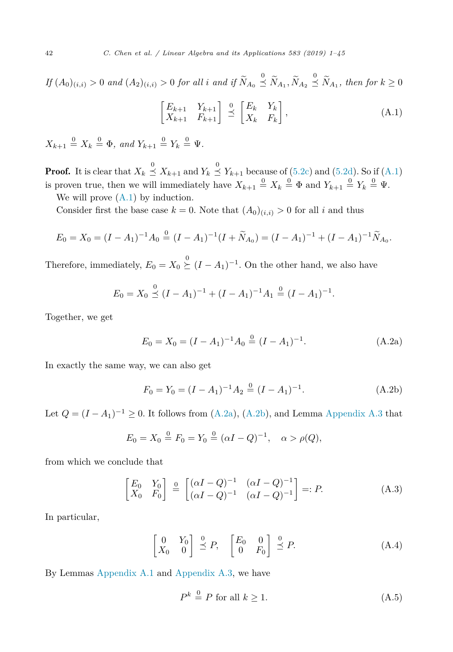<span id="page-41-0"></span> $\emph{If } (A_0)_{(i,i)}>0 \emph{ and } (A_2)_{(i,i)}>0 \emph{ for all } i \emph{ and if } \widetilde{N}_{A_0}\overset{0}{\preceq}\widetilde{N}_{A_1},\widetilde{N}_{A_2}\overset{0}{\preceq}\widetilde{N}_{A_1}, \emph{ then for } k\geq 0$ 

$$
\begin{bmatrix} E_{k+1} & Y_{k+1} \\ X_{k+1} & F_{k+1} \end{bmatrix} \stackrel{0}{\preceq} \begin{bmatrix} E_k & Y_k \\ X_k & F_k \end{bmatrix},
$$
\n(A.1)

 $X_{k+1} \stackrel{0}{=} X_k \stackrel{0}{=} \Phi$ , and  $Y_{k+1} \stackrel{0}{=} Y_k \stackrel{0}{=} \Psi$ .

**Proof.** It is clear that  $X_k \overset{0}{\leq} X_{k+1}$  and  $Y_k \overset{0}{\leq} Y_{k+1}$  because of [\(5.2c\)](#page-20-0) and [\(5.2d\)](#page-20-0). So if (A.1) is proven true, then we will immediately have  $X_{k+1} \stackrel{0}{=} X_k \stackrel{0}{=} \Phi$  and  $Y_{k+1} \stackrel{0}{=} Y_k \stackrel{0}{=} \Psi$ .

We will prove  $(A.1)$  by induction.

Consider first the base case  $k = 0$ . Note that  $(A_0)_{(i,i)} > 0$  for all *i* and thus

$$
E_0 = X_0 = (I - A_1)^{-1} A_0 \stackrel{0}{=} (I - A_1)^{-1} (I + \widetilde{N}_{A_0}) = (I - A_1)^{-1} + (I - A_1)^{-1} \widetilde{N}_{A_0}.
$$

Therefore, immediately,  $E_0 = X_0 \overset{0}{\succeq} (I - A_1)^{-1}$ . On the other hand, we also have

$$
E_0 = X_0 \stackrel{0}{\preceq} (I - A_1)^{-1} + (I - A_1)^{-1} A_1 \stackrel{0}{=} (I - A_1)^{-1}.
$$

Together, we get

$$
E_0 = X_0 = (I - A_1)^{-1} A_0 \stackrel{0}{=} (I - A_1)^{-1}.
$$
 (A.2a)

In exactly the same way, we can also get

$$
F_0 = Y_0 = (I - A_1)^{-1} A_2 \stackrel{0}{=} (I - A_1)^{-1}.
$$
 (A.2b)

Let  $Q = (I - A_1)^{-1} \geq 0$ . It follows from (A.2a), (A.2b), and Lemma [Appendix](#page-40-0) A.3 that

$$
E_0 = X_0 \stackrel{0}{=} F_0 = Y_0 \stackrel{0}{=} (\alpha I - Q)^{-1}, \quad \alpha > \rho(Q),
$$

from which we conclude that

$$
\begin{bmatrix} E_0 & Y_0 \ X_0 & F_0 \end{bmatrix} \stackrel{\mathbf{0}}{=} \begin{bmatrix} (\alpha I - Q)^{-1} & (\alpha I - Q)^{-1} \\ (\alpha I - Q)^{-1} & (\alpha I - Q)^{-1} \end{bmatrix} =: P.
$$
 (A.3)

In particular,

$$
\begin{bmatrix} 0 & Y_0 \\ X_0 & 0 \end{bmatrix} \stackrel{0}{\preceq} P, \quad \begin{bmatrix} E_0 & 0 \\ 0 & F_0 \end{bmatrix} \stackrel{0}{\preceq} P. \tag{A.4}
$$

By Lemmas [Appendix](#page-40-0) A.1 and [Appendix](#page-40-0) A.3, we have

$$
P^k \stackrel{0}{=} P \text{ for all } k \ge 1. \tag{A.5}
$$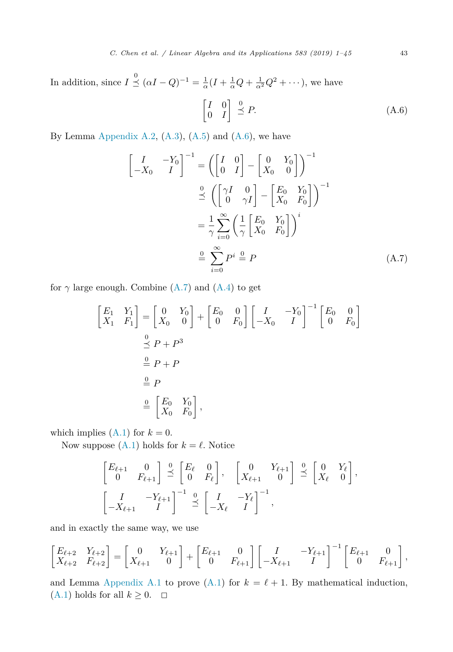In addition, since  $I \stackrel{0}{\leq} (\alpha I - Q)^{-1} = \frac{1}{\alpha}(I + \frac{1}{\alpha}Q + \frac{1}{\alpha^2}Q^2 + \cdots)$ , we have

$$
\begin{bmatrix} I & 0 \\ 0 & I \end{bmatrix} \stackrel{0}{\preceq} P. \tag{A.6}
$$

By Lemma [Appendix](#page-40-0) A.2,  $(A.3)$ ,  $(A.5)$  and  $(A.6)$ , we have

$$
\begin{bmatrix} I & -Y_0 \ -X_0 & I \end{bmatrix}^{-1} = \left( \begin{bmatrix} I & 0 \ 0 & I \end{bmatrix} - \begin{bmatrix} 0 & Y_0 \ X_0 & 0 \end{bmatrix} \right)^{-1}
$$

$$
\stackrel{Q}{\preceq} \left( \begin{bmatrix} \gamma I & 0 \ 0 & \gamma I \end{bmatrix} - \begin{bmatrix} E_0 & Y_0 \ X_0 & F_0 \end{bmatrix} \right)^{-1}
$$

$$
= \frac{1}{\gamma} \sum_{i=0}^{\infty} \left( \frac{1}{\gamma} \begin{bmatrix} E_0 & Y_0 \ X_0 & F_0 \end{bmatrix} \right)^i
$$

$$
\stackrel{Q}{=} \sum_{i=0}^{\infty} P^i \stackrel{Q}{=} P \tag{A.7}
$$

for  $\gamma$  large enough. Combine (A.7) and [\(A.4\)](#page-41-0) to get

$$
\begin{bmatrix} E_1 & Y_1 \ X_1 & F_1 \end{bmatrix} = \begin{bmatrix} 0 & Y_0 \ X_0 & 0 \end{bmatrix} + \begin{bmatrix} E_0 & 0 \ 0 & F_0 \end{bmatrix} \begin{bmatrix} I & -Y_0 \ -X_0 & I \end{bmatrix}^{-1} \begin{bmatrix} E_0 & 0 \ 0 & F_0 \end{bmatrix}
$$
  

$$
\stackrel{Q}{\leq} P + P^3
$$
  

$$
\stackrel{Q}{=} P
$$
  

$$
\stackrel{Q}{=} P
$$
  

$$
\stackrel{Q}{=} P
$$
  

$$
\stackrel{Q}{=} \begin{bmatrix} E_0 & Y_0 \ X_0 & F_0 \end{bmatrix},
$$

which implies  $(A.1)$  for  $k = 0$ .

Now suppose [\(A.1\)](#page-41-0) holds for  $k = \ell$ . Notice

$$
\begin{bmatrix} E_{\ell+1} & 0 \\ 0 & F_{\ell+1} \end{bmatrix} \stackrel{0}{\preceq} \begin{bmatrix} E_{\ell} & 0 \\ 0 & F_{\ell} \end{bmatrix}, \quad \begin{bmatrix} 0 & Y_{\ell+1} \\ X_{\ell+1} & 0 \end{bmatrix} \stackrel{0}{\preceq} \begin{bmatrix} 0 & Y_{\ell} \\ X_{\ell} & 0 \end{bmatrix},
$$

$$
\begin{bmatrix} I & -Y_{\ell+1} \\ -X_{\ell+1} & I \end{bmatrix}^{-1} \stackrel{0}{\preceq} \begin{bmatrix} I & -Y_{\ell} \\ -X_{\ell} & I \end{bmatrix}^{-1},
$$

and in exactly the same way, we use

$$
\begin{bmatrix} E_{\ell+2} & Y_{\ell+2} \\ X_{\ell+2} & F_{\ell+2} \end{bmatrix} = \begin{bmatrix} 0 & Y_{\ell+1} \\ X_{\ell+1} & 0 \end{bmatrix} + \begin{bmatrix} E_{\ell+1} & 0 \\ 0 & F_{\ell+1} \end{bmatrix} \begin{bmatrix} I & -Y_{\ell+1} \\ -X_{\ell+1} & I \end{bmatrix}^{-1} \begin{bmatrix} E_{\ell+1} & 0 \\ 0 & F_{\ell+1} \end{bmatrix},
$$

and Lemma [Appendix](#page-40-0) A.1 to prove [\(A.1\)](#page-41-0) for  $k = \ell + 1$ . By mathematical induction, [\(A.1\)](#page-41-0) holds for all  $k \geq 0$ .  $\Box$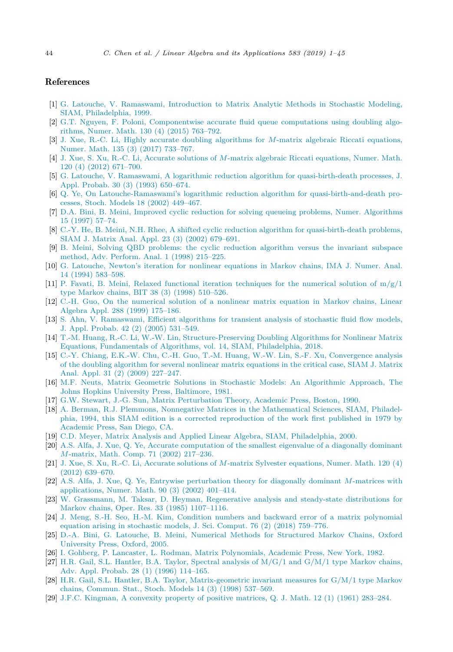# <span id="page-43-0"></span>References

- [1] G. Latouche, V. [Ramaswami,](http://refhub.elsevier.com/S0024-3795(19)30358-1/bib6C6172613A31393939s1) Introduction to Matrix Analytic Methods in Stochastic Modeling, SIAM, [Philadelphia,](http://refhub.elsevier.com/S0024-3795(19)30358-1/bib6C6172613A31393939s1) 1999.
- [2] G.T. Nguyen, F. Poloni, [Componentwise](http://refhub.elsevier.com/S0024-3795(19)30358-1/bib6E67706F3A32303135s1) accurate fluid queue computations using doubling algorithms, Numer. Math. 130 (4) (2015) [763–792.](http://refhub.elsevier.com/S0024-3795(19)30358-1/bib6E67706F3A32303135s1)
- [3] J. Xue, R.-C. Li, Highly accurate doubling [algorithms](http://refhub.elsevier.com/S0024-3795(19)30358-1/bib78756C693A32303137s1) for *M*-matrix algebraic Riccati equations, Numer. Math. 135 (3) (2017) [733–767.](http://refhub.elsevier.com/S0024-3795(19)30358-1/bib78756C693A32303137s1)
- [4] J. Xue, S. Xu, R.-C. Li, Accurate solutions of *M*-matrix algebraic Riccati [equations,](http://refhub.elsevier.com/S0024-3795(19)30358-1/bib7875786C3A3230313262s1) Numer. Math. 120 (4) (2012) [671–700.](http://refhub.elsevier.com/S0024-3795(19)30358-1/bib7875786C3A3230313262s1)
- [5] G. Latouche, V. Ramaswami, A logarithmic reduction algorithm for [quasi-birth-death](http://refhub.elsevier.com/S0024-3795(19)30358-1/bib6C6172613A31393933s1) processes, J. Appl. Probab. 30 (3) (1993) [650–674.](http://refhub.elsevier.com/S0024-3795(19)30358-1/bib6C6172613A31393933s1)
- [6] Q. Ye, On [Latouche-Ramaswami's](http://refhub.elsevier.com/S0024-3795(19)30358-1/bib79653A3230303263s1) logarithmic reduction algorithm for quasi-birth-and-death processes, Stoch. Models 18 (2002) [449–467.](http://refhub.elsevier.com/S0024-3795(19)30358-1/bib79653A3230303263s1)
- [7] D.A. Bini, B. Meini, Improved cyclic reduction for solving queueing problems, Numer. [Algorithms](http://refhub.elsevier.com/S0024-3795(19)30358-1/bib62696D653A31393937s1) 15 [\(1997\)](http://refhub.elsevier.com/S0024-3795(19)30358-1/bib62696D653A31393937s1) 57–74.
- [8] C.-Y. He, B. Meini, N.H. Rhee, A shifted cyclic reduction algorithm for [quasi-birth-death](http://refhub.elsevier.com/S0024-3795(19)30358-1/bib68656D723A32303032s1) problems, SIAM J. Matrix Anal. Appl. 23 (3) (2002) [679–691.](http://refhub.elsevier.com/S0024-3795(19)30358-1/bib68656D723A32303032s1)
- [9] B. Meini, Solving QBD [problems:](http://refhub.elsevier.com/S0024-3795(19)30358-1/bib6D65696E3A31393938s1) the cyclic reduction algorithm versus the invariant subspace method, Adv. [Perform.](http://refhub.elsevier.com/S0024-3795(19)30358-1/bib6D65696E3A31393938s1) Anal. 1 (1998) 215–225.
- [10] G. [Latouche,](http://refhub.elsevier.com/S0024-3795(19)30358-1/bib6C61746F3A31393934s1) Newton's iteration for nonlinear equations in Markov chains, IMA J. Numer. Anal. 14 (1994) [583–598.](http://refhub.elsevier.com/S0024-3795(19)30358-1/bib6C61746F3A31393934s1)
- [11] P. Favati, B. Meini, Relaxed functional iteration [techniques](http://refhub.elsevier.com/S0024-3795(19)30358-1/bib66616D653A31393938s1) for the numerical solution of  $m/g/1$ type [Markov chains,](http://refhub.elsevier.com/S0024-3795(19)30358-1/bib66616D653A31393938s1) BIT 38 (3) (1998) 510–526.
- [12] C.-H. Guo, On the [numerical](http://refhub.elsevier.com/S0024-3795(19)30358-1/bib67756F3A31393939s1) solution of a nonlinear matrix equation in Markov chains, Linear Algebra Appl. 288 (1999) [175–186.](http://refhub.elsevier.com/S0024-3795(19)30358-1/bib67756F3A31393939s1)
- [13] S. Ahn, V. [Ramaswami,](http://refhub.elsevier.com/S0024-3795(19)30358-1/bib616872613A32303035s1) Efficient algorithms for transient analysis of stochastic fluid flow models, J. Appl. Probab. 42 (2) (2005) [531–549.](http://refhub.elsevier.com/S0024-3795(19)30358-1/bib616872613A32303035s1)
- [14] T.-M. Huang, R.-C. Li, W.-W. Lin, [Structure-Preserving](http://refhub.elsevier.com/S0024-3795(19)30358-1/bib68756C6C3A32303138s1) Doubling Algorithms for Nonlinear Matrix Equations, [Fundamentals](http://refhub.elsevier.com/S0024-3795(19)30358-1/bib68756C6C3A32303138s1) of Algorithms, vol. 14, SIAM, Philadelphia, 2018.
- [15] C.-Y. Chiang, E.K.-W. Chu, C.-H. Guo, T.-M. Huang, W.-W. Lin, S.-F. Xu, [Convergence](http://refhub.elsevier.com/S0024-3795(19)30358-1/bib636863673A32303039s1) analysis of the doubling [algorithm](http://refhub.elsevier.com/S0024-3795(19)30358-1/bib636863673A32303039s1) for several nonlinear matrix equations in the critical case, SIAM J. Matrix Anal. Appl. 31 (2) (2009) [227–247.](http://refhub.elsevier.com/S0024-3795(19)30358-1/bib636863673A32303039s1)
- [16] M.F. Neuts, Matrix Geometric Solutions in Stochastic Models: An [Algorithmic](http://refhub.elsevier.com/S0024-3795(19)30358-1/bib6E6575743A31393831s1) Approach, The Johns Hopkins University Press, [Baltimore,](http://refhub.elsevier.com/S0024-3795(19)30358-1/bib6E6575743A31393831s1) 1981.
- [17] G.W. Stewart, J.-G. Sun, Matrix [Perturbation](http://refhub.elsevier.com/S0024-3795(19)30358-1/bib737473753A31393930s1) Theory, Academic Press, Boston, 1990.
- [18] A. Berman, R.J. Plemmons, Nonnegative Matrices in the [Mathematical](http://refhub.elsevier.com/S0024-3795(19)30358-1/bib6265706C3A31393934s1) Sciences, SIAM, Philadelphia, 1994, this SIAM edition is a corrected [reproduction](http://refhub.elsevier.com/S0024-3795(19)30358-1/bib6265706C3A31393934s1) of the work first published in 1979 by Academic Press, [San Diego,](http://refhub.elsevier.com/S0024-3795(19)30358-1/bib6265706C3A31393934s1) CA.
- [19] C.D. Meyer, Matrix Analysis and Applied Linear Algebra, SIAM, [Philadelphia,](http://refhub.elsevier.com/S0024-3795(19)30358-1/bib6D6579653A32303030s1) 2000.
- [20] A.S. Alfa, J. Xue, Q. Ye, Accurate [computation](http://refhub.elsevier.com/S0024-3795(19)30358-1/bib616C78793A32303032s1) of the smallest eigenvalue of a diagonally dominant *M*-matrix, Math. Comp. 71 (2002) [217–236.](http://refhub.elsevier.com/S0024-3795(19)30358-1/bib616C78793A32303032s1)
- [21] J. Xue, S. Xu, R.-C. Li, Accurate solutions of *M*-matrix Sylvester [equations,](http://refhub.elsevier.com/S0024-3795(19)30358-1/bib7875786C3A3230313261s1) Numer. Math. 120 (4) (2012) [639–670.](http://refhub.elsevier.com/S0024-3795(19)30358-1/bib7875786C3A3230313261s1)
- [22] A.S. Alfa, J. Xue, Q. Ye, Entrywise [perturbation](http://refhub.elsevier.com/S0024-3795(19)30358-1/bib616C78793A3230303261s1) theory for diagonally dominant *M*-matrices with [applications,](http://refhub.elsevier.com/S0024-3795(19)30358-1/bib616C78793A3230303261s1) Numer. Math. 90 (3) (2002) 401–414.
- [23] W. Grassmann, M. Taksar, D. Heyman, [Regenerative](http://refhub.elsevier.com/S0024-3795(19)30358-1/bib677274683A31393835s1) analysis and steady-state distributions for Markov chains, Oper. Res. 33 (1985) [1107–1116.](http://refhub.elsevier.com/S0024-3795(19)30358-1/bib677274683A31393835s1)
- [24] J. Meng, S.-H. Seo, H.-M. Kim, Condition numbers and backward error of a matrix [polynomial](http://refhub.elsevier.com/S0024-3795(19)30358-1/bib6D65736B3A32303138s1) equation arising in [stochastic](http://refhub.elsevier.com/S0024-3795(19)30358-1/bib6D65736B3A32303138s1) models, J. Sci. Comput. 76 (2) (2018) 759–776.
- [25] D.-A. Bini, G. Latouche, B. Meini, Numerical Methods for [Structured](http://refhub.elsevier.com/S0024-3795(19)30358-1/bib62696C6D3A32303035s1) Markov Chains, Oxford [University](http://refhub.elsevier.com/S0024-3795(19)30358-1/bib62696C6D3A32303035s1) Press, Oxford, 2005.
- [26] I. Gohberg, P. Lancaster, L. Rodman, Matrix [Polynomials,](http://refhub.elsevier.com/S0024-3795(19)30358-1/bib676F6C723A31393832s1) Academic Press, New York, 1982.
- [27] H.R. Gail, S.L. Hantler, B.A. Taylor, [Spectral](http://refhub.elsevier.com/S0024-3795(19)30358-1/bib676168743A31393936s1) analysis of  $M/G/1$  and  $G/M/1$  type Markov chains, Adv. Appl. Probab. 28 (1) (1996) [114–165.](http://refhub.elsevier.com/S0024-3795(19)30358-1/bib676168743A31393936s1)
- [28] H.R. Gail, S.L. Hantler, B.A. Taylor, [Matrix-geometric](http://refhub.elsevier.com/S0024-3795(19)30358-1/bib676168743A31393938s1) invariant measures for G/M/1 type Markov chains, [Commun.](http://refhub.elsevier.com/S0024-3795(19)30358-1/bib676168743A31393938s1) Stat., Stoch. Models 14 (3) (1998) 537–569.
- [29] J.F.C. [Kingman,](http://refhub.elsevier.com/S0024-3795(19)30358-1/bib6B696E673A31393631s1) A convexity property of positive matrices, Q. J. Math. 12 (1) (1961) 283–284.